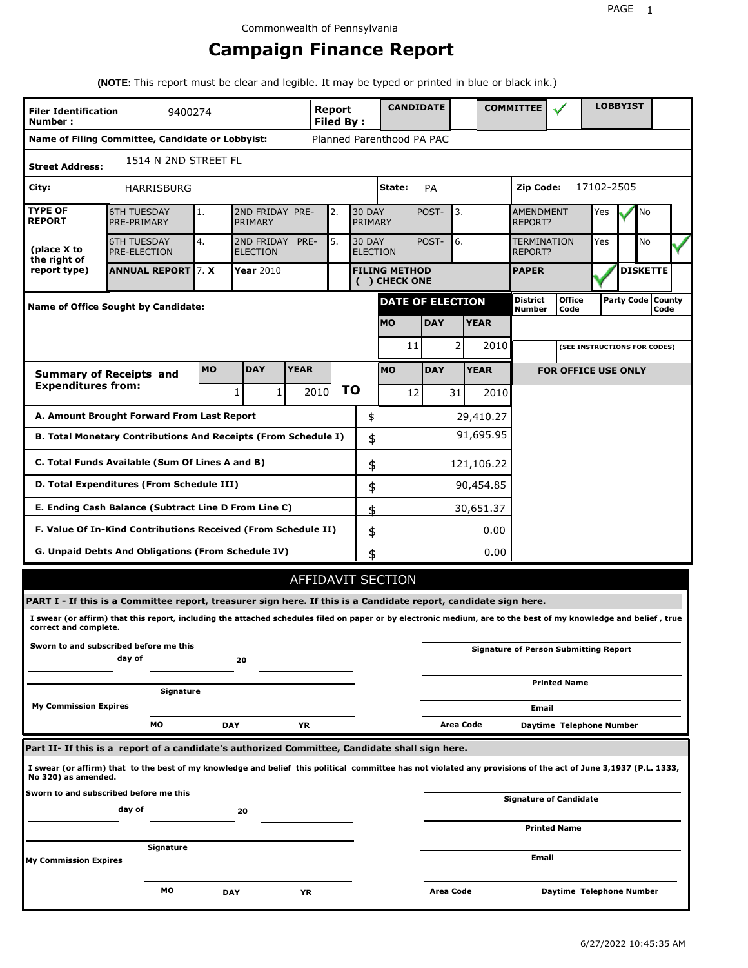## **Campaign Finance Report**

**(NOTE:** This report must be clear and legible. It may be typed or printed in blue or black ink.)

| <b>Filer Identification</b><br>Number: | 9400274                                                                                                                                                         |            |                               |             | Report<br><b>Filed By:</b> |    |                          | <b>CANDIDATE</b>                      |            |           |             | <b>COMMITTEE</b>                   |                                              |            | <b>LOBBYIST</b> |                             |  |
|----------------------------------------|-----------------------------------------------------------------------------------------------------------------------------------------------------------------|------------|-------------------------------|-------------|----------------------------|----|--------------------------|---------------------------------------|------------|-----------|-------------|------------------------------------|----------------------------------------------|------------|-----------------|-----------------------------|--|
|                                        | Name of Filing Committee, Candidate or Lobbyist:                                                                                                                |            |                               |             |                            |    |                          | Planned Parenthood PA PAC             |            |           |             |                                    |                                              |            |                 |                             |  |
| <b>Street Address:</b>                 | 1514 N 2ND STREET FL                                                                                                                                            |            |                               |             |                            |    |                          |                                       |            |           |             |                                    |                                              |            |                 |                             |  |
| City:                                  | <b>HARRISBURG</b>                                                                                                                                               |            |                               |             |                            |    |                          | State:                                | PA         |           |             | Zip Code:                          |                                              | 17102-2505 |                 |                             |  |
| <b>TYPE OF</b><br><b>REPORT</b>        | <b>6TH TUESDAY</b><br>PRE-PRIMARY                                                                                                                               | 1.         | 2ND FRIDAY PRE-<br>PRIMARY    |             | 2.                         |    | <b>30 DAY</b><br>PRIMARY |                                       | POST-      | 3.        |             | <b>AMENDMENT</b><br><b>REPORT?</b> |                                              | Yes        |                 | No                          |  |
| (place X to<br>the right of            | <b>6TH TUESDAY</b><br><b>PRE-ELECTION</b>                                                                                                                       | 4.         | 2ND FRIDAY<br><b>ELECTION</b> | PRE-        | 5.                         |    | <b>30 DAY</b>            | <b>ELECTION</b>                       | POST-      | 6.        |             | TERMINATION<br>REPORT?             |                                              | Yes        |                 | <b>No</b>                   |  |
| report type)                           | <b>ANNUAL REPORT 7. X</b>                                                                                                                                       |            | <b>Year 2010</b>              |             |                            |    |                          | <b>FILING METHOD</b><br>( ) CHECK ONE |            |           |             | <b>PAPER</b>                       |                                              |            |                 | <b>DISKETTE</b>             |  |
|                                        | <b>Name of Office Sought by Candidate:</b>                                                                                                                      |            |                               |             |                            |    |                          | <b>DATE OF ELECTION</b>               |            |           |             | District<br>Number                 | <b>Office</b><br>Code                        |            |                 | Party Code   County<br>Code |  |
|                                        |                                                                                                                                                                 |            |                               |             |                            |    |                          | <b>MO</b>                             | <b>DAY</b> |           | <b>YEAR</b> |                                    |                                              |            |                 |                             |  |
|                                        |                                                                                                                                                                 |            |                               |             |                            |    |                          | 11                                    |            | 2         | 2010        |                                    | (SEE INSTRUCTIONS FOR CODES)                 |            |                 |                             |  |
|                                        | <b>Summary of Receipts and</b>                                                                                                                                  | <b>MO</b>  | <b>DAY</b>                    | <b>YEAR</b> |                            |    |                          | <b>MO</b>                             | <b>DAY</b> |           | <b>YEAR</b> |                                    | <b>FOR OFFICE USE ONLY</b>                   |            |                 |                             |  |
| <b>Expenditures from:</b>              |                                                                                                                                                                 |            | 1<br>1                        |             | 2010                       | ΤO |                          | 12                                    |            | 31        | 2010        |                                    |                                              |            |                 |                             |  |
|                                        | A. Amount Brought Forward From Last Report                                                                                                                      |            |                               |             |                            |    | \$                       |                                       |            |           | 29,410.27   |                                    |                                              |            |                 |                             |  |
|                                        | B. Total Monetary Contributions And Receipts (From Schedule I)                                                                                                  |            |                               |             |                            |    | \$                       |                                       |            |           | 91,695.95   |                                    |                                              |            |                 |                             |  |
|                                        | C. Total Funds Available (Sum Of Lines A and B)                                                                                                                 |            |                               |             |                            |    | \$                       |                                       |            |           | 121,106.22  |                                    |                                              |            |                 |                             |  |
|                                        | D. Total Expenditures (From Schedule III)                                                                                                                       |            |                               |             |                            |    | \$                       |                                       |            |           | 90,454.85   |                                    |                                              |            |                 |                             |  |
|                                        | E. Ending Cash Balance (Subtract Line D From Line C)                                                                                                            |            |                               |             |                            |    | \$                       |                                       |            |           | 30,651.37   |                                    |                                              |            |                 |                             |  |
|                                        | F. Value Of In-Kind Contributions Received (From Schedule II)                                                                                                   |            |                               |             |                            |    | \$                       |                                       |            |           | 0.00        |                                    |                                              |            |                 |                             |  |
|                                        | G. Unpaid Debts And Obligations (From Schedule IV)                                                                                                              |            |                               |             |                            |    | \$                       |                                       |            |           | 0.00        |                                    |                                              |            |                 |                             |  |
|                                        |                                                                                                                                                                 |            |                               |             |                            |    |                          | AFFIDAVIT SECTION                     |            |           |             |                                    |                                              |            |                 |                             |  |
|                                        | PART I - If this is a Committee report, treasurer sign here. If this is a Candidate report, candidate sign here.                                                |            |                               |             |                            |    |                          |                                       |            |           |             |                                    |                                              |            |                 |                             |  |
| correct and complete.                  | I swear (or affirm) that this report, including the attached schedules filed on paper or by electronic medium, are to the best of my knowledge and belief, true |            |                               |             |                            |    |                          |                                       |            |           |             |                                    |                                              |            |                 |                             |  |
|                                        | Sworn to and subscribed before me this<br>day of                                                                                                                |            | 20                            |             |                            |    |                          |                                       |            |           |             |                                    | <b>Signature of Person Submitting Report</b> |            |                 |                             |  |
|                                        | Signature                                                                                                                                                       |            |                               |             |                            |    |                          |                                       |            |           |             |                                    | <b>Printed Name</b>                          |            |                 |                             |  |
| <b>My Commission Expires</b>           |                                                                                                                                                                 |            |                               |             |                            |    |                          |                                       |            |           |             | Email                              |                                              |            |                 |                             |  |
|                                        | МO                                                                                                                                                              | <b>DAY</b> |                               | ΥR          |                            |    |                          |                                       |            | Area Code |             |                                    | Daytime Telephone Number                     |            |                 |                             |  |
|                                        | Part II- If this is a report of a candidate's authorized Committee, Candidate shall sign here.                                                                  |            |                               |             |                            |    |                          |                                       |            |           |             |                                    |                                              |            |                 |                             |  |
| No 320) as amended.                    | I swear (or affirm) that to the best of my knowledge and belief this political committee has not violated any provisions of the act of June 3,1937 (P.L. 1333,  |            |                               |             |                            |    |                          |                                       |            |           |             |                                    |                                              |            |                 |                             |  |
|                                        | Sworn to and subscribed before me this<br>day of                                                                                                                |            | 20                            |             |                            |    |                          |                                       |            |           |             |                                    | <b>Signature of Candidate</b>                |            |                 |                             |  |
|                                        |                                                                                                                                                                 |            |                               |             |                            |    |                          |                                       |            |           |             |                                    | <b>Printed Name</b>                          |            |                 |                             |  |
| <b>My Commission Expires</b>           | Signature                                                                                                                                                       |            |                               |             |                            |    |                          |                                       |            |           |             | Email                              |                                              |            |                 |                             |  |
|                                        | мо                                                                                                                                                              | <b>DAY</b> |                               | ΥR          |                            |    |                          |                                       | Area Code  |           |             |                                    | Daytime Telephone Number                     |            |                 |                             |  |
|                                        |                                                                                                                                                                 |            |                               |             |                            |    |                          |                                       |            |           |             |                                    |                                              |            |                 |                             |  |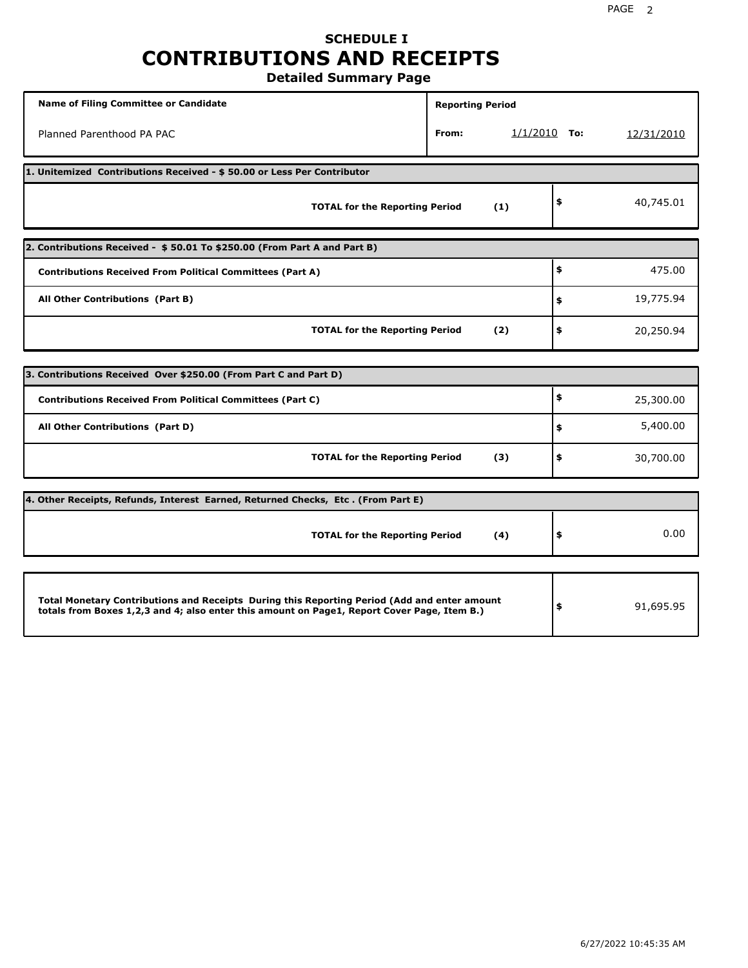### **SCHEDULE I CONTRIBUTIONS AND RECEIPTS Detailed Summary Page**

**Name of Filing Committee or Candidate Reporting Period Reporting Period** Planned Parenthood PA PAC **From:** 1/1/2010 **To:** 12/31/2010 **1. Unitemized Contributions Received - \$ 50.00 or Less Per Contributor TOTAL for the Reporting Period (1) \$** 40,745.01 **2. Contributions Received - \$ 50.01 To \$250.00 (From Part A and Part B) TOTAL for the Reporting Period (2) Contributions Received From Political Committees (Part A) All Other Contributions (Part B) \$ \$ \$** 475.00 19,775.94 20,250.94 **3. Contributions Received Over \$250.00 (From Part C and Part D) TOTAL for the Reporting Period (3) Contributions Received From Political Committees (Part C) All Other Contributions (Part D) \$ \$ \$** 25,300.00 5,400.00 30,700.00 **4. Other Receipts, Refunds, Interest Earned, Returned Checks, Etc . (From Part E) TOTAL for the Reporting Period (4) \$** 0.00 **Total Monetary Contributions and Receipts During this Reporting Period (Add and enter amount totals from Boxes 1,2,3 and 4; also enter this amount on Page1, Report Cover Page, Item B.) \$** 91,695.95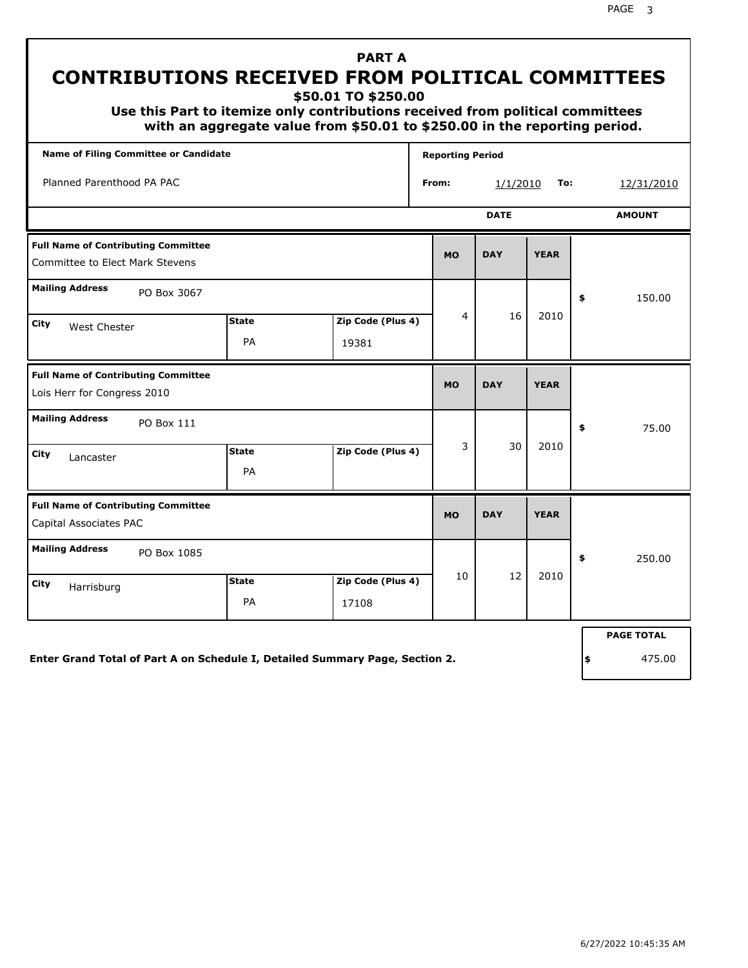**\$50.01 TO \$250.00**

 **Use this Part to itemize only contributions received from political committees with an aggregate value from \$50.01 to \$250.00 in the reporting period.**

| <b>Name of Filing Committee or Candidate</b>                                  |                    |                            |       | <b>Reporting Period</b> |             |             |    |                   |
|-------------------------------------------------------------------------------|--------------------|----------------------------|-------|-------------------------|-------------|-------------|----|-------------------|
| Planned Parenthood PA PAC                                                     |                    |                            | From: |                         | 1/1/2010    | To:         |    | 12/31/2010        |
|                                                                               |                    |                            |       |                         | <b>DATE</b> |             |    | <b>AMOUNT</b>     |
| <b>Full Name of Contributing Committee</b><br>Committee to Elect Mark Stevens |                    |                            |       | <b>MO</b>               | <b>DAY</b>  | <b>YEAR</b> |    |                   |
| <b>Mailing Address</b><br>PO Box 3067                                         |                    |                            |       |                         |             |             | \$ | 150.00            |
| City<br>West Chester                                                          | <b>State</b><br>PA | Zip Code (Plus 4)<br>19381 |       | 4                       | 16          | 2010        |    |                   |
| <b>Full Name of Contributing Committee</b><br>Lois Herr for Congress 2010     |                    |                            |       | <b>MO</b>               | <b>DAY</b>  | <b>YEAR</b> |    |                   |
| <b>Mailing Address</b><br>PO Box 111                                          |                    |                            |       |                         |             |             | \$ | 75.00             |
| City<br>Lancaster                                                             | <b>State</b><br>PA | Zip Code (Plus 4)          |       | 3                       | 30          | 2010        |    |                   |
| <b>Full Name of Contributing Committee</b><br>Capital Associates PAC          |                    |                            |       | <b>MO</b>               | <b>DAY</b>  | <b>YEAR</b> |    |                   |
| <b>Mailing Address</b><br>PO Box 1085                                         |                    |                            |       |                         |             |             | \$ | 250.00            |
| City<br>Harrisburg                                                            | <b>State</b><br>PA | Zip Code (Plus 4)<br>17108 |       | 10                      | 12          | 2010        |    |                   |
|                                                                               |                    |                            |       |                         |             |             |    | <b>PAGE TOTAL</b> |

**Enter Grand Total of Part A on Schedule I, Detailed Summary Page, Section 2.**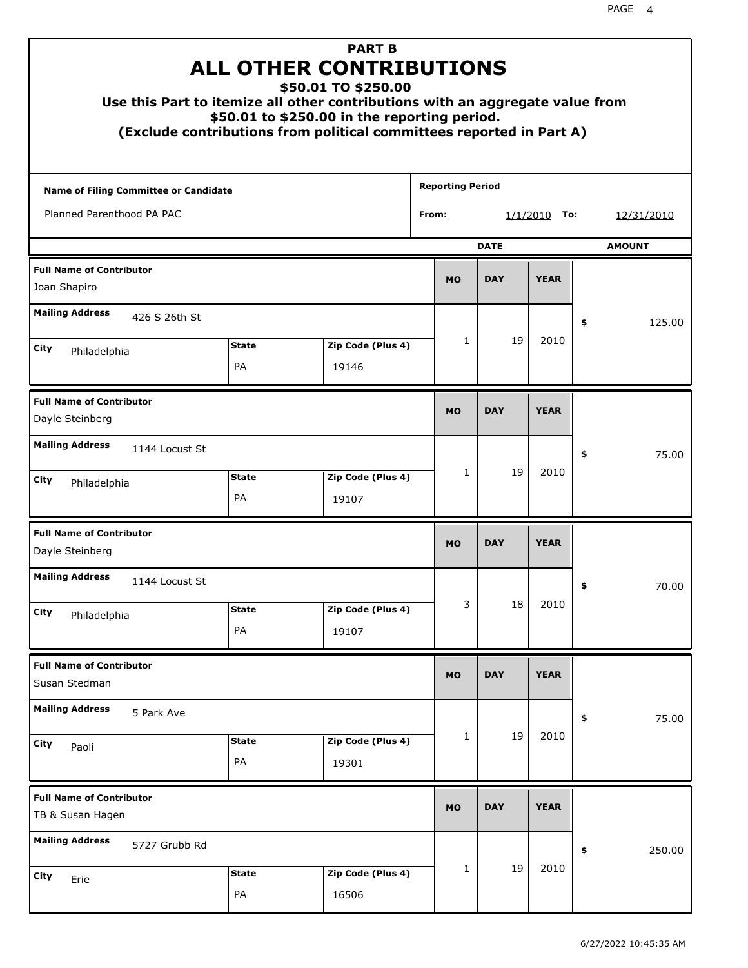| Use this Part to itemize all other contributions with an aggregate value from<br>(Exclude contributions from political committees reported in Part A) |                    | <b>PART B</b><br><b>ALL OTHER CONTRIBUTIONS</b><br>\$50.01 TO \$250.00<br>\$50.01 to \$250.00 in the reporting period. |                         |             |                |               |
|-------------------------------------------------------------------------------------------------------------------------------------------------------|--------------------|------------------------------------------------------------------------------------------------------------------------|-------------------------|-------------|----------------|---------------|
| <b>Name of Filing Committee or Candidate</b>                                                                                                          |                    |                                                                                                                        | <b>Reporting Period</b> |             |                |               |
| Planned Parenthood PA PAC                                                                                                                             |                    |                                                                                                                        | From:                   |             | $1/1/2010$ To: | 12/31/2010    |
|                                                                                                                                                       |                    |                                                                                                                        |                         | <b>DATE</b> |                | <b>AMOUNT</b> |
| <b>Full Name of Contributor</b><br>Joan Shapiro                                                                                                       |                    |                                                                                                                        | <b>MO</b>               | <b>DAY</b>  | <b>YEAR</b>    |               |
| <b>Mailing Address</b><br>426 S 26th St                                                                                                               |                    |                                                                                                                        |                         |             |                | 125.00<br>\$  |
| City<br>Philadelphia                                                                                                                                  | <b>State</b>       | Zip Code (Plus 4)                                                                                                      | 1                       | 19          | 2010           |               |
|                                                                                                                                                       | PA                 | 19146                                                                                                                  |                         |             |                |               |
| <b>Full Name of Contributor</b><br>Dayle Steinberg                                                                                                    |                    |                                                                                                                        | <b>MO</b>               | <b>DAY</b>  | <b>YEAR</b>    |               |
| <b>Mailing Address</b><br>1144 Locust St                                                                                                              |                    |                                                                                                                        |                         |             |                | \$<br>75.00   |
| City<br>Philadelphia                                                                                                                                  | <b>State</b><br>PA | Zip Code (Plus 4)<br>19107                                                                                             | $\mathbf{1}$            | 19          | 2010           |               |
| <b>Full Name of Contributor</b><br>Dayle Steinberg                                                                                                    |                    |                                                                                                                        | <b>MO</b>               | <b>DAY</b>  | <b>YEAR</b>    |               |
| <b>Mailing Address</b><br>1144 Locust St                                                                                                              |                    |                                                                                                                        |                         |             |                | 70.00<br>≯    |
| City<br>Philadelphia                                                                                                                                  | <b>State</b><br>PA | Zip Code (Plus 4)<br>19107                                                                                             | 3                       | 18          | 2010           |               |
|                                                                                                                                                       |                    |                                                                                                                        |                         |             |                |               |
| <b>Full Name of Contributor</b><br>Susan Stedman                                                                                                      |                    |                                                                                                                        | <b>MO</b>               | <b>DAY</b>  | <b>YEAR</b>    |               |
| <b>Mailing Address</b><br>5 Park Ave                                                                                                                  |                    |                                                                                                                        |                         |             |                | \$<br>75.00   |
| City<br>Paoli                                                                                                                                         | <b>State</b><br>PA | Zip Code (Plus 4)<br>19301                                                                                             | 1                       | 19          | 2010           |               |
| <b>Full Name of Contributor</b><br>TB & Susan Hagen                                                                                                   |                    |                                                                                                                        | <b>MO</b>               | <b>DAY</b>  | <b>YEAR</b>    |               |
| <b>Mailing Address</b><br>5727 Grubb Rd                                                                                                               |                    |                                                                                                                        |                         |             |                | \$<br>250.00  |
| City<br>Erie                                                                                                                                          | <b>State</b><br>PA | Zip Code (Plus 4)<br>16506                                                                                             | 1                       | 19          | 2010           |               |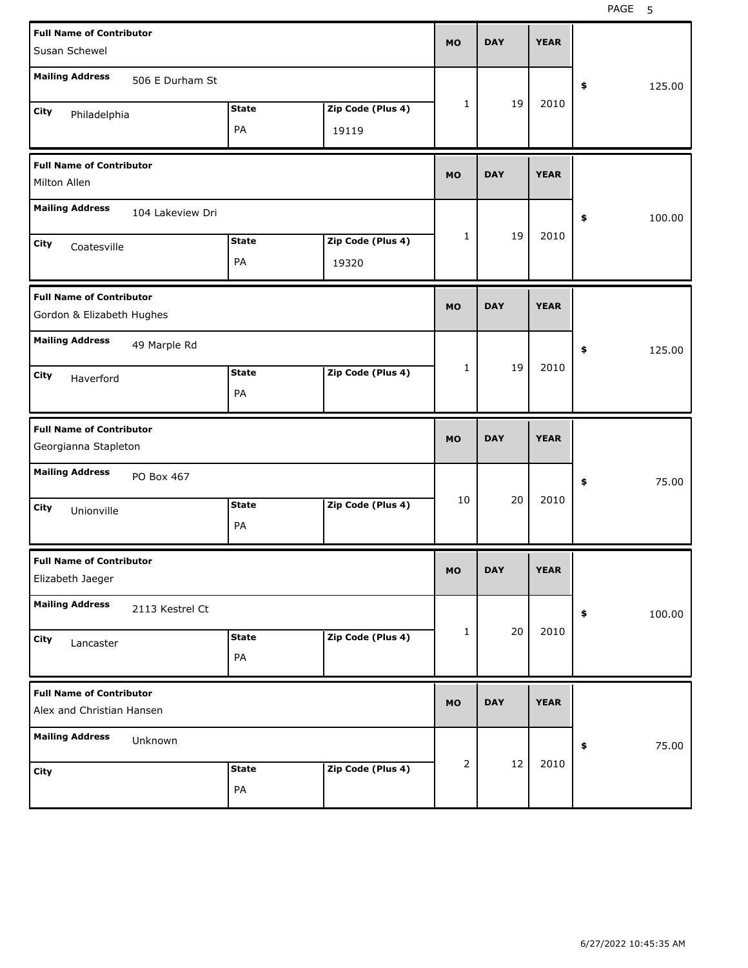| <b>Full Name of Contributor</b><br>Susan Schewel             |                  |                    |                            | <b>MO</b>    | <b>DAY</b> | <b>YEAR</b> |              |
|--------------------------------------------------------------|------------------|--------------------|----------------------------|--------------|------------|-------------|--------------|
| <b>Mailing Address</b>                                       | 506 E Durham St  |                    |                            |              |            |             | 125.00<br>\$ |
| City<br>Philadelphia                                         |                  | <b>State</b><br>PA | Zip Code (Plus 4)<br>19119 | 1            | 19         | 2010        |              |
| <b>Full Name of Contributor</b><br>Milton Allen              |                  |                    |                            | <b>MO</b>    | <b>DAY</b> | <b>YEAR</b> |              |
| <b>Mailing Address</b>                                       | 104 Lakeview Dri |                    |                            |              |            |             | 100.00<br>\$ |
| City<br>Coatesville                                          |                  | <b>State</b><br>PA | Zip Code (Plus 4)<br>19320 | 1            | 19         | 2010        |              |
| <b>Full Name of Contributor</b><br>Gordon & Elizabeth Hughes |                  |                    |                            | <b>MO</b>    | <b>DAY</b> | <b>YEAR</b> |              |
| <b>Mailing Address</b>                                       | 49 Marple Rd     |                    |                            | $\mathbf{1}$ | 19         | 2010        | 125.00<br>\$ |
| City<br>Haverford                                            |                  | <b>State</b><br>PA | Zip Code (Plus 4)          |              |            |             |              |
|                                                              |                  |                    |                            |              |            |             |              |
| <b>Full Name of Contributor</b><br>Georgianna Stapleton      |                  |                    |                            | <b>MO</b>    | <b>DAY</b> | <b>YEAR</b> |              |
| <b>Mailing Address</b>                                       | PO Box 467       |                    |                            |              |            |             | 75.00<br>\$  |
| City<br>Unionville                                           |                  | <b>State</b><br>PA | Zip Code (Plus 4)          | 10           | 20         | 2010        |              |
| <b>Full Name of Contributor</b><br>Elizabeth Jaeger          |                  |                    |                            | МO           | <b>DAY</b> | <b>YEAR</b> |              |
| <b>Mailing Address</b>                                       | 2113 Kestrel Ct  |                    |                            |              |            |             | 100.00<br>\$ |
| City<br>Lancaster                                            |                  | <b>State</b><br>PA | Zip Code (Plus 4)          | 1            | 20         | 2010        |              |
| <b>Full Name of Contributor</b><br>Alex and Christian Hansen |                  |                    |                            | <b>MO</b>    | <b>DAY</b> | <b>YEAR</b> |              |
| <b>Mailing Address</b>                                       | Unknown          |                    |                            | 2            | 12         | 2010        | 75.00<br>\$  |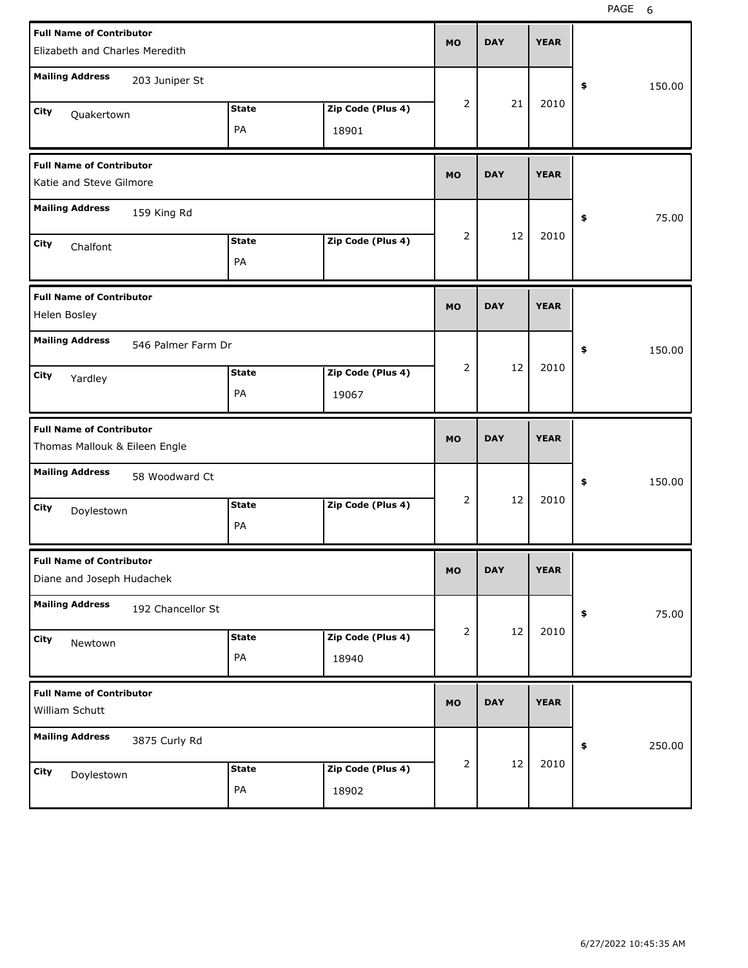| <b>Full Name of Contributor</b><br>Elizabeth and Charles Meredith |                    |                            | <b>MO</b>      | <b>DAY</b> | <b>YEAR</b> |              |
|-------------------------------------------------------------------|--------------------|----------------------------|----------------|------------|-------------|--------------|
| <b>Mailing Address</b><br>203 Juniper St                          |                    |                            |                |            |             | 150.00<br>\$ |
| City<br>Quakertown                                                | <b>State</b><br>PA | Zip Code (Plus 4)<br>18901 | 2              | 21         | 2010        |              |
| <b>Full Name of Contributor</b><br>Katie and Steve Gilmore        |                    |                            | <b>MO</b>      | <b>DAY</b> | <b>YEAR</b> |              |
| <b>Mailing Address</b><br>159 King Rd                             |                    |                            |                |            |             | 75.00<br>\$  |
| City<br>Chalfont                                                  | <b>State</b><br>PA | Zip Code (Plus 4)          | 2              | 12         | 2010        |              |
| <b>Full Name of Contributor</b><br>Helen Bosley                   |                    |                            | <b>MO</b>      | <b>DAY</b> | <b>YEAR</b> |              |
| <b>Mailing Address</b><br>546 Palmer Farm Dr                      |                    |                            |                |            |             | 150.00<br>\$ |
| City<br>Yardley                                                   | <b>State</b><br>PA | Zip Code (Plus 4)<br>19067 | 2              | 12         | 2010        |              |
|                                                                   |                    |                            |                |            |             |              |
| <b>Full Name of Contributor</b><br>Thomas Mallouk & Eileen Engle  |                    |                            | <b>MO</b>      | <b>DAY</b> | <b>YEAR</b> |              |
| <b>Mailing Address</b><br>58 Woodward Ct                          |                    |                            |                |            |             | 150.00<br>\$ |
| City<br>Doylestown                                                | <b>State</b><br>PA | Zip Code (Plus 4)          | 2              | 12         | 2010        |              |
| <b>Full Name of Contributor</b><br>Diane and Joseph Hudachek      |                    |                            | MO             | <b>DAY</b> | <b>YEAR</b> |              |
| <b>Mailing Address</b><br>192 Chancellor St                       |                    |                            |                |            |             | 75.00<br>\$  |
| City<br>Newtown                                                   | <b>State</b><br>PA | Zip Code (Plus 4)<br>18940 | 2              | 12         | 2010        |              |
| <b>Full Name of Contributor</b><br>William Schutt                 |                    |                            | <b>MO</b>      | <b>DAY</b> | <b>YEAR</b> |              |
| <b>Mailing Address</b><br>3875 Curly Rd                           |                    |                            | $\overline{2}$ | 12         | 2010        | 250.00<br>\$ |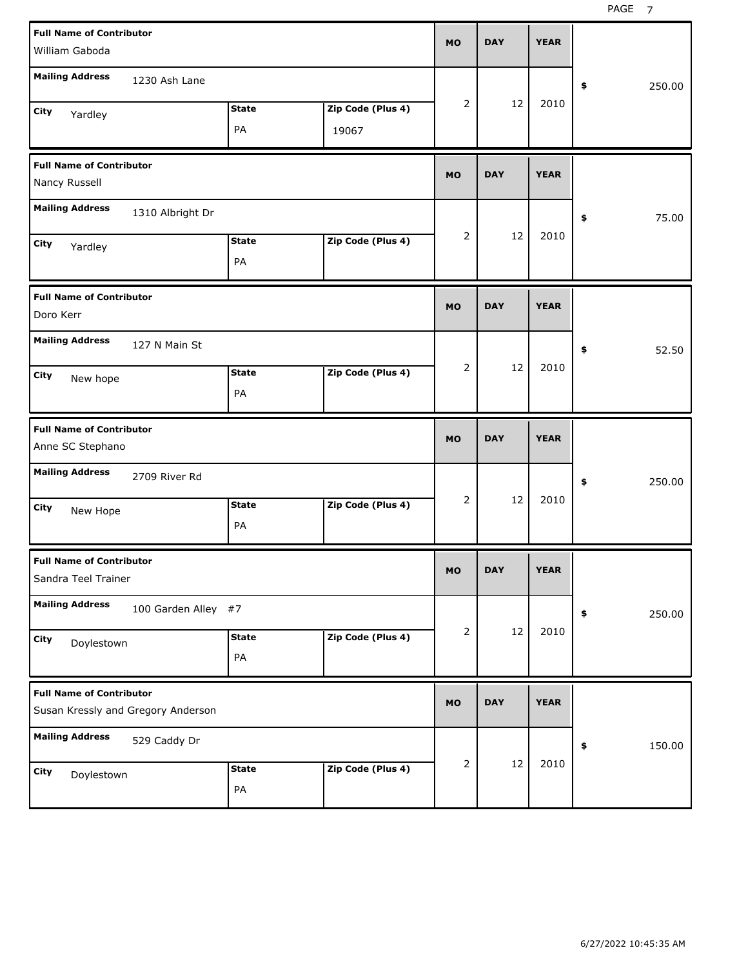| <b>Full Name of Contributor</b><br>William Gaboda                     | <b>MO</b> | <b>DAY</b> | <b>YEAR</b> |              |
|-----------------------------------------------------------------------|-----------|------------|-------------|--------------|
| <b>Mailing Address</b><br>1230 Ash Lane                               |           |            |             | \$<br>250.00 |
| Zip Code (Plus 4)<br><b>State</b><br>City<br>Yardley<br>PA<br>19067   | 2         | 12         | 2010        |              |
| <b>Full Name of Contributor</b><br>Nancy Russell                      | <b>MO</b> | <b>DAY</b> | <b>YEAR</b> |              |
| <b>Mailing Address</b><br>1310 Albright Dr                            |           |            |             | \$<br>75.00  |
| Zip Code (Plus 4)<br><b>State</b><br>City<br>Yardley<br>PA            | 2         | 12         | 2010        |              |
| <b>Full Name of Contributor</b><br>Doro Kerr                          | <b>MO</b> | <b>DAY</b> | <b>YEAR</b> |              |
| <b>Mailing Address</b><br>127 N Main St                               |           |            |             | \$<br>52.50  |
| Zip Code (Plus 4)<br><b>State</b><br>City<br>New hope<br>PA           | 2         | 12         | 2010        |              |
|                                                                       |           |            |             |              |
| <b>Full Name of Contributor</b><br>Anne SC Stephano                   | <b>MO</b> | <b>DAY</b> | <b>YEAR</b> |              |
| <b>Mailing Address</b><br>2709 River Rd                               |           |            |             | \$<br>250.00 |
| Zip Code (Plus 4)<br><b>State</b><br>City<br>New Hope<br>PA           | 2         | 12         | 2010        |              |
| <b>Full Name of Contributor</b><br>Sandra Teel Trainer                | MO        | <b>DAY</b> | <b>YEAR</b> |              |
| <b>Mailing Address</b><br>100 Garden Alley #7                         |           |            |             | 250.00<br>\$ |
| Zip Code (Plus 4)<br><b>State</b><br>City<br>Doylestown<br>PA         | 2         | 12         | 2010        |              |
| <b>Full Name of Contributor</b><br>Susan Kressly and Gregory Anderson | <b>MO</b> | <b>DAY</b> | <b>YEAR</b> |              |
| <b>Mailing Address</b><br>529 Caddy Dr                                | 2         | 12         | 2010        | \$<br>150.00 |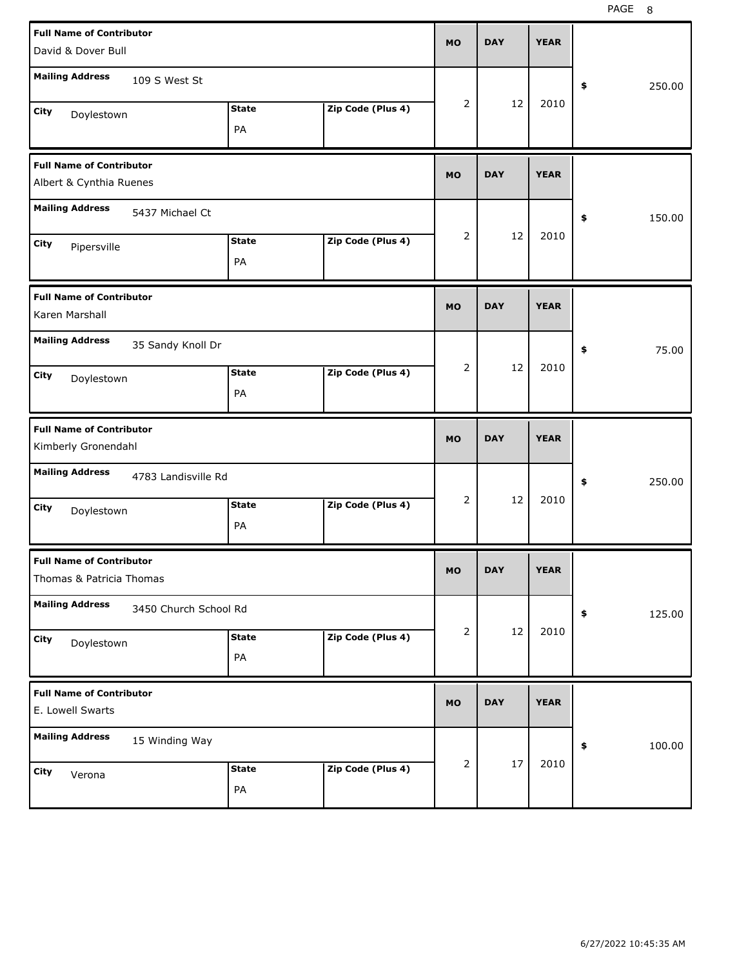| <b>Full Name of Contributor</b><br>David & Dover Bull                                                        | <b>MO</b> | <b>DAY</b> | <b>YEAR</b> |              |
|--------------------------------------------------------------------------------------------------------------|-----------|------------|-------------|--------------|
| <b>Mailing Address</b><br>109 S West St                                                                      |           |            |             | \$<br>250.00 |
| Zip Code (Plus 4)<br><b>State</b><br>City<br>Doylestown<br>PA                                                | 2         | 12         | 2010        |              |
| <b>Full Name of Contributor</b><br>Albert & Cynthia Ruenes                                                   | <b>MO</b> | <b>DAY</b> | <b>YEAR</b> |              |
| <b>Mailing Address</b><br>5437 Michael Ct                                                                    |           |            |             | \$<br>150.00 |
| Zip Code (Plus 4)<br><b>State</b><br>City<br>Pipersville<br>PA                                               | 2         | 12         | 2010        |              |
| <b>Full Name of Contributor</b><br>Karen Marshall                                                            | <b>MO</b> | <b>DAY</b> | <b>YEAR</b> |              |
| <b>Mailing Address</b><br>35 Sandy Knoll Dr<br>Zip Code (Plus 4)<br><b>State</b><br>City<br>Doylestown<br>PA | 2         | 12         | 2010        | 75.00<br>\$  |
|                                                                                                              |           |            |             |              |
| <b>Full Name of Contributor</b><br>Kimberly Gronendahl                                                       | <b>MO</b> | <b>DAY</b> | <b>YEAR</b> |              |
| <b>Mailing Address</b><br>4783 Landisville Rd                                                                |           |            |             | \$<br>250.00 |
| Zip Code (Plus 4)<br><b>State</b><br>City<br>Doylestown<br>PA                                                | 2         | 12         | 2010        |              |
| <b>Full Name of Contributor</b><br>Thomas & Patricia Thomas                                                  | MO        | <b>DAY</b> | <b>YEAR</b> |              |
| <b>Mailing Address</b><br>3450 Church School Rd                                                              |           |            |             | 125.00<br>\$ |
| Zip Code (Plus 4)<br><b>State</b><br>City<br>Doylestown<br>PA                                                | 2         | 12         | 2010        |              |
| <b>Full Name of Contributor</b><br>E. Lowell Swarts                                                          | <b>MO</b> | <b>DAY</b> | <b>YEAR</b> |              |
| <b>Mailing Address</b><br>15 Winding Way                                                                     | 2         | 17         | 2010        | 100.00<br>\$ |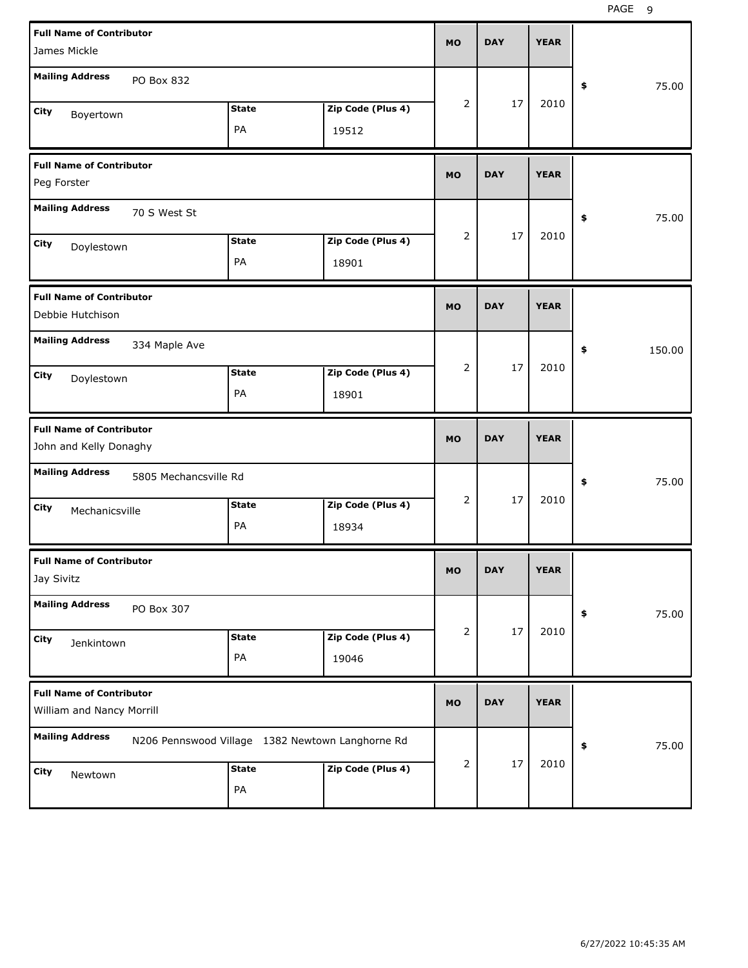| <b>Full Name of Contributor</b><br>James Mickle              |                       |                                                  |                   | <b>MO</b>      | <b>DAY</b> | <b>YEAR</b> |              |
|--------------------------------------------------------------|-----------------------|--------------------------------------------------|-------------------|----------------|------------|-------------|--------------|
| <b>Mailing Address</b>                                       | PO Box 832            |                                                  |                   |                |            |             | \$<br>75.00  |
| City<br>Boyertown                                            |                       | <b>State</b>                                     | Zip Code (Plus 4) | $\overline{2}$ | 17         | 2010        |              |
|                                                              |                       | PA                                               | 19512             |                |            |             |              |
| <b>Full Name of Contributor</b><br>Peg Forster               |                       |                                                  |                   | <b>MO</b>      | <b>DAY</b> | <b>YEAR</b> |              |
| <b>Mailing Address</b>                                       | 70 S West St          |                                                  |                   |                |            |             | 75.00<br>\$  |
| City<br>Doylestown                                           |                       | <b>State</b>                                     | Zip Code (Plus 4) | $\overline{2}$ | 17         | 2010        |              |
|                                                              |                       | PA                                               | 18901             |                |            |             |              |
| <b>Full Name of Contributor</b><br>Debbie Hutchison          |                       |                                                  |                   | <b>MO</b>      | <b>DAY</b> | <b>YEAR</b> |              |
| <b>Mailing Address</b>                                       | 334 Maple Ave         |                                                  |                   |                |            |             | \$<br>150.00 |
| City<br>Doylestown                                           |                       | <b>State</b>                                     | Zip Code (Plus 4) | $\overline{2}$ | 17         | 2010        |              |
|                                                              |                       | PA                                               | 18901             |                |            |             |              |
|                                                              |                       |                                                  |                   |                |            |             |              |
| <b>Full Name of Contributor</b><br>John and Kelly Donaghy    |                       |                                                  |                   | <b>MO</b>      | <b>DAY</b> | <b>YEAR</b> |              |
| <b>Mailing Address</b>                                       | 5805 Mechancsville Rd |                                                  |                   |                |            |             | 75.00<br>\$  |
| City<br>Mechanicsville                                       |                       | <b>State</b>                                     | Zip Code (Plus 4) | $\overline{2}$ | 17         | 2010        |              |
|                                                              |                       | PA                                               | 18934             |                |            |             |              |
| <b>Full Name of Contributor</b><br>Jay Sivitz                |                       |                                                  |                   | МO             | DAY        | <b>YEAR</b> |              |
| <b>Mailing Address</b>                                       | PO Box 307            |                                                  |                   |                |            |             | 75.00<br>\$  |
| City                                                         |                       | <b>State</b>                                     | Zip Code (Plus 4) | 2              | 17         | 2010        |              |
| Jenkintown                                                   |                       | PA                                               | 19046             |                |            |             |              |
| <b>Full Name of Contributor</b><br>William and Nancy Morrill |                       |                                                  |                   | <b>MO</b>      | <b>DAY</b> | <b>YEAR</b> |              |
| <b>Mailing Address</b>                                       |                       | N206 Pennswood Village 1382 Newtown Langhorne Rd |                   |                |            |             | 75.00<br>\$  |
| City<br>Newtown                                              |                       | <b>State</b><br>PA                               | Zip Code (Plus 4) | 2              | 17         | 2010        |              |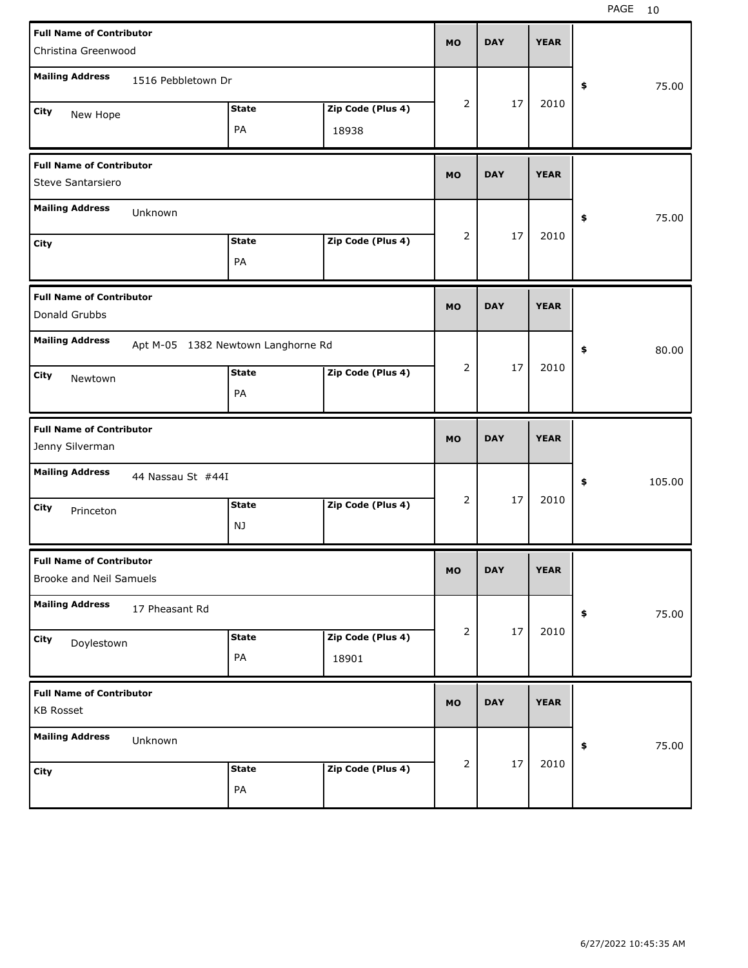| <b>Full Name of Contributor</b>                            |                    |                                    |                   |           |            |             |              |
|------------------------------------------------------------|--------------------|------------------------------------|-------------------|-----------|------------|-------------|--------------|
| Christina Greenwood                                        |                    |                                    |                   | <b>MO</b> | <b>DAY</b> | <b>YEAR</b> |              |
| <b>Mailing Address</b>                                     | 1516 Pebbletown Dr |                                    |                   |           |            |             | \$<br>75.00  |
| City                                                       |                    | <b>State</b>                       | Zip Code (Plus 4) | 2         | 17         | 2010        |              |
| New Hope                                                   |                    | PA                                 | 18938             |           |            |             |              |
| <b>Full Name of Contributor</b>                            |                    |                                    |                   | <b>MO</b> | <b>DAY</b> | <b>YEAR</b> |              |
| Steve Santarsiero                                          |                    |                                    |                   |           |            |             |              |
| <b>Mailing Address</b>                                     | Unknown            |                                    |                   |           |            |             | \$<br>75.00  |
| City                                                       |                    | <b>State</b>                       | Zip Code (Plus 4) | 2         | 17         | 2010        |              |
|                                                            |                    | PA                                 |                   |           |            |             |              |
| <b>Full Name of Contributor</b>                            |                    |                                    |                   |           |            |             |              |
| Donald Grubbs                                              |                    |                                    |                   | <b>MO</b> | <b>DAY</b> | <b>YEAR</b> |              |
| <b>Mailing Address</b>                                     |                    | Apt M-05 1382 Newtown Langhorne Rd |                   |           |            |             | \$<br>80.00  |
| City<br>Newtown                                            |                    | <b>State</b>                       | Zip Code (Plus 4) | 2         | 17         | 2010        |              |
|                                                            |                    | PA                                 |                   |           |            |             |              |
|                                                            |                    |                                    |                   |           |            |             |              |
| <b>Full Name of Contributor</b><br>Jenny Silverman         |                    |                                    |                   | <b>MO</b> | <b>DAY</b> | <b>YEAR</b> |              |
| <b>Mailing Address</b>                                     | 44 Nassau St #44I  |                                    |                   |           |            |             | \$<br>105.00 |
| City                                                       |                    | <b>State</b>                       | Zip Code (Plus 4) | 2         | 17         | 2010        |              |
| Princeton                                                  |                    | NJ                                 |                   |           |            |             |              |
| <b>Full Name of Contributor</b><br>Brooke and Neil Samuels |                    |                                    |                   | МO        | <b>DAY</b> | <b>YEAR</b> |              |
| <b>Mailing Address</b>                                     | 17 Pheasant Rd     |                                    |                   |           |            |             | 75.00<br>\$  |
| City                                                       |                    | <b>State</b>                       | Zip Code (Plus 4) | 2         | 17         | 2010        |              |
| Doylestown                                                 |                    | PA                                 | 18901             |           |            |             |              |
| <b>Full Name of Contributor</b>                            |                    |                                    |                   |           |            |             |              |
| <b>KB Rosset</b>                                           |                    |                                    |                   | <b>MO</b> | <b>DAY</b> | <b>YEAR</b> |              |
| <b>Mailing Address</b>                                     | Unknown            |                                    |                   |           |            |             | 75.00<br>\$  |
| City                                                       |                    | <b>State</b>                       | Zip Code (Plus 4) | 2         | 17         | 2010        |              |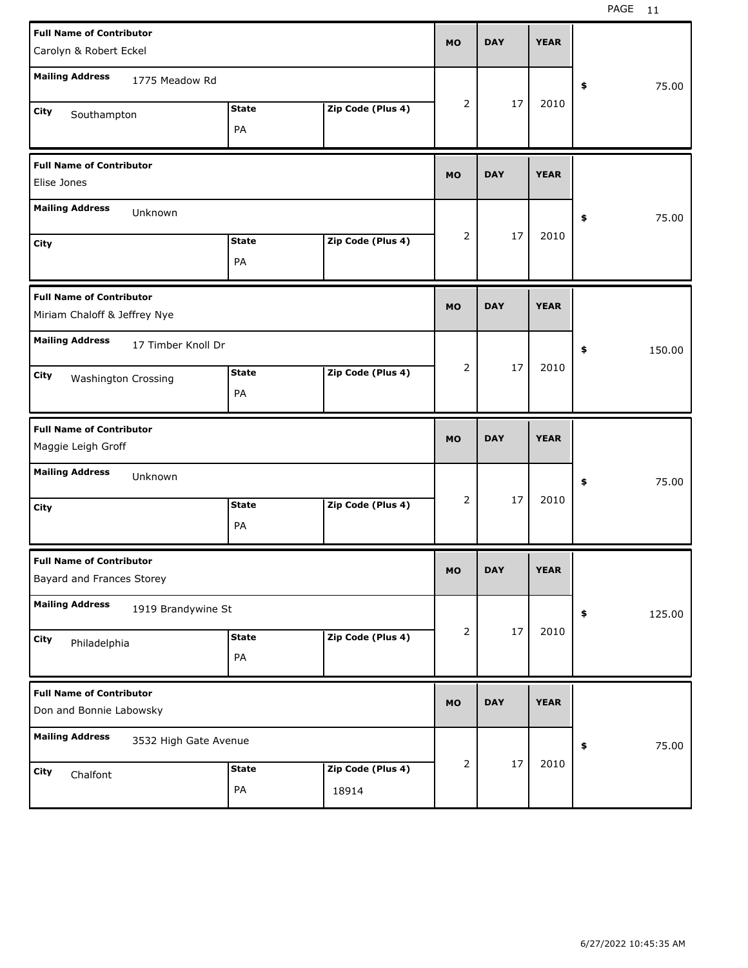| <b>Full Name of Contributor</b><br>Carolyn & Robert Eckel                          |                    |                   | <b>MO</b>      | <b>DAY</b> | <b>YEAR</b> |              |
|------------------------------------------------------------------------------------|--------------------|-------------------|----------------|------------|-------------|--------------|
| <b>Mailing Address</b><br>1775 Meadow Rd                                           |                    |                   |                |            |             | 75.00<br>\$  |
| City<br>Southampton                                                                | <b>State</b><br>PA | Zip Code (Plus 4) | $\overline{2}$ | 17         | 2010        |              |
| <b>Full Name of Contributor</b><br>Elise Jones                                     |                    |                   | <b>MO</b>      | <b>DAY</b> | <b>YEAR</b> |              |
| <b>Mailing Address</b><br>Unknown<br><b>City</b>                                   | <b>State</b><br>PA | Zip Code (Plus 4) | $\overline{2}$ | 17         | 2010        | \$<br>75.00  |
| <b>Full Name of Contributor</b><br>Miriam Chaloff & Jeffrey Nye                    |                    |                   | <b>MO</b>      | <b>DAY</b> | <b>YEAR</b> |              |
| <b>Mailing Address</b><br>17 Timber Knoll Dr<br>City<br><b>Washington Crossing</b> | <b>State</b><br>PA | Zip Code (Plus 4) | $\overline{2}$ | 17         | 2010        | \$<br>150.00 |
|                                                                                    |                    |                   |                |            |             |              |
| <b>Full Name of Contributor</b><br>Maggie Leigh Groff                              |                    |                   | <b>MO</b>      | <b>DAY</b> | <b>YEAR</b> |              |
| <b>Mailing Address</b><br>Unknown<br><b>City</b>                                   | <b>State</b><br>PA | Zip Code (Plus 4) | $\overline{2}$ | 17         | 2010        | \$<br>75.00  |
| <b>Full Name of Contributor</b><br>Bayard and Frances Storey                       |                    |                   | <b>MO</b>      | <b>DAY</b> | <b>YEAR</b> |              |
| <b>Mailing Address</b><br>1919 Brandywine St<br>City<br>Philadelphia               | <b>State</b><br>PA | Zip Code (Plus 4) | $\overline{2}$ | 17         | 2010        | \$<br>125.00 |
| <b>Full Name of Contributor</b><br>Don and Bonnie Labowsky                         |                    |                   | <b>MO</b>      | <b>DAY</b> | <b>YEAR</b> |              |
| <b>Mailing Address</b><br>3532 High Gate Avenue                                    |                    |                   | 2              | 17         | 2010        | 75.00<br>\$  |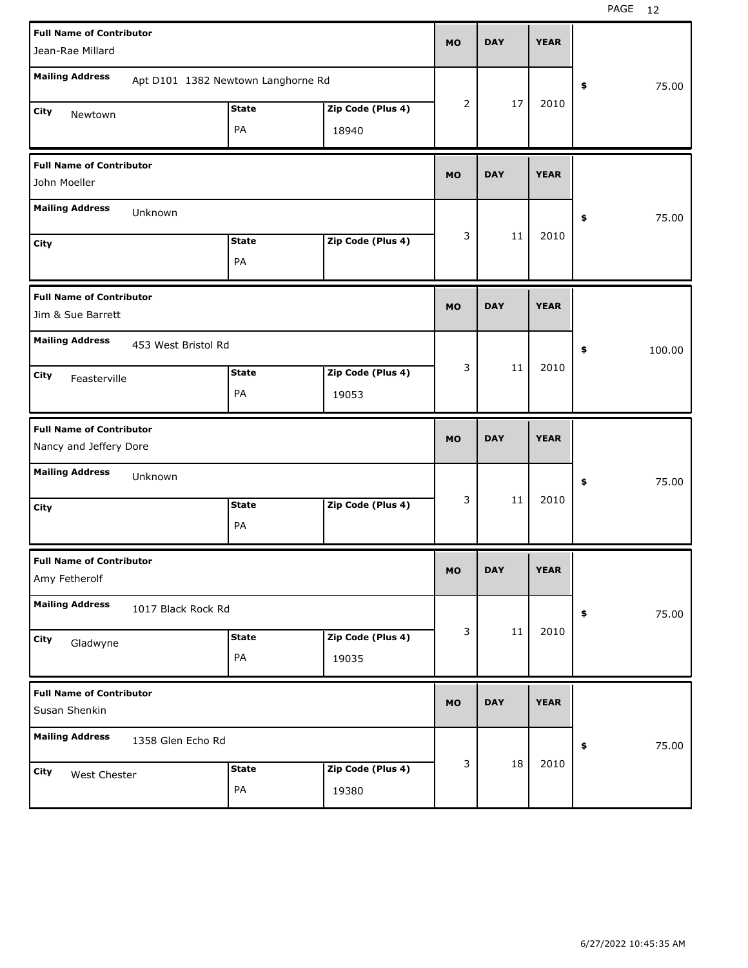| <b>Full Name of Contributor</b>   |                                    |                   |           |            |             |            |        |
|-----------------------------------|------------------------------------|-------------------|-----------|------------|-------------|------------|--------|
| Jean-Rae Millard                  |                                    |                   | <b>MO</b> | <b>DAY</b> | <b>YEAR</b> |            |        |
| <b>Mailing Address</b>            | Apt D101 1382 Newtown Langhorne Rd |                   |           |            |             |            |        |
|                                   |                                    |                   |           |            |             | \$         | 75.00  |
| City<br>Newtown                   | <b>State</b>                       | Zip Code (Plus 4) | 2         | 17         | 2010        |            |        |
|                                   | PA                                 | 18940             |           |            |             |            |        |
| <b>Full Name of Contributor</b>   |                                    |                   |           |            |             |            |        |
| John Moeller                      |                                    |                   | <b>MO</b> | <b>DAY</b> | <b>YEAR</b> |            |        |
| <b>Mailing Address</b><br>Unknown |                                    |                   |           |            |             | \$         | 75.00  |
| City                              | <b>State</b>                       | Zip Code (Plus 4) | 3         | 11         | 2010        |            |        |
|                                   | PA                                 |                   |           |            |             |            |        |
| <b>Full Name of Contributor</b>   |                                    |                   |           |            |             |            |        |
| Jim & Sue Barrett                 |                                    |                   | <b>MO</b> | <b>DAY</b> | <b>YEAR</b> |            |        |
| <b>Mailing Address</b>            | 453 West Bristol Rd                |                   |           |            |             | \$         | 100.00 |
| City<br>Feasterville              | <b>State</b>                       | Zip Code (Plus 4) | 3         | 11         | 2010        |            |        |
|                                   | PA                                 | 19053             |           |            |             |            |        |
|                                   |                                    |                   |           |            |             |            |        |
| <b>Full Name of Contributor</b>   |                                    |                   |           |            |             |            |        |
| Nancy and Jeffery Dore            |                                    |                   | <b>MO</b> | <b>DAY</b> | <b>YEAR</b> |            |        |
| <b>Mailing Address</b><br>Unknown |                                    |                   |           |            |             | \$         | 75.00  |
| City                              | <b>State</b>                       | Zip Code (Plus 4) | 3         | 11         | 2010        |            |        |
|                                   | PA                                 |                   |           |            |             |            |        |
| <b>Full Name of Contributor</b>   |                                    |                   |           |            |             |            |        |
| Amy Fetherolf                     |                                    |                   | <b>MO</b> | <b>DAY</b> | <b>YEAR</b> |            |        |
| <b>Mailing Address</b>            | 1017 Black Rock Rd                 |                   |           |            |             | $\pmb{\$}$ | 75.00  |
| City                              | <b>State</b>                       | Zip Code (Plus 4) | 3         | $11\,$     | 2010        |            |        |
| Gladwyne                          | PA                                 | 19035             |           |            |             |            |        |
| <b>Full Name of Contributor</b>   |                                    |                   |           |            |             |            |        |
| Susan Shenkin                     |                                    |                   | <b>MO</b> | <b>DAY</b> | <b>YEAR</b> |            |        |
| <b>Mailing Address</b>            | 1358 Glen Echo Rd                  |                   |           |            |             | \$         | 75.00  |
| City                              | <b>State</b>                       | Zip Code (Plus 4) | 3         | 18         | 2010        |            |        |
| West Chester                      | PA                                 | 19380             |           |            |             |            |        |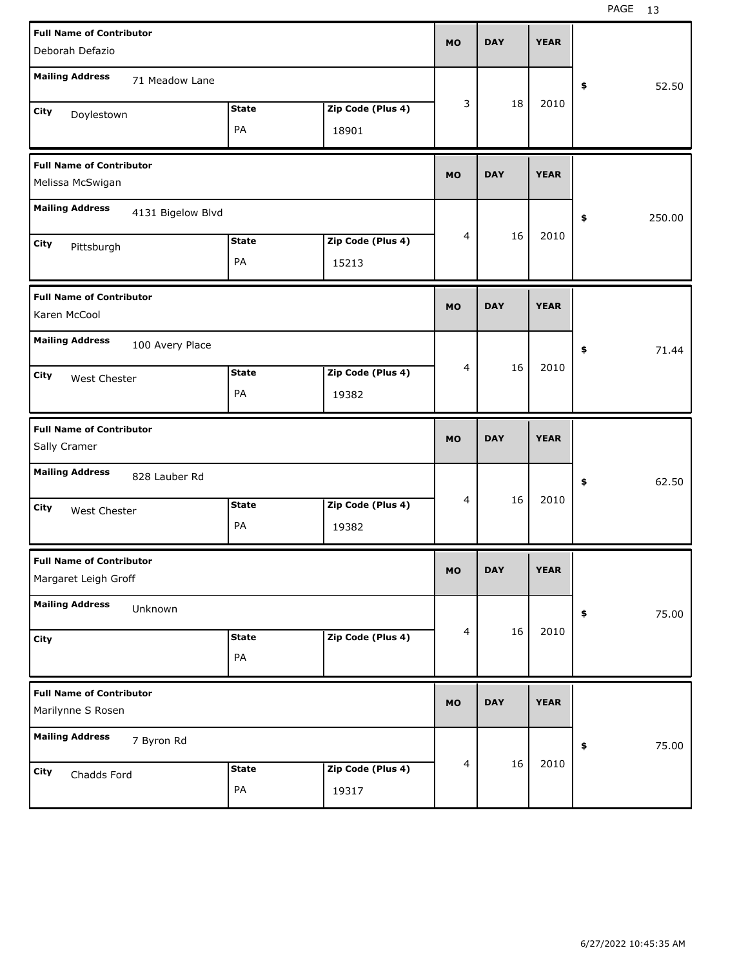| <b>Full Name of Contributor</b><br>Deborah Defazio      |                    |                            | <b>MO</b> | <b>DAY</b> | <b>YEAR</b> |              |
|---------------------------------------------------------|--------------------|----------------------------|-----------|------------|-------------|--------------|
| <b>Mailing Address</b><br>71 Meadow Lane                |                    |                            |           |            |             | \$<br>52.50  |
| City<br>Doylestown                                      | <b>State</b><br>PA | Zip Code (Plus 4)<br>18901 | 3         | 18         | 2010        |              |
| <b>Full Name of Contributor</b><br>Melissa McSwigan     |                    |                            | <b>MO</b> | <b>DAY</b> | <b>YEAR</b> |              |
| <b>Mailing Address</b><br>4131 Bigelow Blvd             |                    |                            |           |            |             | \$<br>250.00 |
| City<br>Pittsburgh                                      | <b>State</b><br>PA | Zip Code (Plus 4)<br>15213 | 4         | 16         | 2010        |              |
| <b>Full Name of Contributor</b><br>Karen McCool         |                    |                            | <b>MO</b> | <b>DAY</b> | <b>YEAR</b> |              |
| <b>Mailing Address</b><br>100 Avery Place               |                    |                            |           |            |             | \$<br>71.44  |
| City<br>West Chester                                    | <b>State</b><br>PA | Zip Code (Plus 4)<br>19382 | 4         | 16         | 2010        |              |
|                                                         |                    |                            |           |            |             |              |
| <b>Full Name of Contributor</b><br>Sally Cramer         |                    |                            | <b>MO</b> | <b>DAY</b> | <b>YEAR</b> |              |
| <b>Mailing Address</b><br>828 Lauber Rd                 |                    |                            |           |            |             | \$<br>62.50  |
| City<br>West Chester                                    | <b>State</b><br>PA | Zip Code (Plus 4)<br>19382 | 4         | 16         | 2010        |              |
| <b>Full Name of Contributor</b><br>Margaret Leigh Groff |                    |                            | <b>MO</b> | <b>DAY</b> | <b>YEAR</b> |              |
| <b>Mailing Address</b><br>Unknown                       |                    |                            |           |            |             | 75.00<br>\$  |
| <b>City</b>                                             | <b>State</b><br>PA | Zip Code (Plus 4)          | 4         | 16         | 2010        |              |
| <b>Full Name of Contributor</b><br>Marilynne S Rosen    |                    |                            | <b>MO</b> | <b>DAY</b> | <b>YEAR</b> |              |
| <b>Mailing Address</b><br>7 Byron Rd                    |                    |                            |           | 16         | 2010        | 75.00<br>\$  |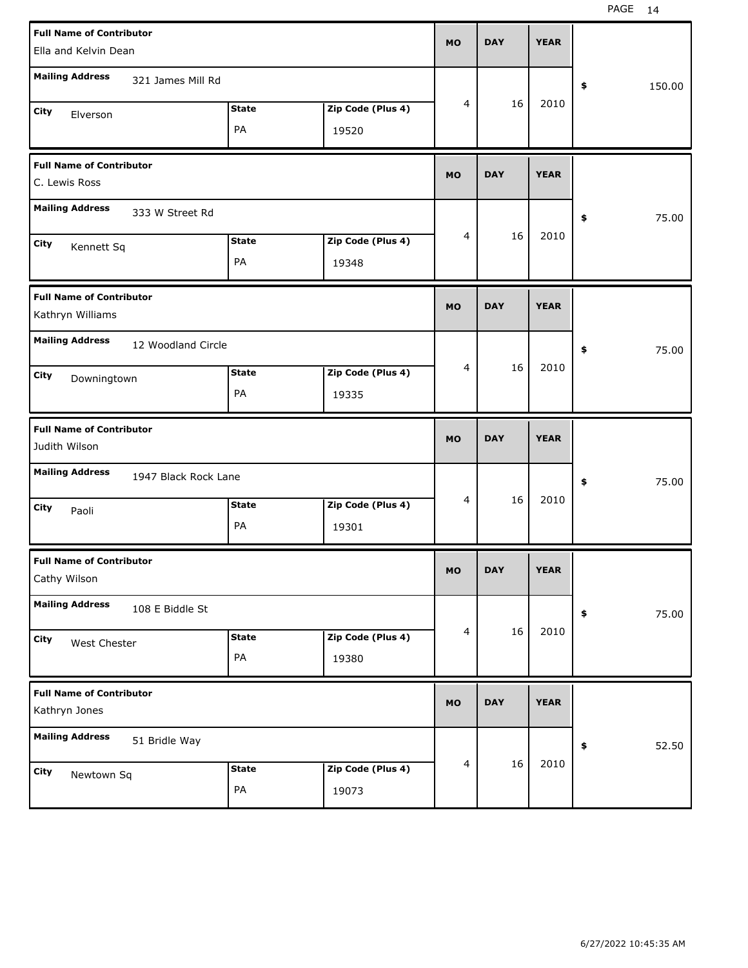| <b>Full Name of Contributor</b>                     |                      |              |                   | <b>MO</b>      | <b>DAY</b> | <b>YEAR</b> |              |       |
|-----------------------------------------------------|----------------------|--------------|-------------------|----------------|------------|-------------|--------------|-------|
| Ella and Kelvin Dean                                |                      |              |                   |                |            |             |              |       |
| <b>Mailing Address</b>                              | 321 James Mill Rd    |              |                   |                |            |             |              |       |
|                                                     |                      |              |                   | 4              | 16         | 2010        | \$<br>150.00 |       |
| City<br>Elverson                                    |                      | <b>State</b> | Zip Code (Plus 4) |                |            |             |              |       |
|                                                     |                      | PA           | 19520             |                |            |             |              |       |
| <b>Full Name of Contributor</b>                     |                      |              |                   |                |            |             |              |       |
| C. Lewis Ross                                       |                      |              |                   | <b>MO</b>      | <b>DAY</b> | <b>YEAR</b> |              |       |
| <b>Mailing Address</b>                              | 333 W Street Rd      |              |                   |                |            |             | \$           | 75.00 |
| City<br>Kennett Sq                                  |                      | <b>State</b> | Zip Code (Plus 4) | 4              | 16         | 2010        |              |       |
|                                                     |                      | PA           | 19348             |                |            |             |              |       |
|                                                     |                      |              |                   |                |            |             |              |       |
| <b>Full Name of Contributor</b><br>Kathryn Williams |                      |              |                   | <b>MO</b>      | <b>DAY</b> | <b>YEAR</b> |              |       |
| <b>Mailing Address</b>                              | 12 Woodland Circle   |              |                   |                |            |             | \$           | 75.00 |
| City<br>Downingtown                                 |                      | State        | Zip Code (Plus 4) | 4              | 16         | 2010        |              |       |
|                                                     |                      | PA           | 19335             |                |            |             |              |       |
|                                                     |                      |              |                   |                |            |             |              |       |
| <b>Full Name of Contributor</b>                     |                      |              |                   |                |            |             |              |       |
| Judith Wilson                                       |                      |              |                   | <b>MO</b>      | <b>DAY</b> | <b>YEAR</b> |              |       |
| <b>Mailing Address</b>                              | 1947 Black Rock Lane |              |                   |                |            |             | \$           | 75.00 |
| City                                                |                      | <b>State</b> | Zip Code (Plus 4) | 4              | 16         | 2010        |              |       |
| Paoli                                               |                      | PA           | 19301             |                |            |             |              |       |
| <b>Full Name of Contributor</b>                     |                      |              |                   |                |            |             |              |       |
| Cathy Wilson                                        |                      |              |                   | <b>MO</b>      | <b>DAY</b> | <b>YEAR</b> |              |       |
| <b>Mailing Address</b>                              | 108 E Biddle St      |              |                   |                |            |             | \$           | 75.00 |
| City                                                |                      | <b>State</b> | Zip Code (Plus 4) | 4              | 16         | 2010        |              |       |
| West Chester                                        |                      | PA           | 19380             |                |            |             |              |       |
| <b>Full Name of Contributor</b>                     |                      |              |                   |                |            |             |              |       |
| Kathryn Jones                                       |                      |              |                   | <b>MO</b>      | <b>DAY</b> | <b>YEAR</b> |              |       |
| <b>Mailing Address</b>                              | 51 Bridle Way        |              |                   |                |            |             | \$           | 52.50 |
| City                                                |                      | <b>State</b> | Zip Code (Plus 4) | $\overline{4}$ | 16         | 2010        |              |       |
| Newtown Sq                                          |                      | PA           | 19073             |                |            |             |              |       |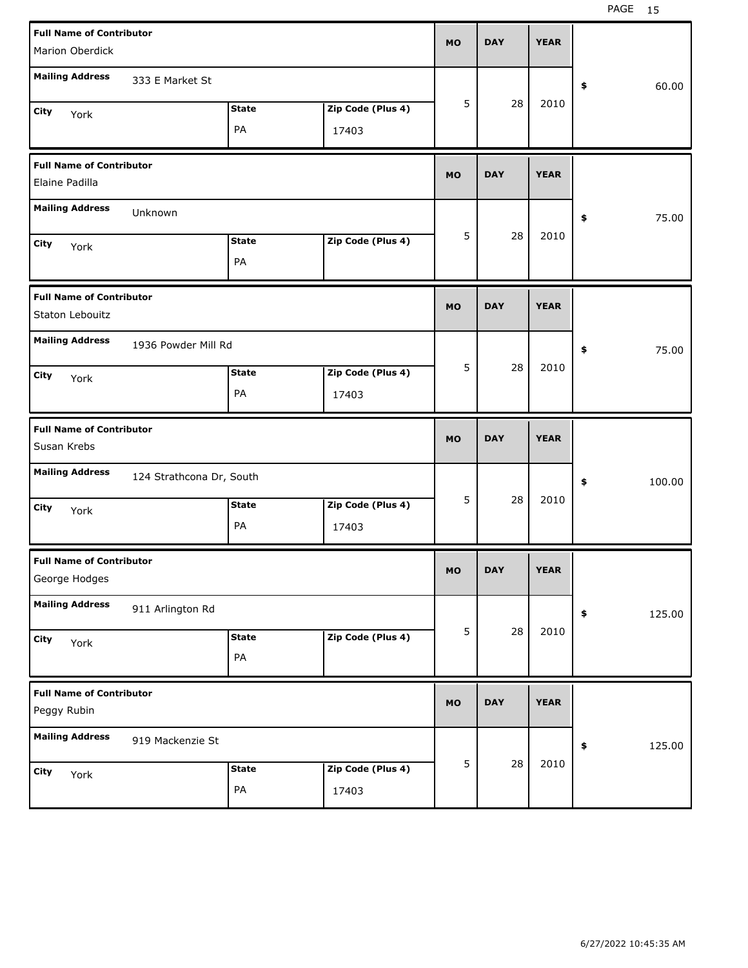| <b>Full Name of Contributor</b><br>Marion Oberdick |                          |                    |                            | <b>MO</b> | <b>DAY</b> | <b>YEAR</b> |              |
|----------------------------------------------------|--------------------------|--------------------|----------------------------|-----------|------------|-------------|--------------|
| <b>Mailing Address</b>                             | 333 E Market St          |                    |                            |           |            |             | 60.00<br>\$  |
| City<br>York                                       |                          | <b>State</b><br>PA | Zip Code (Plus 4)<br>17403 | 5         | 28         | 2010        |              |
| <b>Full Name of Contributor</b><br>Elaine Padilla  |                          |                    |                            | <b>MO</b> | <b>DAY</b> | <b>YEAR</b> |              |
| <b>Mailing Address</b>                             | Unknown                  |                    |                            |           |            |             | 75.00<br>\$  |
| City<br>York                                       |                          | <b>State</b><br>PA | Zip Code (Plus 4)          | 5         | 28         | 2010        |              |
| <b>Full Name of Contributor</b><br>Staton Lebouitz |                          |                    |                            | <b>MO</b> | <b>DAY</b> | <b>YEAR</b> |              |
| <b>Mailing Address</b>                             | 1936 Powder Mill Rd      |                    |                            |           |            |             | 75.00<br>\$  |
| City<br>York                                       |                          | <b>State</b><br>PA | Zip Code (Plus 4)<br>17403 | 5         | 28         | 2010        |              |
|                                                    |                          |                    |                            |           |            |             |              |
| <b>Full Name of Contributor</b><br>Susan Krebs     |                          |                    |                            | <b>MO</b> | <b>DAY</b> | <b>YEAR</b> |              |
| <b>Mailing Address</b>                             | 124 Strathcona Dr, South |                    |                            |           |            |             | \$<br>100.00 |
| City<br>York                                       |                          | <b>State</b><br>PA | Zip Code (Plus 4)<br>17403 | 5         | 28         | 2010        |              |
| <b>Full Name of Contributor</b><br>George Hodges   |                          |                    |                            | МO        | <b>DAY</b> | <b>YEAR</b> |              |
| <b>Mailing Address</b>                             | 911 Arlington Rd         |                    |                            |           |            |             | 125.00<br>\$ |
| City<br>York                                       |                          | <b>State</b><br>PA | Zip Code (Plus 4)          | 5         | 28         | 2010        |              |
| <b>Full Name of Contributor</b><br>Peggy Rubin     |                          |                    |                            | <b>MO</b> | <b>DAY</b> | <b>YEAR</b> |              |
| <b>Mailing Address</b>                             | 919 Mackenzie St         |                    |                            | 5         | 28         | 2010        | 125.00<br>\$ |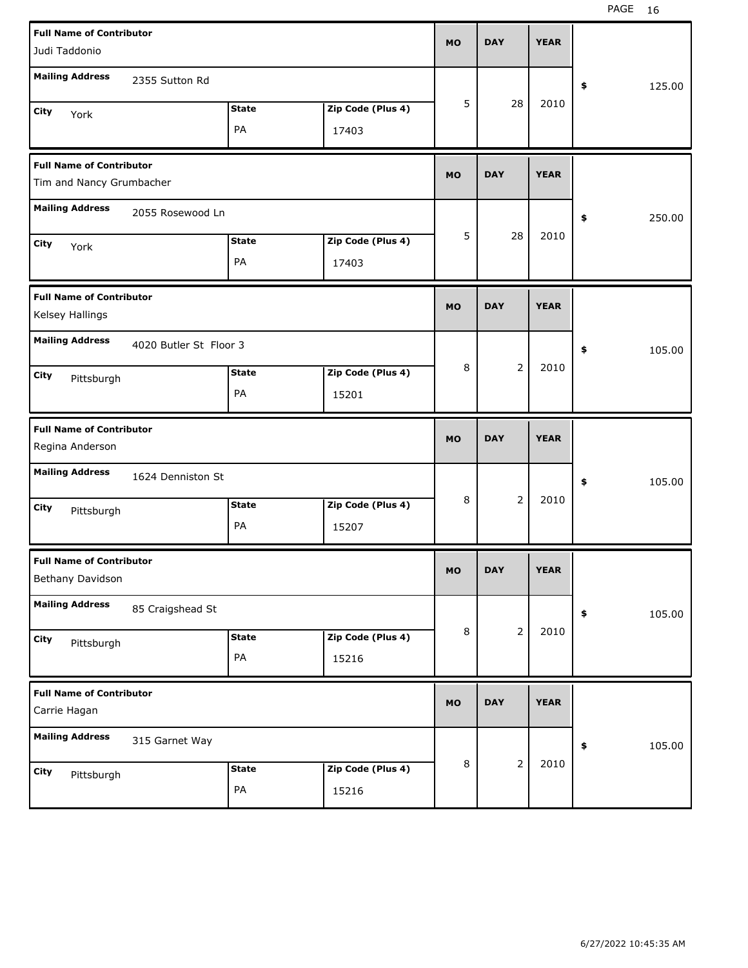| <b>Full Name of Contributor</b><br>Judi Taddonio |                        |              |                   | <b>MO</b> | <b>DAY</b>     | <b>YEAR</b> |              |        |
|--------------------------------------------------|------------------------|--------------|-------------------|-----------|----------------|-------------|--------------|--------|
|                                                  |                        |              |                   |           |                |             |              |        |
| <b>Mailing Address</b>                           | 2355 Sutton Rd         |              |                   |           |                |             | \$<br>125.00 |        |
| City<br>York                                     |                        | <b>State</b> | Zip Code (Plus 4) | 5         | 28             | 2010        |              |        |
|                                                  |                        | PA           | 17403             |           |                |             |              |        |
| <b>Full Name of Contributor</b>                  |                        |              |                   | <b>MO</b> | <b>DAY</b>     | <b>YEAR</b> |              |        |
| Tim and Nancy Grumbacher                         |                        |              |                   |           |                |             |              |        |
| <b>Mailing Address</b>                           | 2055 Rosewood Ln       |              |                   |           |                |             | \$<br>250.00 |        |
| <b>City</b><br>York                              |                        | <b>State</b> | Zip Code (Plus 4) | 5         | 28             | 2010        |              |        |
|                                                  |                        | PA           | 17403             |           |                |             |              |        |
| <b>Full Name of Contributor</b>                  |                        |              |                   |           |                |             |              |        |
| Kelsey Hallings                                  |                        |              |                   | <b>MO</b> | <b>DAY</b>     | <b>YEAR</b> |              |        |
| <b>Mailing Address</b>                           | 4020 Butler St Floor 3 |              |                   |           |                |             | \$           | 105.00 |
| City<br>Pittsburgh                               |                        | <b>State</b> | Zip Code (Plus 4) | 8         | $\overline{2}$ | 2010        |              |        |
|                                                  |                        | PA           | 15201             |           |                |             |              |        |
|                                                  |                        |              |                   |           |                |             |              |        |
| <b>Full Name of Contributor</b>                  |                        |              |                   | <b>MO</b> | <b>DAY</b>     | <b>YEAR</b> |              |        |
| Regina Anderson                                  |                        |              |                   |           |                |             |              |        |
| <b>Mailing Address</b>                           | 1624 Denniston St      |              |                   |           |                |             | \$           | 105.00 |
| City<br>Pittsburgh                               |                        | <b>State</b> | Zip Code (Plus 4) | 8         | 2              | 2010        |              |        |
|                                                  |                        | PA           | 15207             |           |                |             |              |        |
| <b>Full Name of Contributor</b>                  |                        |              |                   | <b>MO</b> | <b>DAY</b>     | <b>YEAR</b> |              |        |
| Bethany Davidson                                 |                        |              |                   |           |                |             |              |        |
| <b>Mailing Address</b>                           | 85 Craigshead St       |              |                   |           |                |             | \$           | 105.00 |
| City<br>Pittsburgh                               |                        | <b>State</b> | Zip Code (Plus 4) | 8         | $\overline{2}$ | 2010        |              |        |
|                                                  |                        | PA           | 15216             |           |                |             |              |        |
| <b>Full Name of Contributor</b><br>Carrie Hagan  |                        |              |                   | <b>MO</b> | <b>DAY</b>     | <b>YEAR</b> |              |        |
| <b>Mailing Address</b>                           | 315 Garnet Way         |              |                   |           |                |             | \$           | 105.00 |
| City<br>Pittsburgh                               |                        | <b>State</b> | Zip Code (Plus 4) | 8         | $\overline{2}$ | 2010        |              |        |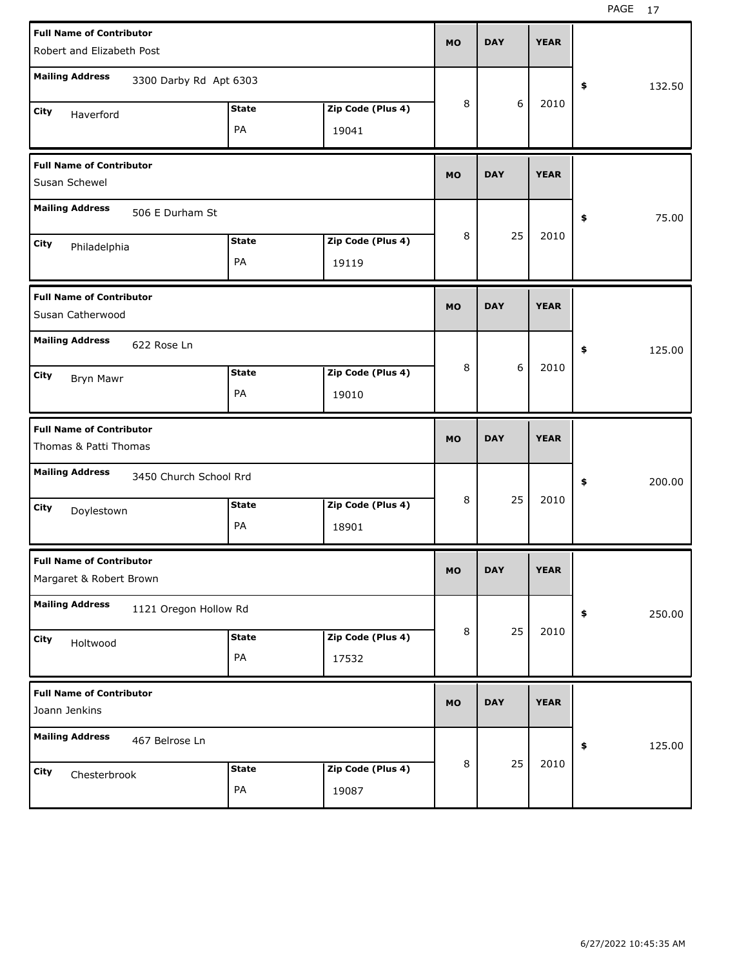| <b>Full Name of Contributor</b><br>Robert and Elizabeth Post             | <b>MO</b> | <b>DAY</b> | <b>YEAR</b> |              |
|--------------------------------------------------------------------------|-----------|------------|-------------|--------------|
| <b>Mailing Address</b><br>3300 Darby Rd Apt 6303                         |           |            |             | \$<br>132.50 |
| Zip Code (Plus 4)<br><b>State</b><br>City<br>Haverford<br>PA<br>19041    | 8         | 6          | 2010        |              |
| <b>Full Name of Contributor</b><br>Susan Schewel                         | <b>MO</b> | <b>DAY</b> | <b>YEAR</b> |              |
| <b>Mailing Address</b><br>506 E Durham St                                |           |            |             | 75.00<br>\$  |
| Zip Code (Plus 4)<br><b>State</b><br>City<br>Philadelphia<br>PA<br>19119 | 8         | 25         | 2010        |              |
| <b>Full Name of Contributor</b><br>Susan Catherwood                      | <b>MO</b> | <b>DAY</b> | <b>YEAR</b> |              |
| <b>Mailing Address</b><br>622 Rose Ln                                    |           |            |             | 125.00<br>\$ |
| <b>State</b><br>Zip Code (Plus 4)<br>City<br>Bryn Mawr<br>PA<br>19010    | 8         | 6          | 2010        |              |
|                                                                          |           |            |             |              |
| <b>Full Name of Contributor</b><br>Thomas & Patti Thomas                 | <b>MO</b> | <b>DAY</b> | <b>YEAR</b> |              |
| <b>Mailing Address</b><br>3450 Church School Rrd                         |           |            |             | 200.00<br>\$ |
| <b>State</b><br>Zip Code (Plus 4)<br>City<br>Doylestown<br>PA<br>18901   | 8         | 25         | 2010        |              |
| <b>Full Name of Contributor</b><br>Margaret & Robert Brown               | <b>MO</b> | <b>DAY</b> | <b>YEAR</b> |              |
| <b>Mailing Address</b><br>1121 Oregon Hollow Rd                          |           |            |             | \$<br>250.00 |
| Zip Code (Plus 4)<br>State<br>City<br>Holtwood<br>PA<br>17532            | 8         | 25         | 2010        |              |
| <b>Full Name of Contributor</b><br>Joann Jenkins                         | <b>MO</b> | <b>DAY</b> | <b>YEAR</b> |              |
| <b>Mailing Address</b><br>467 Belrose Ln                                 | 8         | 25         | 2010        | \$<br>125.00 |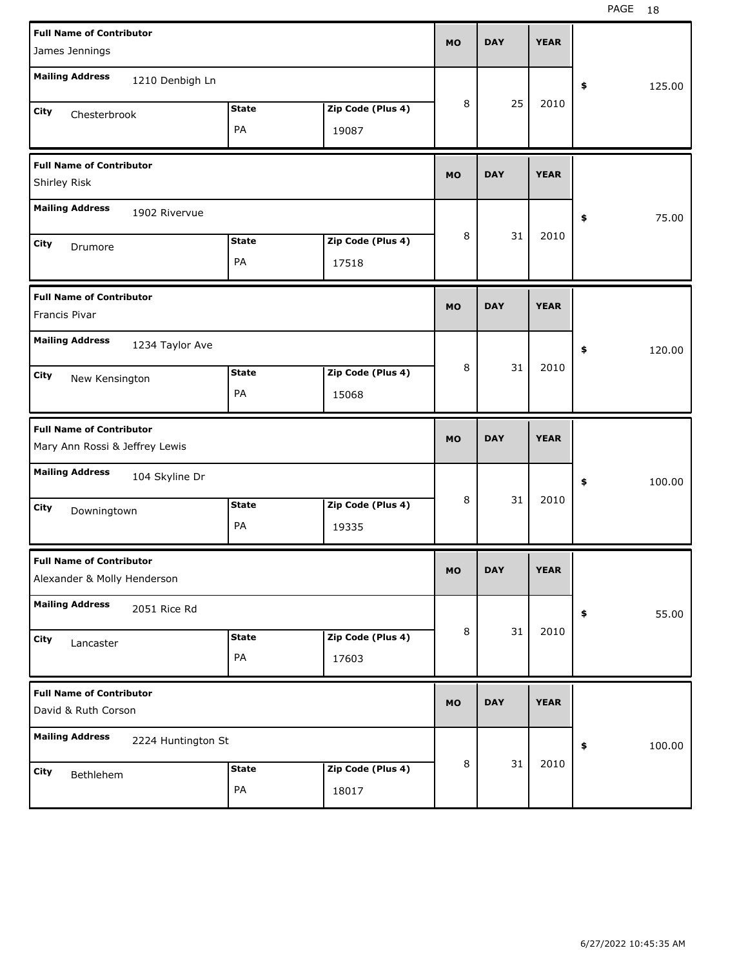PAGE 18

| <b>Full Name of Contributor</b><br>James Jennings                 |                    |                            | <b>MO</b> | <b>DAY</b> | <b>YEAR</b> |              |
|-------------------------------------------------------------------|--------------------|----------------------------|-----------|------------|-------------|--------------|
| <b>Mailing Address</b><br>1210 Denbigh Ln                         |                    |                            |           |            |             | 125.00<br>\$ |
| <b>City</b><br>Chesterbrook                                       | <b>State</b><br>PA | Zip Code (Plus 4)<br>19087 | 8         | 25         | 2010        |              |
| <b>Full Name of Contributor</b><br>Shirley Risk                   |                    |                            | <b>MO</b> | <b>DAY</b> | <b>YEAR</b> |              |
| <b>Mailing Address</b><br>1902 Rivervue                           |                    |                            |           |            |             | 75.00<br>\$  |
| City<br>Drumore                                                   | <b>State</b><br>PA | Zip Code (Plus 4)<br>17518 | 8         | 31         | 2010        |              |
| <b>Full Name of Contributor</b><br>Francis Pivar                  |                    |                            | <b>MO</b> | <b>DAY</b> | <b>YEAR</b> |              |
| <b>Mailing Address</b><br>1234 Taylor Ave                         |                    |                            |           |            |             | \$<br>120.00 |
| City<br>New Kensington                                            | <b>State</b><br>PA | Zip Code (Plus 4)<br>15068 | 8         | 31         | 2010        |              |
|                                                                   |                    |                            |           |            |             |              |
| <b>Full Name of Contributor</b><br>Mary Ann Rossi & Jeffrey Lewis |                    |                            | <b>MO</b> | <b>DAY</b> | <b>YEAR</b> |              |
| <b>Mailing Address</b><br>104 Skyline Dr                          |                    |                            |           |            |             | 100.00<br>\$ |
| City<br>Downingtown                                               | <b>State</b><br>PA | Zip Code (Plus 4)<br>19335 | 8         | 31         | 2010        |              |
| <b>Full Name of Contributor</b><br>Alexander & Molly Henderson    |                    |                            | <b>MO</b> | <b>DAY</b> | <b>YEAR</b> |              |
| <b>Mailing Address</b><br>2051 Rice Rd                            |                    |                            |           |            |             | 55.00<br>\$  |
| City<br>Lancaster                                                 | <b>State</b><br>PA | Zip Code (Plus 4)<br>17603 | 8         | 31         | 2010        |              |
| <b>Full Name of Contributor</b><br>David & Ruth Corson            |                    |                            | <b>MO</b> | <b>DAY</b> | <b>YEAR</b> |              |
| <b>Mailing Address</b><br>2224 Huntington St                      |                    |                            | 8         | 31         | 2010        | 100.00<br>\$ |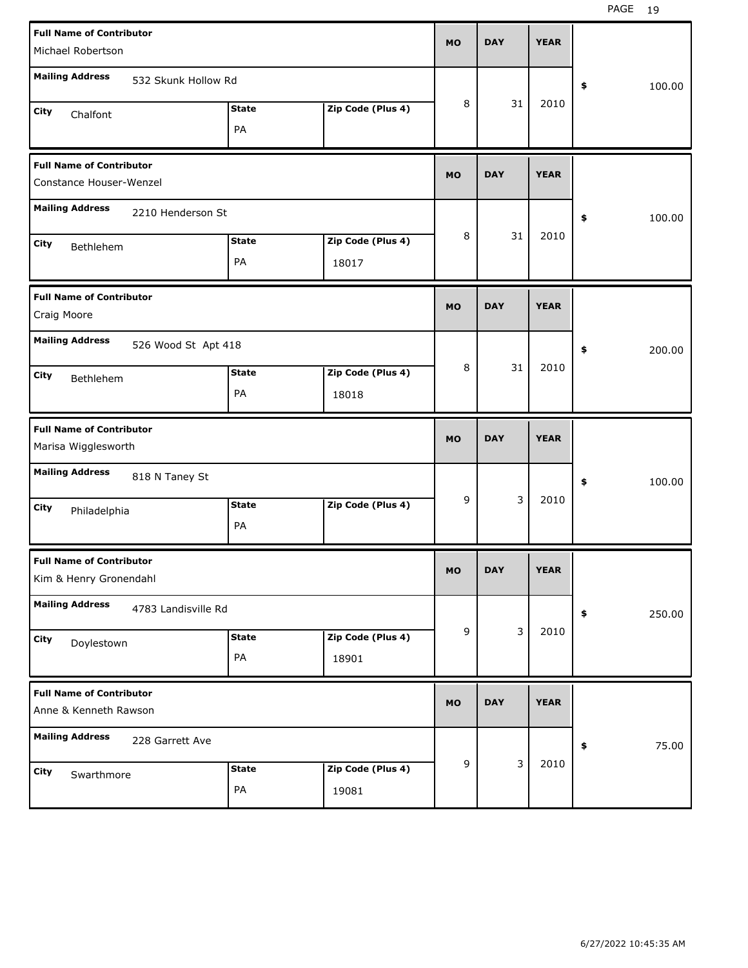| <b>Full Name of Contributor</b> |                     |              |                   | <b>MO</b>   | <b>DAY</b> | <b>YEAR</b> |              |
|---------------------------------|---------------------|--------------|-------------------|-------------|------------|-------------|--------------|
| Michael Robertson               |                     |              |                   |             |            |             |              |
| <b>Mailing Address</b>          | 532 Skunk Hollow Rd |              |                   |             |            |             | \$<br>100.00 |
| City<br>Chalfont                |                     | <b>State</b> | Zip Code (Plus 4) | 8           | 31         | 2010        |              |
|                                 |                     | PA           |                   |             |            |             |              |
| <b>Full Name of Contributor</b> |                     |              |                   | <b>MO</b>   | <b>DAY</b> | <b>YEAR</b> |              |
| Constance Houser-Wenzel         |                     |              |                   |             |            |             |              |
| <b>Mailing Address</b>          | 2210 Henderson St   |              |                   |             |            |             | \$<br>100.00 |
| City<br>Bethlehem               |                     | <b>State</b> | Zip Code (Plus 4) | 8           | 31         | 2010        |              |
|                                 |                     | PA           | 18017             |             |            |             |              |
| <b>Full Name of Contributor</b> |                     |              |                   | <b>MO</b>   | <b>DAY</b> | <b>YEAR</b> |              |
| Craig Moore                     |                     |              |                   |             |            |             |              |
| <b>Mailing Address</b>          | 526 Wood St Apt 418 |              |                   |             |            |             | \$<br>200.00 |
| City<br>Bethlehem               |                     | <b>State</b> | Zip Code (Plus 4) | 8           | 31         | 2010        |              |
|                                 |                     | PA           | 18018             |             |            |             |              |
|                                 |                     |              |                   |             |            |             |              |
| <b>Full Name of Contributor</b> |                     |              |                   | <b>MO</b>   | <b>DAY</b> | <b>YEAR</b> |              |
| Marisa Wigglesworth             |                     |              |                   |             |            |             |              |
| <b>Mailing Address</b>          | 818 N Taney St      |              |                   |             |            |             | \$<br>100.00 |
| City<br>Philadelphia            |                     | <b>State</b> | Zip Code (Plus 4) | 9           | 3          | 2010        |              |
|                                 |                     | PA           |                   |             |            |             |              |
| <b>Full Name of Contributor</b> |                     |              |                   | <b>MO</b>   | <b>DAY</b> | <b>YEAR</b> |              |
| Kim & Henry Gronendahl          |                     |              |                   |             |            |             |              |
| <b>Mailing Address</b>          | 4783 Landisville Rd |              |                   |             |            |             | \$<br>250.00 |
| City<br>Doylestown              |                     | <b>State</b> | Zip Code (Plus 4) | $\mathsf g$ | 3          | 2010        |              |
|                                 |                     | PA           | 18901             |             |            |             |              |
| <b>Full Name of Contributor</b> |                     |              |                   |             |            |             |              |
| Anne & Kenneth Rawson           |                     |              |                   | <b>MO</b>   | <b>DAY</b> | <b>YEAR</b> |              |
| <b>Mailing Address</b>          | 228 Garrett Ave     |              |                   |             |            |             | \$<br>75.00  |
| City<br>Swarthmore              |                     | <b>State</b> | Zip Code (Plus 4) | 9           | 3          | 2010        |              |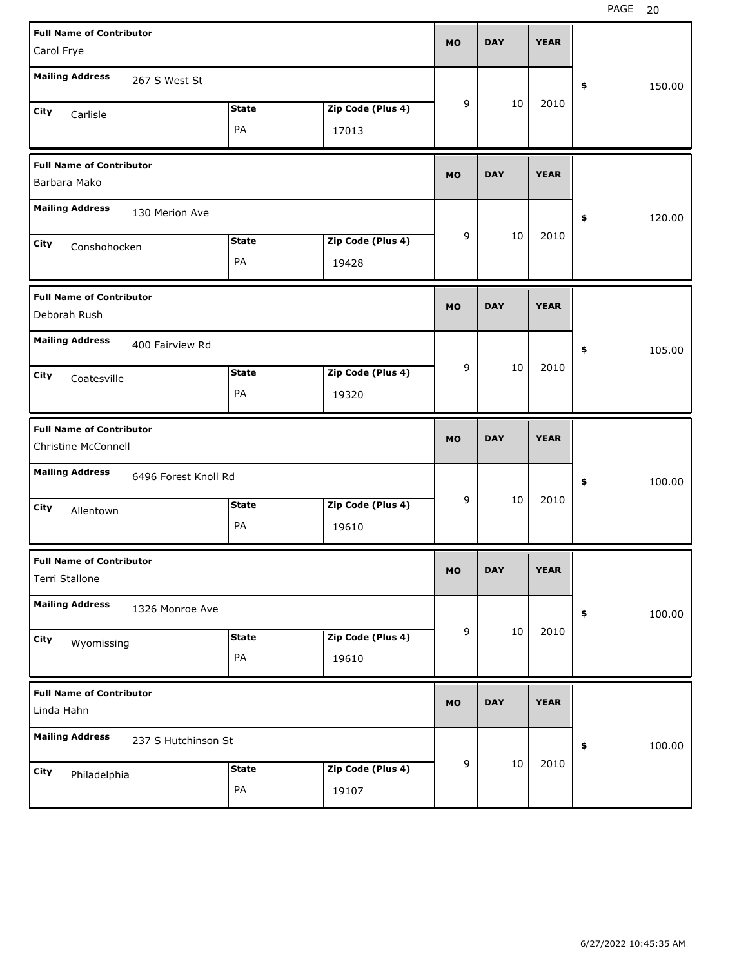| <b>Full Name of Contributor</b>                        |              |                   | <b>MO</b> | <b>DAY</b> | <b>YEAR</b> |              |
|--------------------------------------------------------|--------------|-------------------|-----------|------------|-------------|--------------|
| Carol Frye                                             |              |                   |           |            |             |              |
| <b>Mailing Address</b><br>267 S West St                |              |                   |           |            |             | \$<br>150.00 |
| City<br>Carlisle                                       | <b>State</b> | Zip Code (Plus 4) | 9         | 10         | 2010        |              |
|                                                        | PA           | 17013             |           |            |             |              |
| <b>Full Name of Contributor</b><br>Barbara Mako        |              |                   | <b>MO</b> | <b>DAY</b> | <b>YEAR</b> |              |
| <b>Mailing Address</b><br>130 Merion Ave               |              |                   |           |            |             | \$<br>120.00 |
| City<br>Conshohocken                                   | <b>State</b> | Zip Code (Plus 4) | 9         | 10         | 2010        |              |
|                                                        | PA           | 19428             |           |            |             |              |
| <b>Full Name of Contributor</b><br>Deborah Rush        |              |                   | <b>MO</b> | <b>DAY</b> | <b>YEAR</b> |              |
| <b>Mailing Address</b><br>400 Fairview Rd              |              |                   |           |            |             | 105.00<br>\$ |
| City<br>Coatesville                                    | <b>State</b> | Zip Code (Plus 4) | 9         | 10         | 2010        |              |
|                                                        | PA           | 19320             |           |            |             |              |
|                                                        |              |                   |           |            |             |              |
| <b>Full Name of Contributor</b><br>Christine McConnell |              |                   | <b>MO</b> | <b>DAY</b> | <b>YEAR</b> |              |
| <b>Mailing Address</b><br>6496 Forest Knoll Rd         |              |                   |           |            |             | \$<br>100.00 |
| City                                                   | <b>State</b> | Zip Code (Plus 4) | 9         | 10         | 2010        |              |
| Allentown                                              | PA           | 19610             |           |            |             |              |
| <b>Full Name of Contributor</b><br>Terri Stallone      |              |                   | MO        | <b>DAY</b> | <b>YEAR</b> |              |
| <b>Mailing Address</b><br>1326 Monroe Ave              |              |                   |           |            |             | 100.00<br>\$ |
| City                                                   | <b>State</b> | Zip Code (Plus 4) | 9         | 10         | 2010        |              |
| Wyomissing                                             | PA           | 19610             |           |            |             |              |
| <b>Full Name of Contributor</b><br>Linda Hahn          |              |                   | <b>MO</b> | <b>DAY</b> | <b>YEAR</b> |              |
| <b>Mailing Address</b><br>237 S Hutchinson St          |              |                   |           |            |             | 100.00<br>\$ |
| City<br>Philadelphia                                   | <b>State</b> | Zip Code (Plus 4) | 9         | 10         | 2010        |              |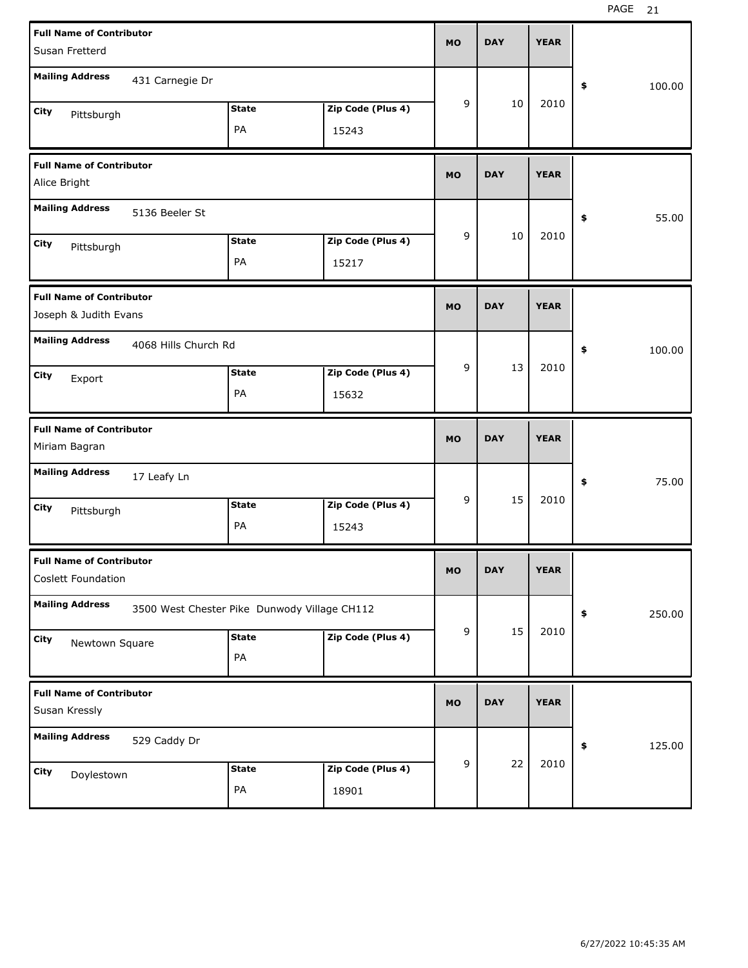| <b>Full Name of Contributor</b><br>Susan Fretterd |                                              |              |                   | <b>MO</b> | <b>DAY</b> | <b>YEAR</b> |              |
|---------------------------------------------------|----------------------------------------------|--------------|-------------------|-----------|------------|-------------|--------------|
| <b>Mailing Address</b>                            | 431 Carnegie Dr                              |              |                   |           |            |             | \$<br>100.00 |
|                                                   |                                              |              |                   | 9         | 10         | 2010        |              |
| City<br>Pittsburgh                                |                                              | <b>State</b> | Zip Code (Plus 4) |           |            |             |              |
|                                                   |                                              | PA           | 15243             |           |            |             |              |
| <b>Full Name of Contributor</b>                   |                                              |              |                   | <b>MO</b> | <b>DAY</b> | <b>YEAR</b> |              |
| Alice Bright                                      |                                              |              |                   |           |            |             |              |
| <b>Mailing Address</b>                            | 5136 Beeler St                               |              |                   |           |            |             | \$<br>55.00  |
| City<br>Pittsburgh                                |                                              | <b>State</b> | Zip Code (Plus 4) | 9         | 10         | 2010        |              |
|                                                   |                                              | PA           | 15217             |           |            |             |              |
| <b>Full Name of Contributor</b>                   |                                              |              |                   |           |            |             |              |
| Joseph & Judith Evans                             |                                              |              |                   | <b>MO</b> | <b>DAY</b> | <b>YEAR</b> |              |
| <b>Mailing Address</b>                            | 4068 Hills Church Rd                         |              |                   |           |            |             | \$<br>100.00 |
| City<br>Export                                    |                                              | <b>State</b> | Zip Code (Plus 4) | 9         | 13         | 2010        |              |
|                                                   |                                              | PA           | 15632             |           |            |             |              |
|                                                   |                                              |              |                   |           |            |             |              |
| <b>Full Name of Contributor</b>                   |                                              |              |                   | <b>MO</b> | <b>DAY</b> | <b>YEAR</b> |              |
| Miriam Bagran                                     |                                              |              |                   |           |            |             |              |
| <b>Mailing Address</b>                            | 17 Leafy Ln                                  |              |                   |           |            |             | \$<br>75.00  |
| City                                              |                                              | <b>State</b> | Zip Code (Plus 4) | 9         | 15         | 2010        |              |
| Pittsburgh                                        |                                              | PA           | 15243             |           |            |             |              |
| <b>Full Name of Contributor</b>                   |                                              |              |                   | <b>MO</b> | <b>DAY</b> | <b>YEAR</b> |              |
| Coslett Foundation                                |                                              |              |                   |           |            |             |              |
| <b>Mailing Address</b>                            | 3500 West Chester Pike Dunwody Village CH112 |              |                   |           |            |             | \$<br>250.00 |
| City<br>Newtown Square                            |                                              | <b>State</b> | Zip Code (Plus 4) | 9         | 15         | 2010        |              |
|                                                   |                                              | PA           |                   |           |            |             |              |
| <b>Full Name of Contributor</b>                   |                                              |              |                   |           |            |             |              |
| Susan Kressly                                     |                                              |              |                   | <b>MO</b> | <b>DAY</b> | <b>YEAR</b> |              |
| <b>Mailing Address</b>                            | 529 Caddy Dr                                 |              |                   |           |            |             | \$<br>125.00 |
| City                                              |                                              | <b>State</b> | Zip Code (Plus 4) | 9         | 22         | 2010        |              |
| Doylestown                                        |                                              | PA           | 18901             |           |            |             |              |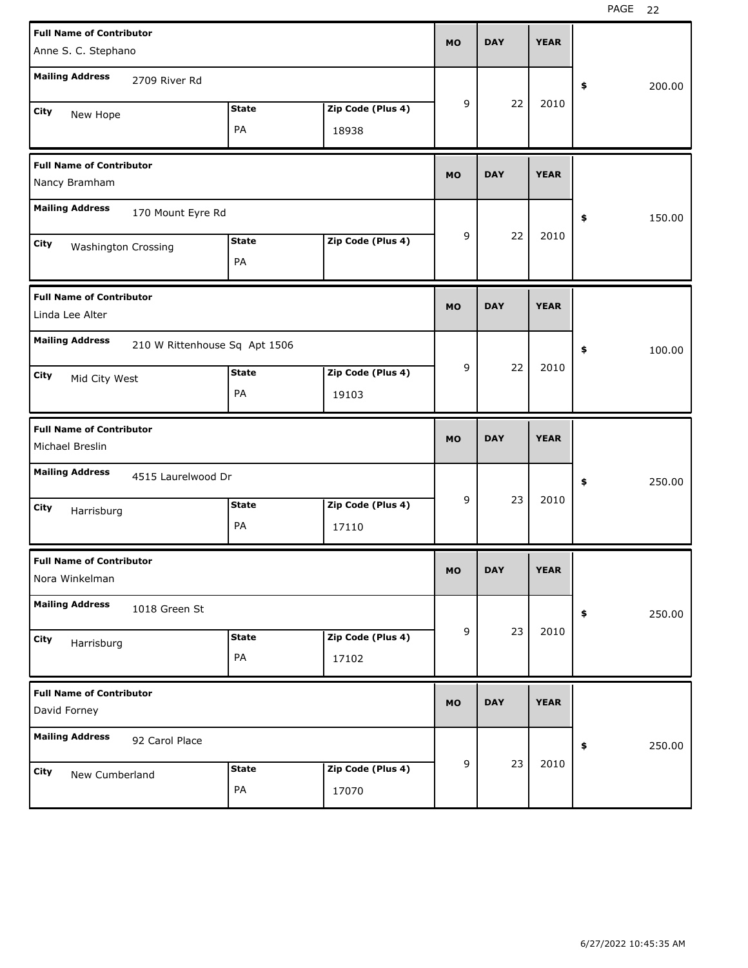| <b>Full Name of Contributor</b>    |                               |              |                   | <b>MO</b> | <b>DAY</b> | <b>YEAR</b> |              |
|------------------------------------|-------------------------------|--------------|-------------------|-----------|------------|-------------|--------------|
| Anne S. C. Stephano                |                               |              |                   |           |            |             |              |
| <b>Mailing Address</b>             | 2709 River Rd                 |              |                   |           |            |             | \$<br>200.00 |
| City<br>New Hope                   |                               | <b>State</b> | Zip Code (Plus 4) | 9         | 22         | 2010        |              |
|                                    |                               | PA           | 18938             |           |            |             |              |
| <b>Full Name of Contributor</b>    |                               |              |                   | <b>MO</b> | <b>DAY</b> | <b>YEAR</b> |              |
| Nancy Bramham                      |                               |              |                   |           |            |             |              |
| <b>Mailing Address</b>             | 170 Mount Eyre Rd             |              |                   |           |            |             | \$<br>150.00 |
| City<br><b>Washington Crossing</b> |                               | <b>State</b> | Zip Code (Plus 4) | 9         | 22         | 2010        |              |
|                                    |                               | PA           |                   |           |            |             |              |
| <b>Full Name of Contributor</b>    |                               |              |                   | <b>MO</b> | <b>DAY</b> | <b>YEAR</b> |              |
| Linda Lee Alter                    |                               |              |                   |           |            |             |              |
| <b>Mailing Address</b>             | 210 W Rittenhouse Sq Apt 1506 |              |                   |           |            |             | \$<br>100.00 |
| City<br>Mid City West              |                               | <b>State</b> | Zip Code (Plus 4) | 9         | 22         | 2010        |              |
|                                    |                               | PA           | 19103             |           |            |             |              |
|                                    |                               |              |                   |           |            |             |              |
| <b>Full Name of Contributor</b>    |                               |              |                   | <b>MO</b> | <b>DAY</b> | <b>YEAR</b> |              |
| Michael Breslin                    |                               |              |                   |           |            |             |              |
| <b>Mailing Address</b>             | 4515 Laurelwood Dr            |              |                   |           |            |             | \$<br>250.00 |
| City                               |                               | <b>State</b> | Zip Code (Plus 4) | 9         | 23         | 2010        |              |
| Harrisburg                         |                               | PA           | 17110             |           |            |             |              |
| <b>Full Name of Contributor</b>    |                               |              |                   | MO        | <b>DAY</b> | <b>YEAR</b> |              |
| Nora Winkelman                     |                               |              |                   |           |            |             |              |
| <b>Mailing Address</b>             | 1018 Green St                 |              |                   |           |            |             | \$<br>250.00 |
| City<br>Harrisburg                 |                               | <b>State</b> | Zip Code (Plus 4) | 9         | 23         | 2010        |              |
|                                    |                               | PA           | 17102             |           |            |             |              |
| <b>Full Name of Contributor</b>    |                               |              |                   |           |            |             |              |
| David Forney                       |                               |              |                   | <b>MO</b> | <b>DAY</b> | <b>YEAR</b> |              |
| <b>Mailing Address</b>             | 92 Carol Place                |              |                   |           |            |             | \$<br>250.00 |
| City<br>New Cumberland             |                               | <b>State</b> | Zip Code (Plus 4) | 9         | 23         | 2010        |              |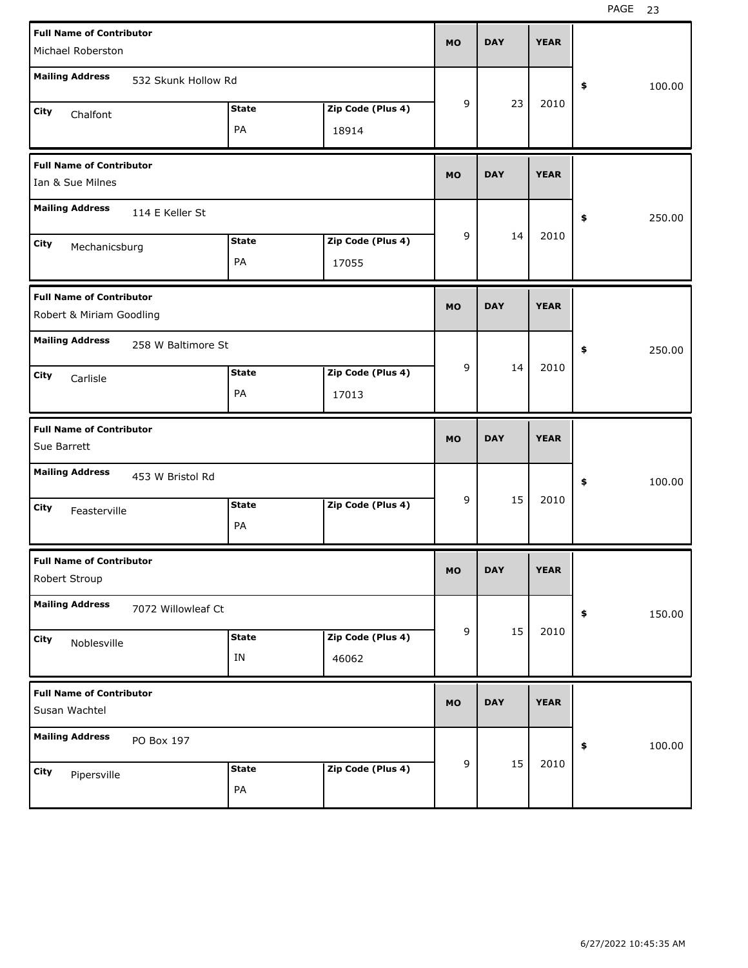| <b>Full Name of Contributor</b>                                | <b>MO</b> | <b>DAY</b> | <b>YEAR</b> |              |
|----------------------------------------------------------------|-----------|------------|-------------|--------------|
| Michael Roberston                                              |           |            |             |              |
| <b>Mailing Address</b><br>532 Skunk Hollow Rd                  |           |            |             | \$<br>100.00 |
| Zip Code (Plus 4)<br><b>State</b><br>City                      | 9         | 23         | 2010        |              |
| Chalfont<br>PA<br>18914                                        |           |            |             |              |
|                                                                |           |            |             |              |
| <b>Full Name of Contributor</b>                                |           |            |             |              |
| Ian & Sue Milnes                                               | <b>MO</b> | <b>DAY</b> | <b>YEAR</b> |              |
| <b>Mailing Address</b><br>114 E Keller St                      |           |            |             | 250.00<br>\$ |
| <b>State</b><br>Zip Code (Plus 4)<br>City                      | 9         | 14         | 2010        |              |
| Mechanicsburg<br>PA<br>17055                                   |           |            |             |              |
|                                                                |           |            |             |              |
| <b>Full Name of Contributor</b>                                |           |            |             |              |
| Robert & Miriam Goodling                                       | <b>MO</b> | <b>DAY</b> | <b>YEAR</b> |              |
| <b>Mailing Address</b>                                         |           |            |             |              |
| 258 W Baltimore St                                             |           |            |             | \$<br>250.00 |
| Zip Code (Plus 4)<br><b>State</b><br>City<br>Carlisle          | 9         | 14         | 2010        |              |
| PA<br>17013                                                    |           |            |             |              |
|                                                                |           |            |             |              |
|                                                                |           |            |             |              |
| <b>Full Name of Contributor</b>                                |           |            |             |              |
| Sue Barrett                                                    | <b>MO</b> | <b>DAY</b> | <b>YEAR</b> |              |
| <b>Mailing Address</b><br>453 W Bristol Rd                     |           |            |             | \$<br>100.00 |
| Zip Code (Plus 4)<br><b>State</b>                              | 9         | 15         | 2010        |              |
| City<br>Feasterville                                           |           |            |             |              |
| PA                                                             |           |            |             |              |
| <b>Full Name of Contributor</b>                                |           |            |             |              |
| Robert Stroup                                                  | <b>MO</b> | <b>DAY</b> | <b>YEAR</b> |              |
|                                                                |           |            |             |              |
| <b>Mailing Address</b><br>7072 Willowleaf Ct                   |           |            |             | 150.00<br>\$ |
| Zip Code (Plus 4)<br><b>State</b><br>City                      | 9         | 15         | 2010        |              |
| Noblesville<br>IN<br>46062                                     |           |            |             |              |
|                                                                |           |            |             |              |
| <b>Full Name of Contributor</b>                                |           |            |             |              |
| Susan Wachtel                                                  | <b>MO</b> | <b>DAY</b> | <b>YEAR</b> |              |
| <b>Mailing Address</b><br>PO Box 197                           |           |            |             | 100.00<br>\$ |
|                                                                | 9         | 15         | 2010        |              |
| Zip Code (Plus 4)<br><b>State</b><br>City<br>Pipersville<br>PA |           |            |             |              |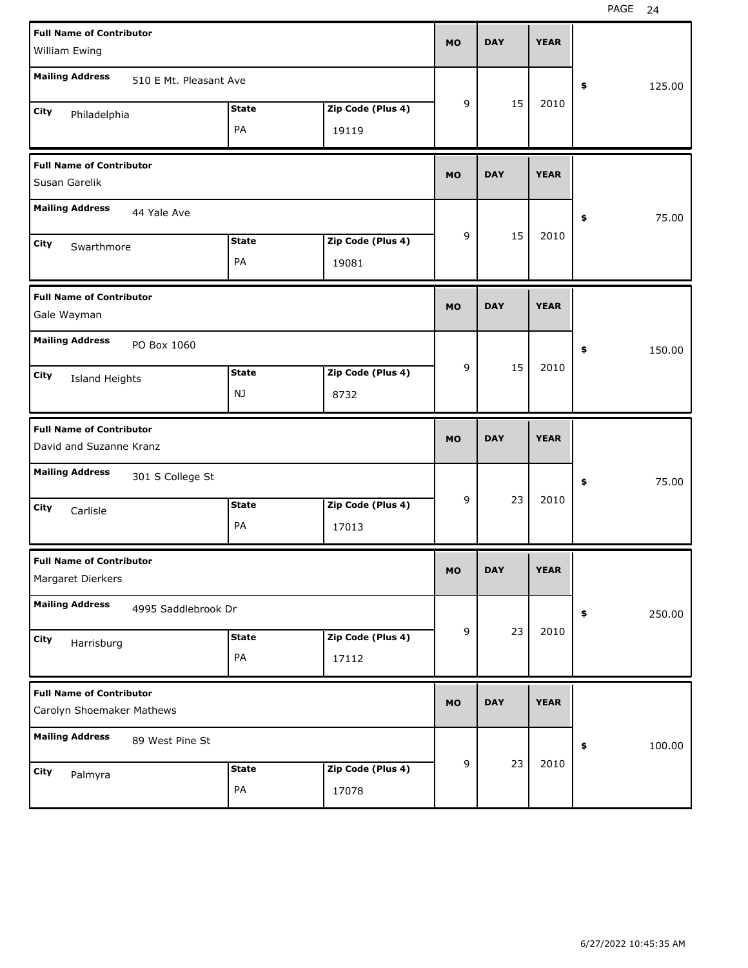| <b>Full Name of Contributor</b><br>William Ewing             |                            | <b>MO</b> | <b>DAY</b> | <b>YEAR</b> |                       |
|--------------------------------------------------------------|----------------------------|-----------|------------|-------------|-----------------------|
| <b>Mailing Address</b><br>510 E Mt. Pleasant Ave             |                            |           |            |             | 125.00<br>\$          |
| <b>State</b><br>City<br>Philadelphia<br>PA                   | Zip Code (Plus 4)<br>19119 | 9         | 15         | 2010        |                       |
| <b>Full Name of Contributor</b><br>Susan Garelik             |                            | <b>MO</b> | <b>DAY</b> | <b>YEAR</b> |                       |
| <b>Mailing Address</b><br>44 Yale Ave                        |                            |           |            |             | 75.00<br>\$           |
| <b>State</b><br>City<br>Swarthmore<br>PA                     | Zip Code (Plus 4)<br>19081 | 9         | 15         | 2010        |                       |
| <b>Full Name of Contributor</b><br>Gale Wayman               |                            | <b>MO</b> | <b>DAY</b> | <b>YEAR</b> |                       |
| <b>Mailing Address</b><br>PO Box 1060                        |                            |           |            |             | 150.00<br>\$          |
| <b>State</b><br>City<br>Island Heights<br>NJ                 | Zip Code (Plus 4)<br>8732  | 9         | 15         | 2010        |                       |
|                                                              |                            |           |            |             |                       |
| <b>Full Name of Contributor</b><br>David and Suzanne Kranz   |                            | <b>MO</b> | <b>DAY</b> | <b>YEAR</b> |                       |
| <b>Mailing Address</b><br>301 S College St                   |                            |           |            |             | 75.00<br>\$           |
| <b>State</b><br>City<br>Carlisle<br>PA                       | Zip Code (Plus 4)<br>17013 | 9         | 23         | 2010        |                       |
| <b>Full Name of Contributor</b><br>Margaret Dierkers         |                            | МO        | <b>DAY</b> | <b>YEAR</b> |                       |
| <b>Mailing Address</b><br>4995 Saddlebrook Dr                |                            |           |            |             | 250.00<br>$\clubsuit$ |
| State<br>City<br>Harrisburg<br>PA                            | Zip Code (Plus 4)<br>17112 | 9         | 23         | 2010        |                       |
| <b>Full Name of Contributor</b><br>Carolyn Shoemaker Mathews |                            | <b>MO</b> | <b>DAY</b> | <b>YEAR</b> |                       |
| <b>Mailing Address</b><br>89 West Pine St                    |                            | 9         | 23         | 2010        | 100.00<br>$\pmb{\$}$  |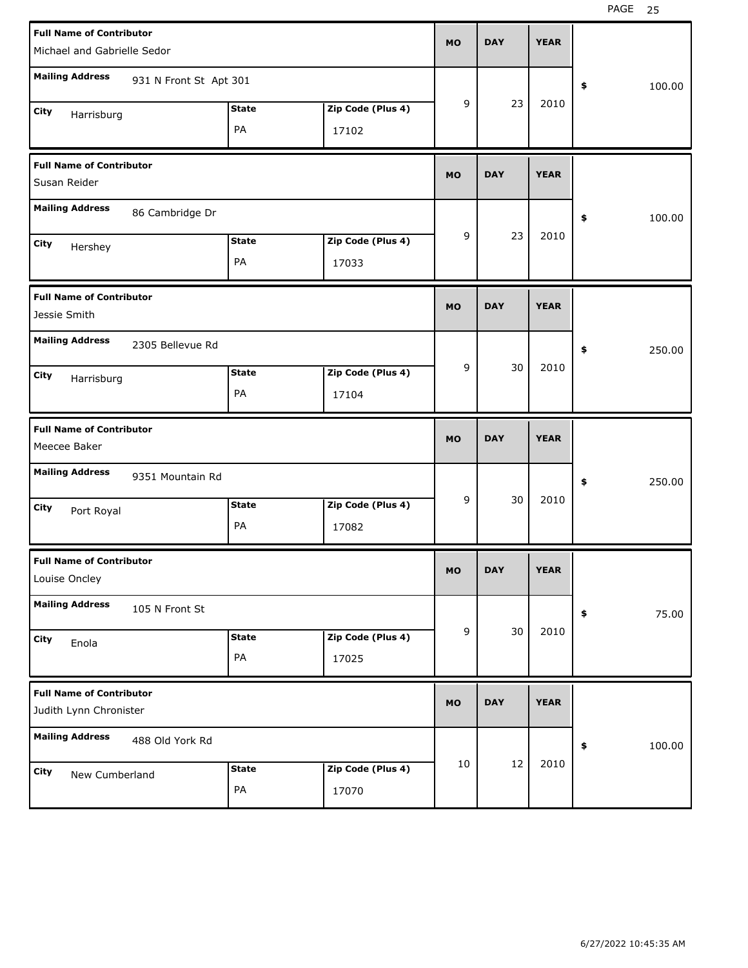| <b>Full Name of Contributor</b>                           |                        |              |                   | <b>MO</b> | <b>DAY</b> | <b>YEAR</b> |              |       |
|-----------------------------------------------------------|------------------------|--------------|-------------------|-----------|------------|-------------|--------------|-------|
| Michael and Gabrielle Sedor                               |                        |              |                   |           |            |             |              |       |
| <b>Mailing Address</b>                                    | 931 N Front St Apt 301 |              |                   |           |            |             | \$<br>100.00 |       |
| City<br>Harrisburg                                        |                        | <b>State</b> | Zip Code (Plus 4) | 9         | 23         | 2010        |              |       |
|                                                           |                        | PA           | 17102             |           |            |             |              |       |
| <b>Full Name of Contributor</b><br>Susan Reider           |                        |              |                   | <b>MO</b> | <b>DAY</b> | <b>YEAR</b> |              |       |
| <b>Mailing Address</b>                                    | 86 Cambridge Dr        |              |                   |           |            |             | \$<br>100.00 |       |
| City<br>Hershey                                           |                        | <b>State</b> | Zip Code (Plus 4) | 9         | 23         | 2010        |              |       |
|                                                           |                        | PA           | 17033             |           |            |             |              |       |
| <b>Full Name of Contributor</b><br>Jessie Smith           |                        |              |                   | <b>MO</b> | <b>DAY</b> | <b>YEAR</b> |              |       |
| <b>Mailing Address</b>                                    | 2305 Bellevue Rd       |              |                   |           |            |             | \$<br>250.00 |       |
| City<br>Harrisburg                                        |                        | <b>State</b> | Zip Code (Plus 4) | 9         | 30         | 2010        |              |       |
|                                                           |                        | PA           | 17104             |           |            |             |              |       |
|                                                           |                        |              |                   |           |            |             |              |       |
| <b>Full Name of Contributor</b><br>Meecee Baker           |                        |              |                   | <b>MO</b> | <b>DAY</b> | <b>YEAR</b> |              |       |
| <b>Mailing Address</b>                                    | 9351 Mountain Rd       |              |                   |           |            |             | \$<br>250.00 |       |
| City                                                      |                        | <b>State</b> | Zip Code (Plus 4) | 9         | 30         | 2010        |              |       |
| Port Royal                                                |                        | PA           | 17082             |           |            |             |              |       |
| <b>Full Name of Contributor</b><br>Louise Oncley          |                        |              |                   | <b>MO</b> | DAY        | YEAK        |              |       |
| <b>Mailing Address</b>                                    | 105 N Front St         |              |                   |           |            |             | \$           | 75.00 |
| City                                                      |                        | <b>State</b> | Zip Code (Plus 4) | 9         | 30         | 2010        |              |       |
| Enola                                                     |                        | PA           | 17025             |           |            |             |              |       |
| <b>Full Name of Contributor</b><br>Judith Lynn Chronister |                        |              |                   | <b>MO</b> | <b>DAY</b> | <b>YEAR</b> |              |       |
| <b>Mailing Address</b>                                    | 488 Old York Rd        |              |                   |           |            |             | 100.00<br>\$ |       |
| City<br>New Cumberland                                    |                        | <b>State</b> | Zip Code (Plus 4) | 10        | 12         | 2010        |              |       |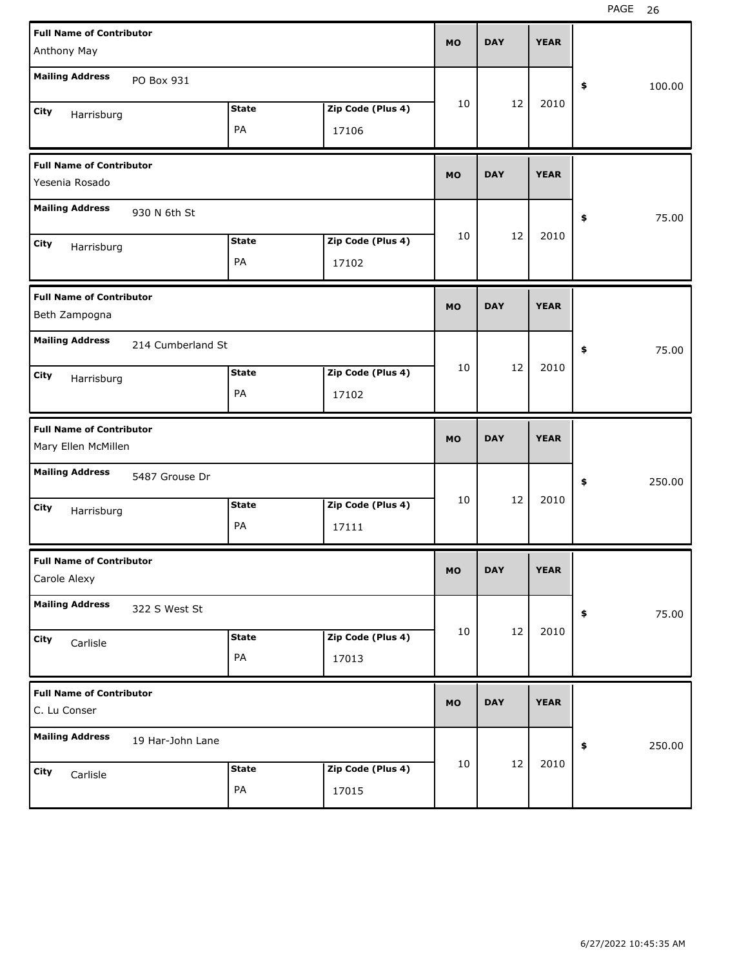| <b>Full Name of Contributor</b>                        |                   |              |                   | <b>MO</b> | <b>DAY</b> | <b>YEAR</b> |              |
|--------------------------------------------------------|-------------------|--------------|-------------------|-----------|------------|-------------|--------------|
| Anthony May                                            |                   |              |                   |           |            |             |              |
| <b>Mailing Address</b>                                 | PO Box 931        |              |                   |           |            |             | \$<br>100.00 |
| City<br>Harrisburg                                     |                   | <b>State</b> | Zip Code (Plus 4) | 10        | 12         | 2010        |              |
|                                                        |                   | PA           | 17106             |           |            |             |              |
| <b>Full Name of Contributor</b><br>Yesenia Rosado      |                   |              |                   | <b>MO</b> | <b>DAY</b> | <b>YEAR</b> |              |
| <b>Mailing Address</b>                                 | 930 N 6th St      |              |                   |           |            |             | \$<br>75.00  |
| City<br>Harrisburg                                     |                   | <b>State</b> | Zip Code (Plus 4) | 10        | 12         | 2010        |              |
|                                                        |                   | PA           | 17102             |           |            |             |              |
| <b>Full Name of Contributor</b><br>Beth Zampogna       |                   |              |                   | <b>MO</b> | <b>DAY</b> | <b>YEAR</b> |              |
| <b>Mailing Address</b>                                 | 214 Cumberland St |              |                   |           |            |             | \$<br>75.00  |
| City<br>Harrisburg                                     |                   | <b>State</b> | Zip Code (Plus 4) | 10        | 12         | 2010        |              |
|                                                        |                   | PA           | 17102             |           |            |             |              |
|                                                        |                   |              |                   |           |            |             |              |
| <b>Full Name of Contributor</b><br>Mary Ellen McMillen |                   |              |                   | <b>MO</b> | <b>DAY</b> | <b>YEAR</b> |              |
| <b>Mailing Address</b>                                 | 5487 Grouse Dr    |              |                   |           |            |             | \$<br>250.00 |
| City                                                   |                   | <b>State</b> | Zip Code (Plus 4) | 10        | 12         | 2010        |              |
| Harrisburg                                             |                   | PA           | 17111             |           |            |             |              |
| <b>Full Name of Contributor</b><br>Carole Alexy        |                   |              |                   | MO        | <b>DAY</b> | <b>YEAR</b> |              |
| <b>Mailing Address</b>                                 | 322 S West St     |              |                   |           |            |             | \$<br>75.00  |
| City                                                   |                   | <b>State</b> | Zip Code (Plus 4) | 10        | 12         | 2010        |              |
| Carlisle                                               |                   | PA           | 17013             |           |            |             |              |
| <b>Full Name of Contributor</b><br>C. Lu Conser        |                   |              |                   | <b>MO</b> | <b>DAY</b> | <b>YEAR</b> |              |
| <b>Mailing Address</b>                                 | 19 Har-John Lane  |              |                   |           |            |             | \$<br>250.00 |
| City<br>Carlisle                                       |                   | <b>State</b> | Zip Code (Plus 4) | 10        | 12         | 2010        |              |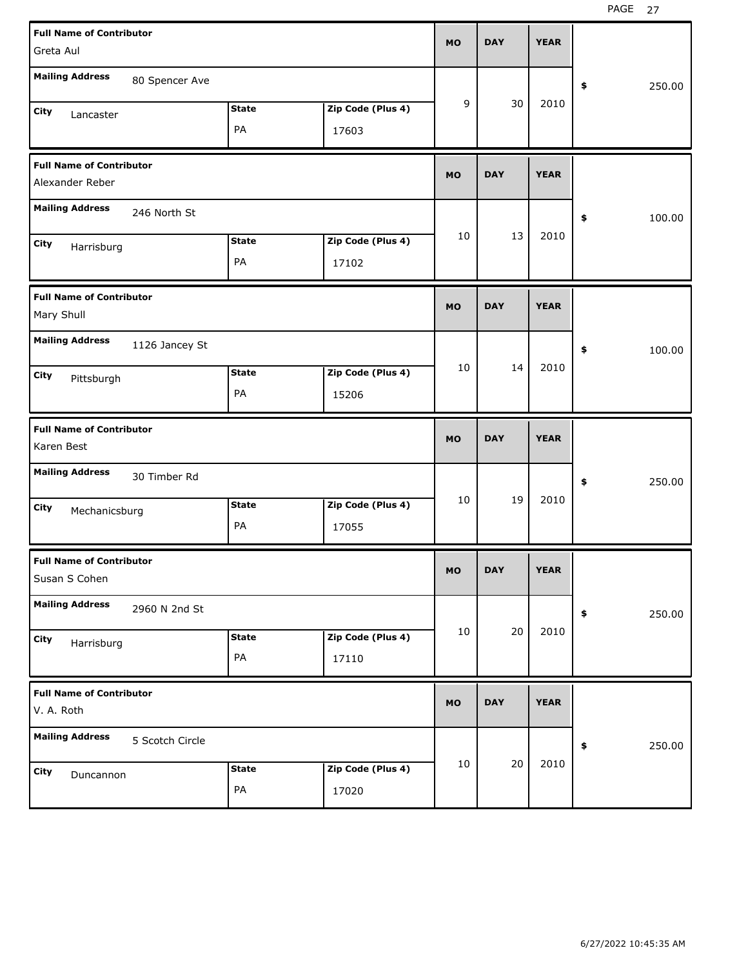| <b>Full Name of Contributor</b>                  |              |                   | <b>MO</b> | <b>DAY</b> | <b>YEAR</b> |              |
|--------------------------------------------------|--------------|-------------------|-----------|------------|-------------|--------------|
| Greta Aul                                        |              |                   |           |            |             |              |
| <b>Mailing Address</b><br>80 Spencer Ave         |              |                   |           |            |             | 250.00<br>\$ |
| City<br>Lancaster                                | <b>State</b> | Zip Code (Plus 4) | 9         | 30         | 2010        |              |
|                                                  | PA           | 17603             |           |            |             |              |
| <b>Full Name of Contributor</b>                  |              |                   | <b>MO</b> | <b>DAY</b> | <b>YEAR</b> |              |
| Alexander Reber                                  |              |                   |           |            |             |              |
| <b>Mailing Address</b><br>246 North St           |              |                   |           |            |             | 100.00<br>\$ |
| City<br>Harrisburg                               | <b>State</b> | Zip Code (Plus 4) | 10        | 13         | 2010        |              |
|                                                  | PA           | 17102             |           |            |             |              |
| <b>Full Name of Contributor</b>                  |              |                   | <b>MO</b> | <b>DAY</b> | <b>YEAR</b> |              |
| Mary Shull                                       |              |                   |           |            |             |              |
| <b>Mailing Address</b><br>1126 Jancey St         |              |                   |           |            |             | 100.00<br>\$ |
| City<br>Pittsburgh                               | <b>State</b> | Zip Code (Plus 4) | 10        | 14         | 2010        |              |
|                                                  | PA           | 15206             |           |            |             |              |
|                                                  |              |                   |           |            |             |              |
| <b>Full Name of Contributor</b><br>Karen Best    |              |                   | <b>MO</b> | <b>DAY</b> | <b>YEAR</b> |              |
| <b>Mailing Address</b><br>30 Timber Rd           |              |                   |           |            |             | 250.00<br>\$ |
| City                                             | <b>State</b> | Zip Code (Plus 4) | 10        | 19         | 2010        |              |
| Mechanicsburg                                    | PA           | 17055             |           |            |             |              |
| <b>Full Name of Contributor</b><br>Susan S Cohen |              |                   | MO        | <b>DAY</b> | <b>YEAR</b> |              |
| <b>Mailing Address</b><br>2960 N 2nd St          |              |                   |           |            |             | 250.00<br>\$ |
| City                                             | <b>State</b> | Zip Code (Plus 4) | 10        | 20         | 2010        |              |
| Harrisburg                                       | PA           | 17110             |           |            |             |              |
| <b>Full Name of Contributor</b><br>V. A. Roth    |              |                   | <b>MO</b> | <b>DAY</b> | <b>YEAR</b> |              |
| <b>Mailing Address</b><br>5 Scotch Circle        |              |                   |           |            |             | 250.00<br>\$ |
| City<br>Duncannon                                | <b>State</b> | Zip Code (Plus 4) | 10        | 20         | 2010        |              |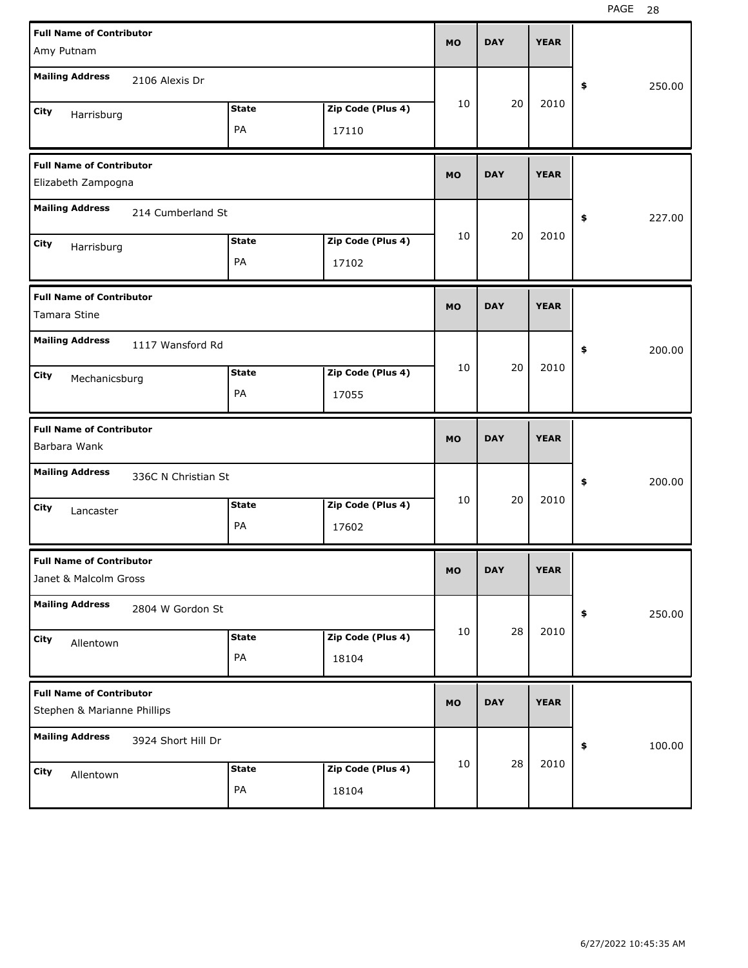| <b>Full Name of Contributor</b>                                |                     |              |                   | <b>MO</b> | <b>DAY</b> | <b>YEAR</b> |              |
|----------------------------------------------------------------|---------------------|--------------|-------------------|-----------|------------|-------------|--------------|
| Amy Putnam                                                     |                     |              |                   |           |            |             |              |
| <b>Mailing Address</b>                                         | 2106 Alexis Dr      |              |                   |           |            |             | \$<br>250.00 |
| City<br>Harrisburg                                             |                     | <b>State</b> | Zip Code (Plus 4) | 10        | 20         | 2010        |              |
|                                                                |                     | PA           | 17110             |           |            |             |              |
| <b>Full Name of Contributor</b><br>Elizabeth Zampogna          |                     |              |                   | <b>MO</b> | <b>DAY</b> | <b>YEAR</b> |              |
| <b>Mailing Address</b>                                         | 214 Cumberland St   |              |                   |           |            |             | \$<br>227.00 |
| City<br>Harrisburg                                             |                     | <b>State</b> | Zip Code (Plus 4) | 10        | 20         | 2010        |              |
|                                                                |                     | PA           | 17102             |           |            |             |              |
| <b>Full Name of Contributor</b><br>Tamara Stine                |                     |              |                   | <b>MO</b> | <b>DAY</b> | <b>YEAR</b> |              |
| <b>Mailing Address</b>                                         | 1117 Wansford Rd    |              |                   |           |            |             | \$<br>200.00 |
| City<br>Mechanicsburg                                          |                     | <b>State</b> | Zip Code (Plus 4) | 10        | 20         | 2010        |              |
|                                                                |                     | PA           | 17055             |           |            |             |              |
|                                                                |                     |              |                   |           |            |             |              |
| <b>Full Name of Contributor</b><br>Barbara Wank                |                     |              |                   | <b>MO</b> | <b>DAY</b> | <b>YEAR</b> |              |
| <b>Mailing Address</b>                                         | 336C N Christian St |              |                   |           |            |             | \$<br>200.00 |
| City                                                           |                     | <b>State</b> | Zip Code (Plus 4) | 10        | 20         | 2010        |              |
| Lancaster                                                      |                     | PA           | 17602             |           |            |             |              |
| <b>Full Name of Contributor</b><br>Janet & Malcolm Gross       |                     |              |                   | MO        | <b>DAY</b> | <b>YEAR</b> |              |
| <b>Mailing Address</b>                                         | 2804 W Gordon St    |              |                   |           |            |             | \$<br>250.00 |
| City<br>Allentown                                              |                     | <b>State</b> | Zip Code (Plus 4) | 10        | 28         | 2010        |              |
|                                                                |                     | PA           | 18104             |           |            |             |              |
| <b>Full Name of Contributor</b><br>Stephen & Marianne Phillips |                     |              |                   | <b>MO</b> | <b>DAY</b> | <b>YEAR</b> |              |
| <b>Mailing Address</b>                                         | 3924 Short Hill Dr  |              |                   |           |            |             | \$<br>100.00 |
| City<br>Allentown                                              |                     | <b>State</b> | Zip Code (Plus 4) | 10        | 28         | 2010        |              |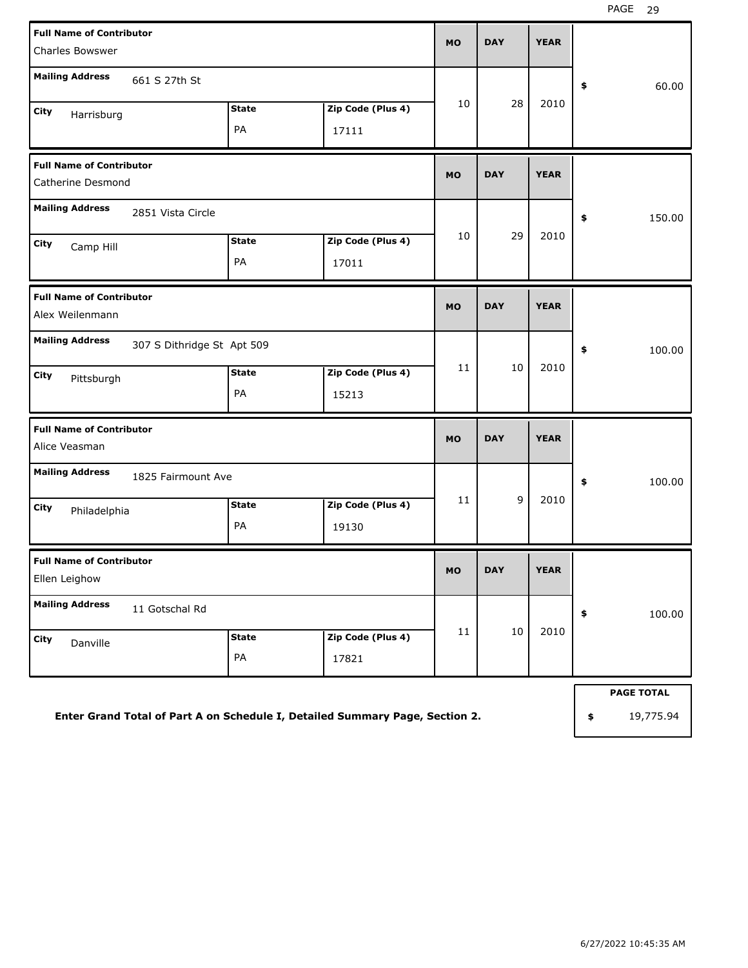| <b>Full Name of Contributor</b><br><b>Charles Bowswer</b> |                    |                            | <b>MO</b> | <b>DAY</b> | <b>YEAR</b> |                   |
|-----------------------------------------------------------|--------------------|----------------------------|-----------|------------|-------------|-------------------|
| <b>Mailing Address</b><br>661 S 27th St                   |                    |                            |           |            |             | \$<br>60.00       |
| City<br>Harrisburg                                        | <b>State</b><br>PA | Zip Code (Plus 4)<br>17111 | 10        | 28         | 2010        |                   |
| <b>Full Name of Contributor</b><br>Catherine Desmond      |                    |                            | <b>MO</b> | <b>DAY</b> | <b>YEAR</b> |                   |
| <b>Mailing Address</b><br>2851 Vista Circle               |                    |                            |           |            |             | \$<br>150.00      |
| City<br>Camp Hill                                         | <b>State</b><br>PA | Zip Code (Plus 4)<br>17011 | 10        | 29         | 2010        |                   |
| <b>Full Name of Contributor</b><br>Alex Weilenmann        |                    |                            | <b>MO</b> | <b>DAY</b> | <b>YEAR</b> |                   |
| <b>Mailing Address</b><br>307 S Dithridge St Apt 509      |                    |                            |           |            |             | \$<br>100.00      |
| City<br>Pittsburgh                                        | <b>State</b><br>PA | Zip Code (Plus 4)<br>15213 | 11        | 10         | 2010        |                   |
| <b>Full Name of Contributor</b><br>Alice Veasman          |                    |                            | <b>MO</b> | <b>DAY</b> | <b>YEAR</b> |                   |
| <b>Mailing Address</b><br>1825 Fairmount Ave              |                    |                            |           |            |             | \$<br>100.00      |
| City<br>Philadelphia                                      | <b>State</b><br>PA | Zip Code (Plus 4)<br>19130 | 11        | 9          | 2010        |                   |
| <b>Full Name of Contributor</b><br>Ellen Leighow          |                    |                            | <b>MO</b> | <b>DAY</b> | <b>YEAR</b> |                   |
| <b>Mailing Address</b><br>11 Gotschal Rd                  |                    |                            |           |            |             | \$<br>100.00      |
| City<br>Danville                                          | <b>State</b><br>PA | Zip Code (Plus 4)<br>17821 | $11\,$    | $10\,$     | 2010        |                   |
|                                                           |                    |                            |           |            |             | <b>PAGE TOTAL</b> |
|                                                           |                    |                            |           |            |             |                   |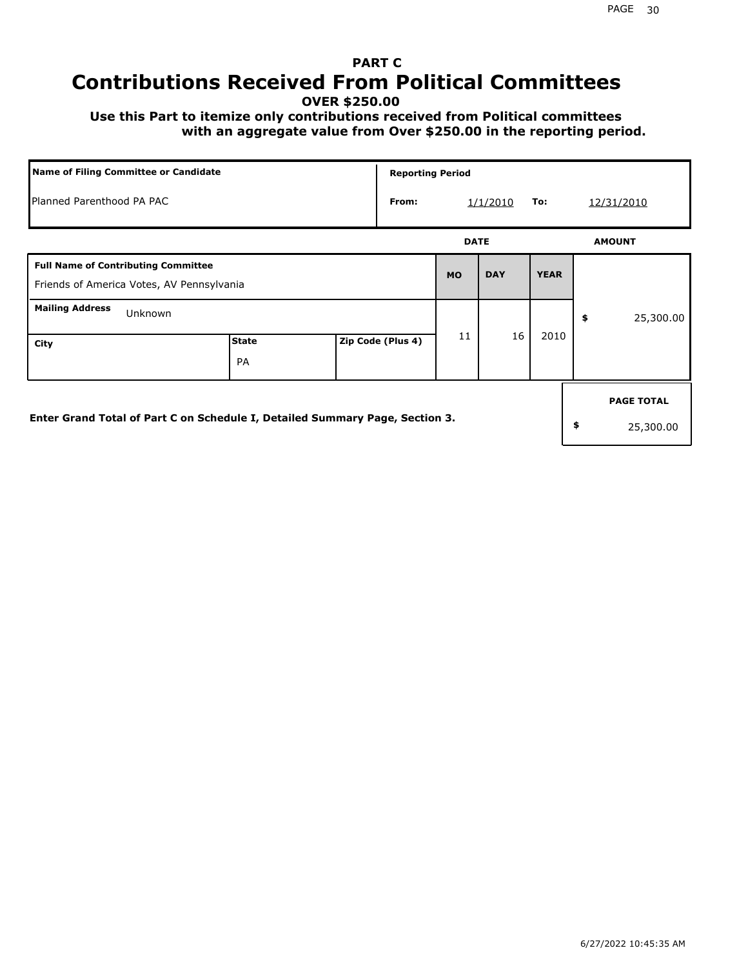## **PART C Contributions Received From Political Committees**

**OVER \$250.00**

 **Use this Part to itemize only contributions received from Political committees with an aggregate value from Over \$250.00 in the reporting period.**

|                                                                                         | <b>Name of Filing Committee or Candidate</b> |  |                   |             | <b>Reporting Period</b> |             |    |                                |  |  |
|-----------------------------------------------------------------------------------------|----------------------------------------------|--|-------------------|-------------|-------------------------|-------------|----|--------------------------------|--|--|
| Planned Parenthood PA PAC                                                               |                                              |  | From:             |             | 1/1/2010                | To:         |    | 12/31/2010                     |  |  |
|                                                                                         |                                              |  |                   | <b>DATE</b> |                         |             |    | <b>AMOUNT</b>                  |  |  |
| <b>Full Name of Contributing Committee</b><br>Friends of America Votes, AV Pennsylvania |                                              |  |                   | <b>MO</b>   | <b>DAY</b>              | <b>YEAR</b> |    |                                |  |  |
| <b>Mailing Address</b><br>Unknown                                                       |                                              |  |                   |             |                         |             | \$ | 25,300.00                      |  |  |
| City                                                                                    | <b>State</b><br>PA                           |  | Zip Code (Plus 4) | 11          | 16                      | 2010        |    |                                |  |  |
| Enter Grand Total of Part C on Schedule I, Detailed Summary Page, Section 3.            |                                              |  |                   |             |                         |             | \$ | <b>PAGE TOTAL</b><br>25,300.00 |  |  |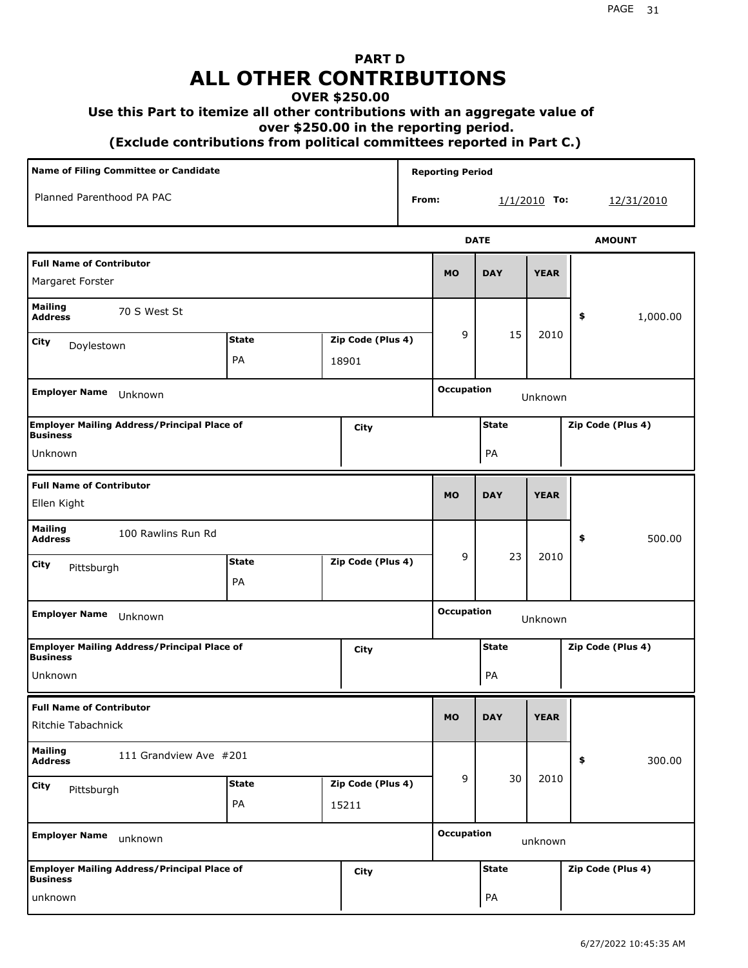# **PART D ALL OTHER CONTRIBUTIONS**

#### **OVER \$250.00**

#### **Use this Part to itemize all other contributions with an aggregate value of**

 **over \$250.00 in the reporting period.**

 **(Exclude contributions from political committees reported in Part C.)** 

| Name of Filing Committee or Candidate                                             |                                                         |                                                  |       | <b>Reporting Period</b> |                   |                              |                    |                |                   |
|-----------------------------------------------------------------------------------|---------------------------------------------------------|--------------------------------------------------|-------|-------------------------|-------------------|------------------------------|--------------------|----------------|-------------------|
| Planned Parenthood PA PAC                                                         |                                                         |                                                  |       |                         | From:             |                              |                    | $1/1/2010$ To: | <u>12/31/2010</u> |
|                                                                                   |                                                         |                                                  |       |                         |                   |                              | <b>DATE</b>        |                | <b>AMOUNT</b>     |
| <b>Full Name of Contributor</b><br>Margaret Forster                               |                                                         |                                                  |       |                         |                   | <b>MO</b>                    | <b>DAY</b>         | <b>YEAR</b>    |                   |
| <b>Mailing</b><br><b>Address</b>                                                  | 70 S West St                                            |                                                  |       |                         |                   |                              |                    |                | 1,000.00<br>\$    |
| City<br>Doylestown                                                                |                                                         | <b>State</b><br>Zip Code (Plus 4)<br>PA<br>18901 |       |                         |                   | 9                            | 15                 | 2010           |                   |
| <b>Employer Name</b>                                                              | Unknown                                                 |                                                  |       |                         | <b>Occupation</b> |                              | Unknown            |                |                   |
| <b>Employer Mailing Address/Principal Place of</b><br>City<br>Business<br>Unknown |                                                         |                                                  |       |                         | Zip Code (Plus 4) |                              |                    |                |                   |
| <b>Full Name of Contributor</b><br>Ellen Kight                                    |                                                         |                                                  |       |                         |                   | <b>MO</b>                    | <b>DAY</b>         | <b>YEAR</b>    |                   |
| <b>Mailing</b><br><b>Address</b>                                                  | 100 Rawlins Run Rd                                      |                                                  |       |                         |                   |                              |                    |                | \$<br>500.00      |
| City<br>Pittsburgh                                                                |                                                         | <b>State</b><br>PA                               |       | Zip Code (Plus 4)       |                   | 9                            | 23                 | 2010           |                   |
| Employer Name Unknown                                                             |                                                         |                                                  |       |                         |                   | <b>Occupation</b>            |                    | Unknown        |                   |
| Business<br>Unknown                                                               | <b>Employer Mailing Address/Principal Place of</b>      |                                                  |       | City                    |                   |                              | <b>State</b><br>PA |                | Zip Code (Plus 4) |
| <b>Full Name of Contributor</b><br>Ritchie Tabachnick                             |                                                         |                                                  |       |                         |                   | <b>MO</b>                    | <b>DAY</b>         | <b>YEAR</b>    |                   |
| <b>Mailing</b><br><b>Address</b>                                                  | 111 Grandview Ave #201                                  |                                                  |       |                         |                   |                              |                    |                | \$<br>300.00      |
| City<br>Pittsburgh                                                                |                                                         | <b>State</b><br>PA                               | 15211 | Zip Code (Plus 4)       |                   | 9                            | 30                 | 2010           |                   |
| <b>Employer Name</b>                                                              | unknown                                                 |                                                  |       |                         |                   | <b>Occupation</b><br>unknown |                    |                |                   |
|                                                                                   | Employer Mailing Address/Principal Place of<br>Business |                                                  |       | <b>City</b>             |                   |                              | <b>State</b>       |                | Zip Code (Plus 4) |
| unknown                                                                           |                                                         |                                                  |       |                         |                   |                              | PA                 |                |                   |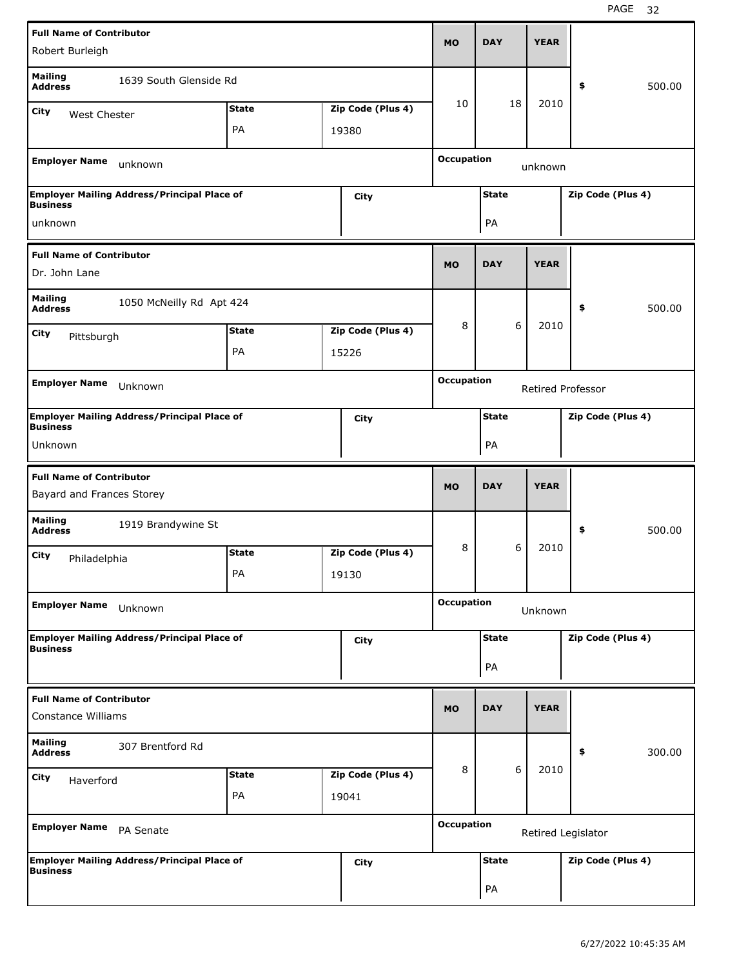|                                                              | <b>Full Name of Contributor</b>                    |              |  |                   |                                        |                   |             |                    |  |  |
|--------------------------------------------------------------|----------------------------------------------------|--------------|--|-------------------|----------------------------------------|-------------------|-------------|--------------------|--|--|
| Robert Burleigh                                              |                                                    |              |  |                   | <b>MO</b>                              | <b>DAY</b>        | <b>YEAR</b> |                    |  |  |
| <b>Mailing</b><br><b>Address</b>                             | 1639 South Glenside Rd                             |              |  |                   |                                        |                   |             | \$<br>500.00       |  |  |
| City<br>West Chester                                         |                                                    | <b>State</b> |  | Zip Code (Plus 4) | 10                                     | 18                | 2010        |                    |  |  |
|                                                              |                                                    | PA           |  | 19380             |                                        |                   |             |                    |  |  |
| <b>Employer Name</b>                                         |                                                    |              |  |                   | <b>Occupation</b>                      |                   |             |                    |  |  |
|                                                              | unknown                                            |              |  |                   | unknown                                |                   |             |                    |  |  |
| <b>Business</b>                                              | <b>Employer Mailing Address/Principal Place of</b> |              |  | City              |                                        | Zip Code (Plus 4) |             |                    |  |  |
| unknown                                                      |                                                    |              |  |                   |                                        | PA                |             |                    |  |  |
| <b>Full Name of Contributor</b>                              |                                                    |              |  |                   |                                        |                   |             |                    |  |  |
| Dr. John Lane                                                |                                                    |              |  |                   | <b>MO</b>                              | <b>DAY</b>        | <b>YEAR</b> |                    |  |  |
| <b>Mailing</b><br><b>Address</b>                             | 1050 McNeilly Rd Apt 424                           |              |  |                   |                                        |                   |             | \$<br>500.00       |  |  |
| City                                                         | <b>State</b><br>Zip Code (Plus 4)<br>Pittsburgh    |              |  |                   | 8                                      | 6                 | 2010        |                    |  |  |
|                                                              | PA<br>15226                                        |              |  |                   |                                        |                   |             |                    |  |  |
|                                                              |                                                    |              |  |                   |                                        |                   |             |                    |  |  |
|                                                              | <b>Employer Name</b><br>Unknown                    |              |  |                   | <b>Occupation</b><br>Retired Professor |                   |             |                    |  |  |
| <b>Business</b>                                              | <b>Employer Mailing Address/Principal Place of</b> |              |  | City              | Zip Code (Plus 4)<br><b>State</b>      |                   |             |                    |  |  |
| Unknown                                                      |                                                    |              |  |                   |                                        | PA                |             |                    |  |  |
|                                                              |                                                    |              |  |                   |                                        |                   |             |                    |  |  |
|                                                              |                                                    |              |  |                   |                                        |                   |             |                    |  |  |
| <b>Full Name of Contributor</b><br>Bayard and Frances Storey |                                                    |              |  |                   | <b>MO</b>                              | <b>DAY</b>        | <b>YEAR</b> |                    |  |  |
| <b>Mailing</b><br><b>Address</b>                             | 1919 Brandywine St                                 |              |  |                   |                                        |                   |             | \$<br>500.00       |  |  |
| City                                                         |                                                    | <b>State</b> |  | Zip Code (Plus 4) | 8                                      | 6                 | 2010        |                    |  |  |
| Philadelphia                                                 |                                                    | PA           |  | 19130             |                                        |                   |             |                    |  |  |
| <b>Employer Name</b>                                         | Unknown                                            |              |  |                   | <b>Occupation</b>                      |                   | Unknown     |                    |  |  |
|                                                              | <b>Employer Mailing Address/Principal Place of</b> |              |  | City              |                                        | <b>State</b>      |             | Zip Code (Plus 4)  |  |  |
| <b>Business</b>                                              |                                                    |              |  |                   |                                        | PA                |             |                    |  |  |
|                                                              |                                                    |              |  |                   |                                        |                   |             |                    |  |  |
| <b>Full Name of Contributor</b><br><b>Constance Williams</b> |                                                    |              |  |                   | <b>MO</b>                              | <b>DAY</b>        | <b>YEAR</b> |                    |  |  |
| <b>Mailing</b><br><b>Address</b>                             | 307 Brentford Rd                                   |              |  |                   |                                        |                   |             | \$<br>300.00       |  |  |
| <b>City</b><br>Haverford                                     |                                                    | <b>State</b> |  | Zip Code (Plus 4) | 8                                      | 6                 | 2010        |                    |  |  |
|                                                              |                                                    | PA           |  | 19041             |                                        |                   |             |                    |  |  |
| Employer Name PA Senate                                      |                                                    |              |  |                   | <b>Occupation</b>                      |                   |             | Retired Legislator |  |  |
| <b>Business</b>                                              | <b>Employer Mailing Address/Principal Place of</b> |              |  | City              |                                        | <b>State</b>      |             | Zip Code (Plus 4)  |  |  |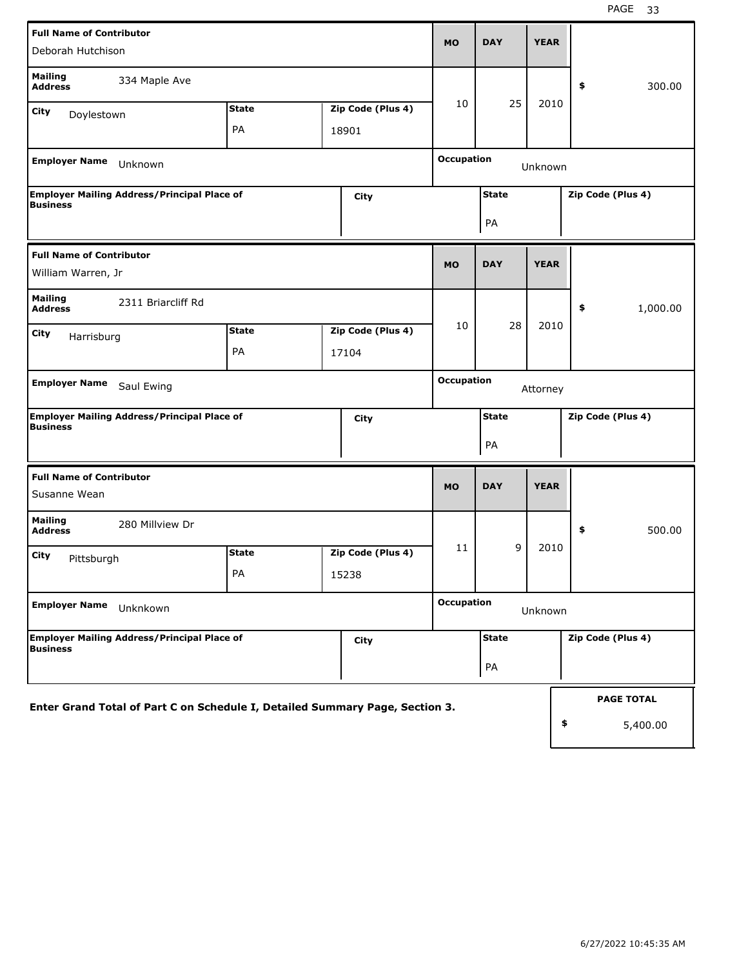| <b>Full Name of Contributor</b><br>Deborah Hutchison                         | <b>MO</b>    | <b>DAY</b>        | <b>YEAR</b>       |                               |             |                   |  |  |
|------------------------------------------------------------------------------|--------------|-------------------|-------------------|-------------------------------|-------------|-------------------|--|--|
| <b>Mailing</b><br>334 Maple Ave<br><b>Address</b>                            |              |                   |                   |                               |             | 300.00<br>\$      |  |  |
| <b>City</b><br>Doylestown                                                    | <b>State</b> | Zip Code (Plus 4) | 10                | 25                            | 2010        |                   |  |  |
|                                                                              | PA           | 18901             |                   |                               |             |                   |  |  |
| <b>Employer Name</b><br>Unknown                                              |              |                   |                   | <b>Occupation</b><br>Unknown  |             |                   |  |  |
| <b>Employer Mailing Address/Principal Place of</b><br><b>Business</b>        |              | City              |                   | <b>State</b>                  |             | Zip Code (Plus 4) |  |  |
|                                                                              |              |                   |                   | PA                            |             |                   |  |  |
| <b>Full Name of Contributor</b>                                              |              |                   | <b>MO</b>         | <b>DAY</b>                    | <b>YEAR</b> |                   |  |  |
| William Warren, Jr                                                           |              |                   |                   |                               |             |                   |  |  |
| <b>Mailing</b><br>2311 Briarcliff Rd<br><b>Address</b>                       |              |                   |                   |                               |             | \$<br>1,000.00    |  |  |
| <b>City</b><br>Harrisburg                                                    | <b>State</b> | Zip Code (Plus 4) | 10                | 28                            | 2010        |                   |  |  |
|                                                                              | PA           | 17104             |                   |                               |             |                   |  |  |
| Employer Name Saul Ewing                                                     |              |                   |                   | <b>Occupation</b><br>Attorney |             |                   |  |  |
| <b>Employer Mailing Address/Principal Place of</b><br><b>Business</b>        |              | City              |                   | <b>State</b>                  |             | Zip Code (Plus 4) |  |  |
|                                                                              |              |                   |                   | PA                            |             |                   |  |  |
| <b>Full Name of Contributor</b>                                              |              |                   |                   |                               | <b>YEAR</b> |                   |  |  |
| Susanne Wean                                                                 |              |                   | <b>MO</b>         | <b>DAY</b>                    |             |                   |  |  |
| <b>Mailing</b><br>280 Millview Dr<br><b>Address</b>                          |              |                   |                   |                               |             | \$<br>500.00      |  |  |
| City<br>Pittsburgh                                                           | <b>State</b> | Zip Code (Plus 4) | 11                | 9                             | 2010        |                   |  |  |
|                                                                              | PA           | 15238             |                   |                               |             |                   |  |  |
| <b>Employer Name</b><br>Unknkown                                             |              |                   | <b>Occupation</b> |                               | Unknown     |                   |  |  |
| Employer Mailing Address/Principal Place of<br><b>Business</b>               |              | <b>City</b>       |                   | <b>State</b>                  |             | Zip Code (Plus 4) |  |  |
|                                                                              |              |                   |                   | PA                            |             |                   |  |  |
| Enter Grand Total of Part C on Schedule I, Detailed Summary Page, Section 3. |              |                   |                   |                               |             | <b>PAGE TOTAL</b> |  |  |
|                                                                              |              |                   |                   |                               |             | \$<br>5,400.00    |  |  |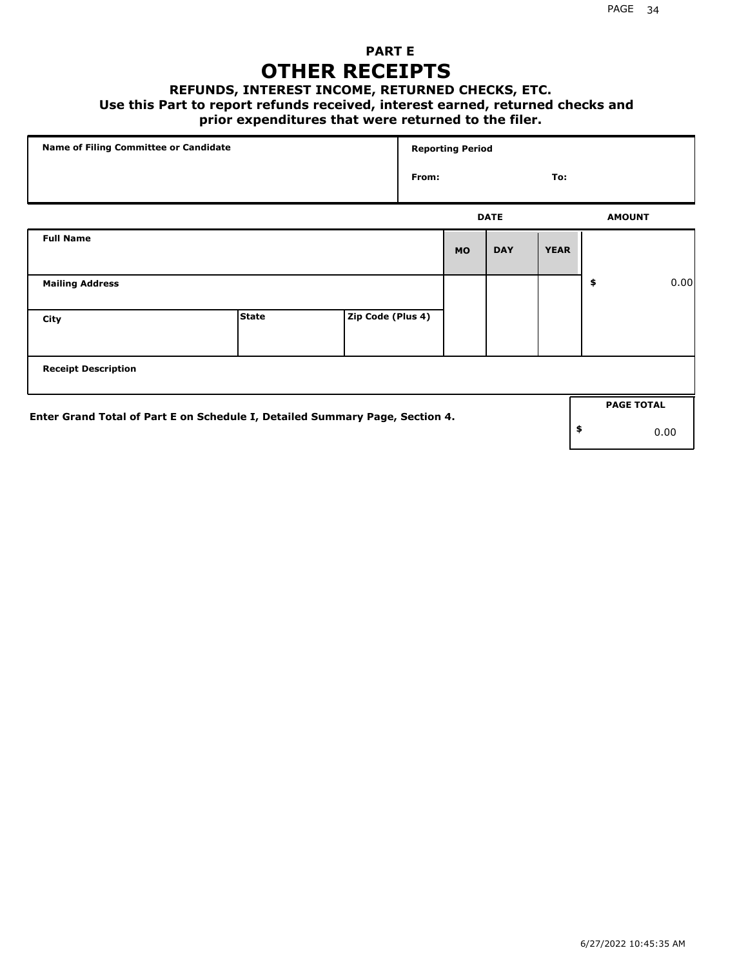### **PART E OTHER RECEIPTS**

#### **REFUNDS, INTEREST INCOME, RETURNED CHECKS, ETC.**

#### **Use this Part to report refunds received, interest earned, returned checks and**

### **prior expenditures that were returned to the filer.**

|                                                                              | Name of Filing Committee or Candidate |                   |       | <b>Reporting Period</b> |             |             |    |                   |      |
|------------------------------------------------------------------------------|---------------------------------------|-------------------|-------|-------------------------|-------------|-------------|----|-------------------|------|
|                                                                              |                                       |                   | From: |                         |             | To:         |    |                   |      |
|                                                                              |                                       |                   |       |                         | <b>DATE</b> |             |    | <b>AMOUNT</b>     |      |
| <b>Full Name</b>                                                             |                                       |                   |       | <b>MO</b>               | <b>DAY</b>  | <b>YEAR</b> |    |                   |      |
| <b>Mailing Address</b>                                                       |                                       |                   |       |                         |             |             | \$ |                   | 0.00 |
| City                                                                         | <b>State</b>                          | Zip Code (Plus 4) |       |                         |             |             |    |                   |      |
| <b>Receipt Description</b>                                                   |                                       |                   |       |                         |             |             |    |                   |      |
| Enter Grand Total of Part E on Schedule I, Detailed Summary Page, Section 4. |                                       |                   |       |                         |             |             |    | <b>PAGE TOTAL</b> |      |
|                                                                              |                                       |                   |       |                         |             |             | \$ |                   | 0.00 |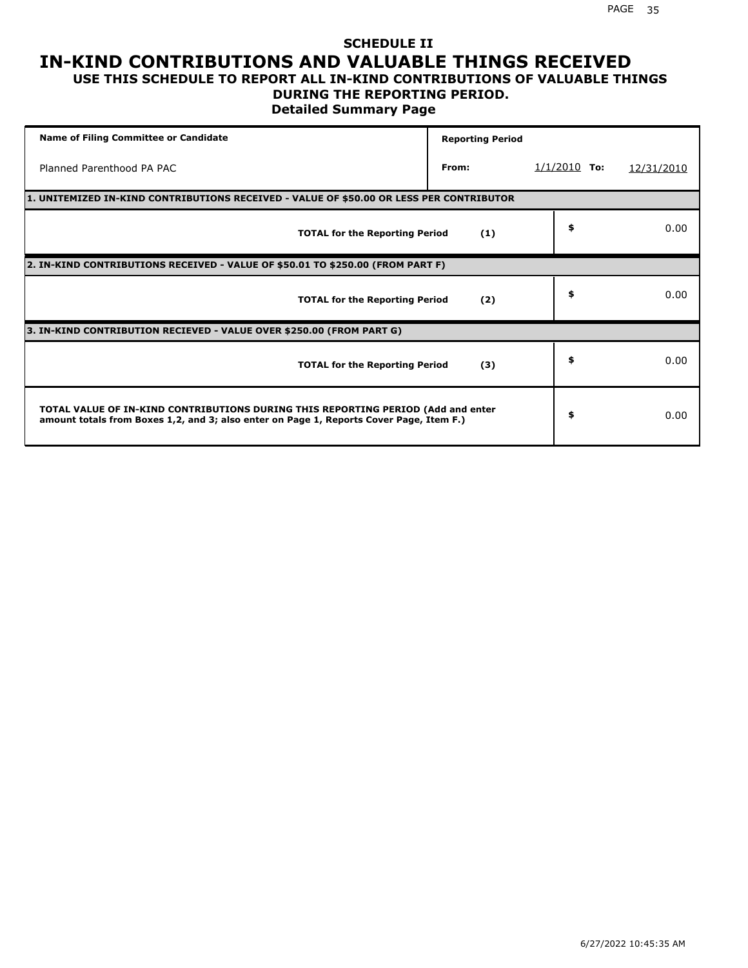## **SCHEDULE II IN-KIND CONTRIBUTIONS AND VALUABLE THINGS RECEIVED**

#### **USE THIS SCHEDULE TO REPORT ALL IN-KIND CONTRIBUTIONS OF VALUABLE THINGS DURING THE REPORTING PERIOD.**

**Detailed Summary Page**

| Name of Filing Committee or Candidate                                                                                                                                       | <b>Reporting Period</b> |                |            |
|-----------------------------------------------------------------------------------------------------------------------------------------------------------------------------|-------------------------|----------------|------------|
| Planned Parenthood PA PAC                                                                                                                                                   | From:                   | $1/1/2010$ To: | 12/31/2010 |
| 1. UNITEMIZED IN-KIND CONTRIBUTIONS RECEIVED - VALUE OF \$50.00 OR LESS PER CONTRIBUTOR                                                                                     |                         |                |            |
| <b>TOTAL for the Reporting Period</b>                                                                                                                                       | (1)                     | \$             | 0.00       |
| 2. IN-KIND CONTRIBUTIONS RECEIVED - VALUE OF \$50.01 TO \$250.00 (FROM PART F)                                                                                              |                         |                |            |
| <b>TOTAL for the Reporting Period</b>                                                                                                                                       | (2)                     | \$             | 0.00       |
| 3. IN-KIND CONTRIBUTION RECIEVED - VALUE OVER \$250.00 (FROM PART G)                                                                                                        |                         |                |            |
| <b>TOTAL for the Reporting Period</b>                                                                                                                                       | (3)                     | \$             | 0.00       |
| TOTAL VALUE OF IN-KIND CONTRIBUTIONS DURING THIS REPORTING PERIOD (Add and enter<br>amount totals from Boxes 1,2, and 3; also enter on Page 1, Reports Cover Page, Item F.) |                         | \$             | 0.00       |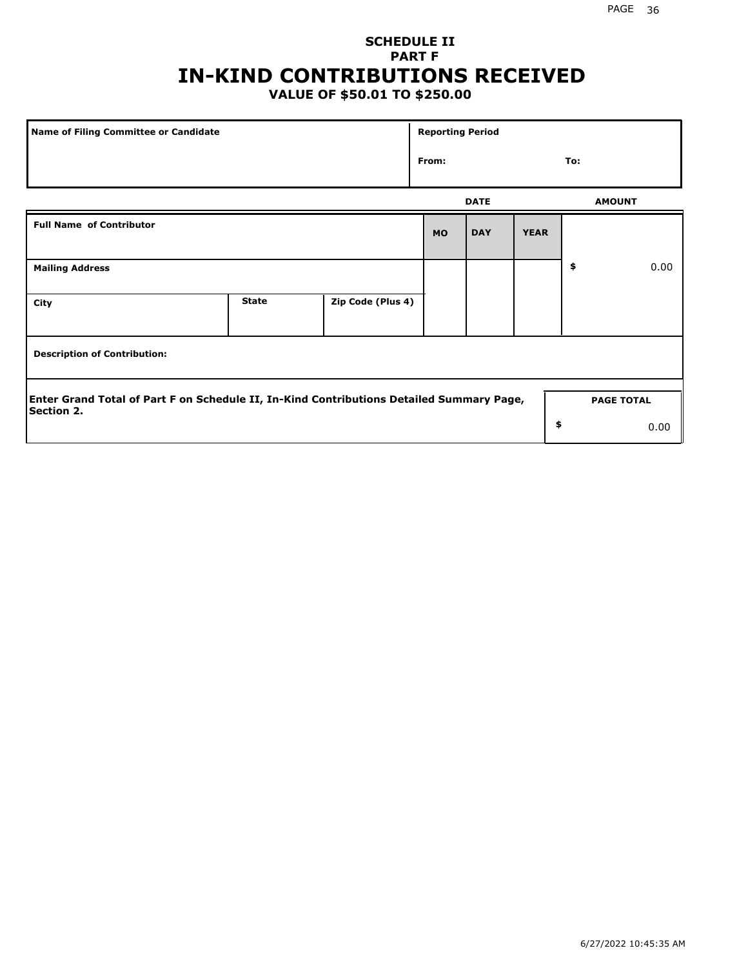## **SCHEDULE II PART F IN-KIND CONTRIBUTIONS RECEIVED**

## **VALUE OF \$50.01 TO \$250.00**

| <b>Name of Filing Committee or Candidate</b>                                                                  |              |                   |           | <b>Reporting Period</b> |             |                   |      |
|---------------------------------------------------------------------------------------------------------------|--------------|-------------------|-----------|-------------------------|-------------|-------------------|------|
|                                                                                                               |              |                   | From:     |                         |             | To:               |      |
|                                                                                                               |              |                   |           | <b>DATE</b>             |             | <b>AMOUNT</b>     |      |
| <b>Full Name of Contributor</b>                                                                               |              |                   | <b>MO</b> | <b>DAY</b>              | <b>YEAR</b> |                   |      |
| <b>Mailing Address</b>                                                                                        |              |                   |           |                         |             | \$                | 0.00 |
| City                                                                                                          | <b>State</b> | Zip Code (Plus 4) |           |                         |             |                   |      |
| <b>Description of Contribution:</b>                                                                           |              |                   |           |                         |             |                   |      |
| Enter Grand Total of Part F on Schedule II, In-Kind Contributions Detailed Summary Page,<br><b>Section 2.</b> |              |                   |           |                         |             | <b>PAGE TOTAL</b> |      |
|                                                                                                               |              |                   |           |                         | \$          |                   | 0.00 |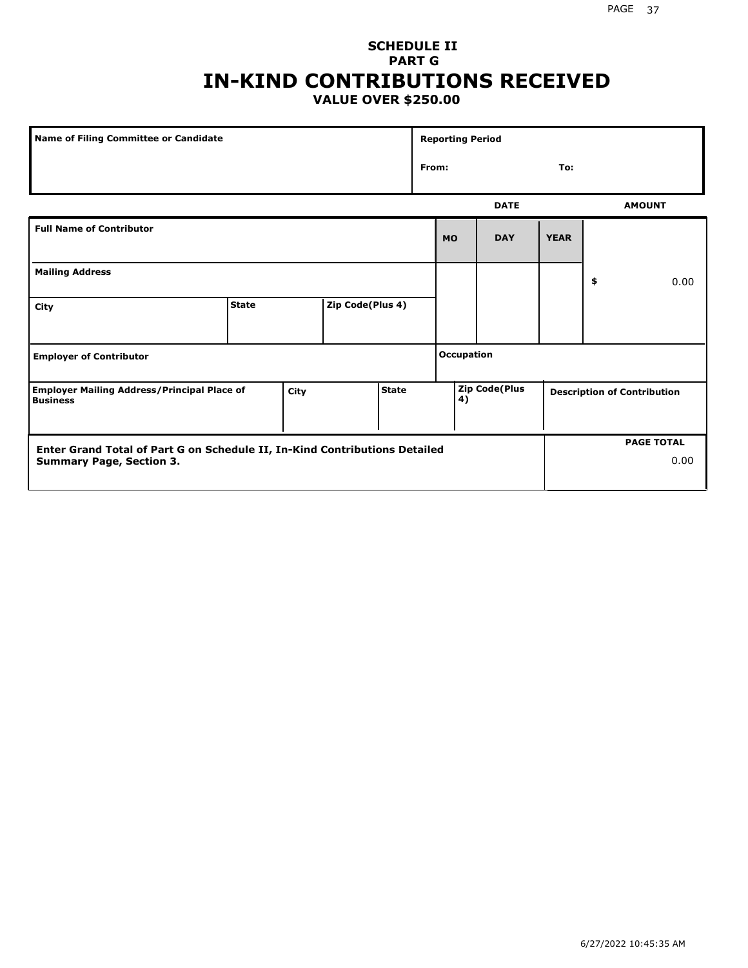### **SCHEDULE II PART G IN-KIND CONTRIBUTIONS RECEIVED VALUE OVER \$250.00**

|                                                                                                               | <b>Name of Filing Committee or Candidate</b> |      |                  |              |  | <b>Reporting Period</b> |                      |             |    |                                    |
|---------------------------------------------------------------------------------------------------------------|----------------------------------------------|------|------------------|--------------|--|-------------------------|----------------------|-------------|----|------------------------------------|
|                                                                                                               |                                              |      |                  |              |  | From:                   |                      | To:         |    |                                    |
|                                                                                                               |                                              |      |                  |              |  |                         | <b>DATE</b>          |             |    | <b>AMOUNT</b>                      |
| <b>Full Name of Contributor</b>                                                                               |                                              |      |                  |              |  | <b>MO</b>               | <b>DAY</b>           | <b>YEAR</b> |    |                                    |
| <b>Mailing Address</b>                                                                                        |                                              |      |                  |              |  |                         |                      |             | \$ | 0.00                               |
| City                                                                                                          | <b>State</b>                                 |      | Zip Code(Plus 4) |              |  |                         |                      |             |    |                                    |
| <b>Employer of Contributor</b>                                                                                |                                              |      |                  |              |  | <b>Occupation</b>       |                      |             |    |                                    |
| <b>Employer Mailing Address/Principal Place of</b><br><b>Business</b>                                         |                                              | City |                  | <b>State</b> |  | 4)                      | <b>Zip Code(Plus</b> |             |    | <b>Description of Contribution</b> |
| Enter Grand Total of Part G on Schedule II, In-Kind Contributions Detailed<br><b>Summary Page, Section 3.</b> |                                              |      |                  |              |  |                         |                      |             |    | <b>PAGE TOTAL</b><br>0.00          |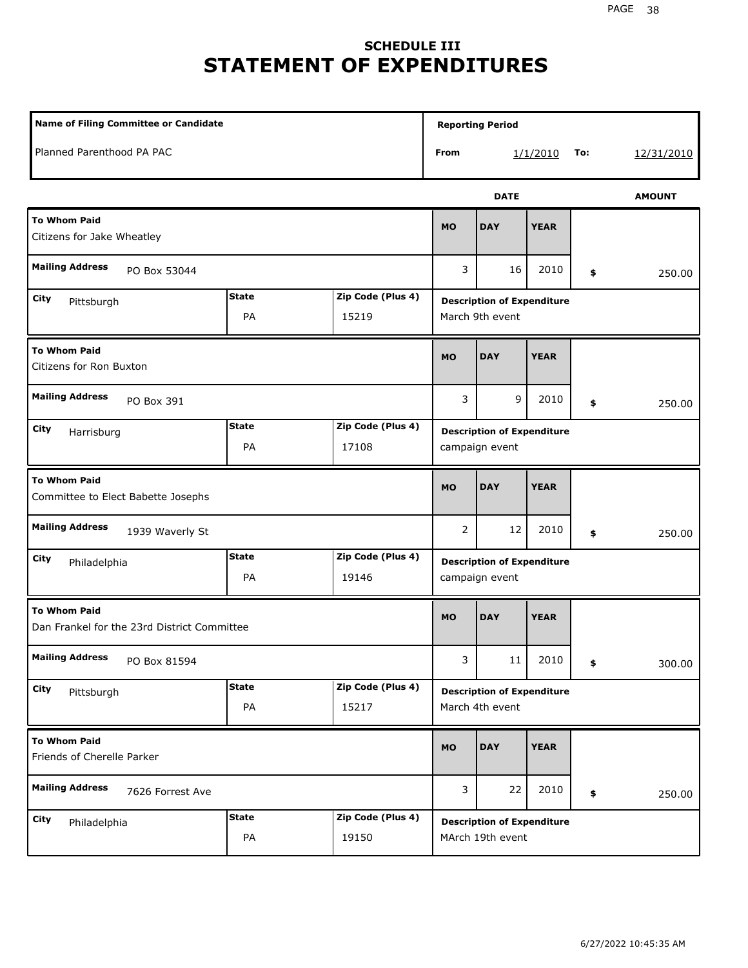## **SCHEDULE III STATEMENT OF EXPENDITURES**

| Name of Filing Committee or Candidate                              |                    |                            |           | <b>Reporting Period</b>                               |             |     |               |
|--------------------------------------------------------------------|--------------------|----------------------------|-----------|-------------------------------------------------------|-------------|-----|---------------|
| Planned Parenthood PA PAC                                          |                    |                            | From      |                                                       | 1/1/2010    | To: | 12/31/2010    |
|                                                                    |                    |                            |           | <b>DATE</b>                                           |             |     | <b>AMOUNT</b> |
| <b>To Whom Paid</b><br>Citizens for Jake Wheatley                  |                    |                            | <b>MO</b> | <b>DAY</b>                                            | <b>YEAR</b> |     |               |
| <b>Mailing Address</b><br>PO Box 53044                             |                    |                            | 3         | 16                                                    | 2010        | \$  | 250.00        |
| City<br>Pittsburgh                                                 | <b>State</b><br>PA | Zip Code (Plus 4)<br>15219 |           | <b>Description of Expenditure</b><br>March 9th event  |             |     |               |
| <b>To Whom Paid</b><br>Citizens for Ron Buxton                     |                    |                            | <b>MO</b> | <b>DAY</b>                                            | <b>YEAR</b> |     |               |
| <b>Mailing Address</b><br>PO Box 391                               |                    |                            | 3         | 9                                                     | 2010        | \$  | 250.00        |
| City<br>Harrisburg                                                 | <b>State</b><br>PA | Zip Code (Plus 4)<br>17108 |           | <b>Description of Expenditure</b><br>campaign event   |             |     |               |
| <b>To Whom Paid</b><br>Committee to Elect Babette Josephs          |                    |                            | <b>MO</b> | <b>DAY</b>                                            | <b>YEAR</b> |     |               |
| <b>Mailing Address</b><br>1939 Waverly St                          |                    |                            | 2         | 12                                                    | 2010        | \$  | 250.00        |
| City<br>Philadelphia                                               | <b>State</b><br>PA | Zip Code (Plus 4)<br>19146 |           | <b>Description of Expenditure</b><br>campaign event   |             |     |               |
| <b>To Whom Paid</b><br>Dan Frankel for the 23rd District Committee |                    |                            | <b>MO</b> | <b>DAY</b>                                            | <b>YEAR</b> |     |               |
| <b>Mailing Address</b><br>PO Box 81594                             |                    |                            | 3         | 11                                                    | 2010        | \$  | 300.00        |
| City<br>Pittsburgh                                                 | <b>State</b><br>PA | Zip Code (Plus 4)<br>15217 |           | <b>Description of Expenditure</b><br>March 4th event  |             |     |               |
| <b>To Whom Paid</b><br>Friends of Cherelle Parker                  |                    |                            | <b>MO</b> | <b>DAY</b>                                            | <b>YEAR</b> |     |               |
| <b>Mailing Address</b><br>7626 Forrest Ave                         |                    |                            | 3         | 22                                                    | 2010        | \$  | 250.00        |
| City<br>Philadelphia                                               | <b>State</b><br>PA | Zip Code (Plus 4)<br>19150 |           | <b>Description of Expenditure</b><br>MArch 19th event |             |     |               |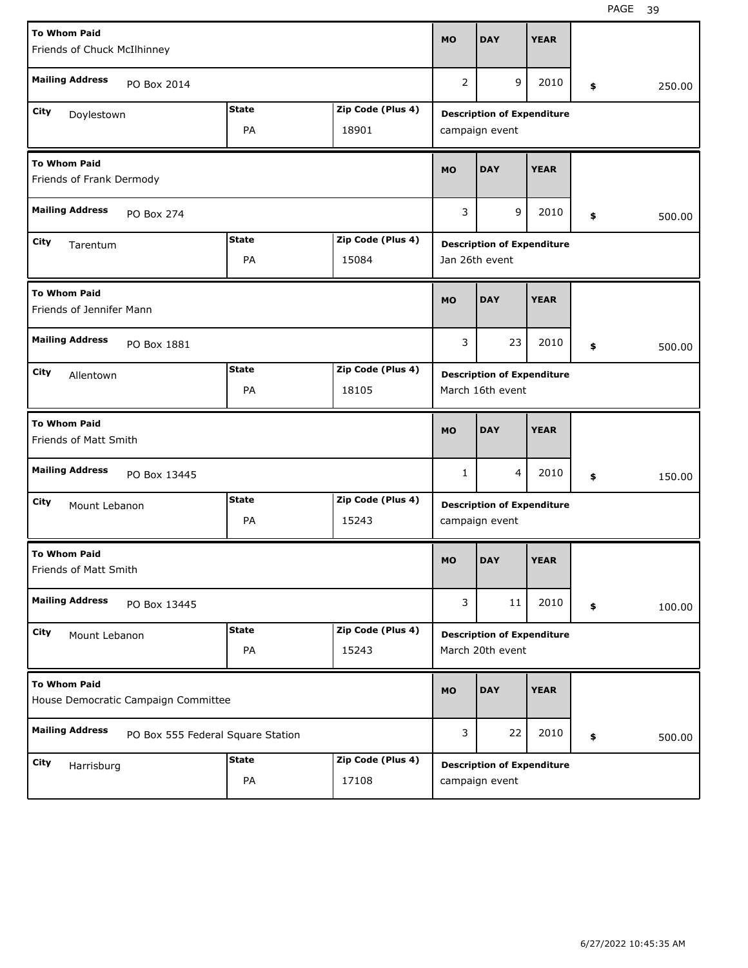| <b>To Whom Paid</b>                                        |                                   |                   | <b>MO</b>      | <b>DAY</b>                        | <b>YEAR</b> |              |
|------------------------------------------------------------|-----------------------------------|-------------------|----------------|-----------------------------------|-------------|--------------|
| Friends of Chuck McIlhinney                                |                                   |                   |                |                                   |             |              |
| <b>Mailing Address</b><br>PO Box 2014                      |                                   |                   | $\overline{2}$ | 9                                 | 2010        | \$<br>250.00 |
| City<br>Doylestown                                         | <b>State</b>                      | Zip Code (Plus 4) |                | <b>Description of Expenditure</b> |             |              |
|                                                            | PA                                | 18901             |                | campaign event                    |             |              |
| <b>To Whom Paid</b><br>Friends of Frank Dermody            |                                   |                   | <b>MO</b>      | <b>DAY</b>                        | <b>YEAR</b> |              |
| <b>Mailing Address</b><br>PO Box 274                       |                                   |                   | 3              | 9                                 | 2010        | \$<br>500.00 |
| City<br>Tarentum                                           | <b>State</b>                      | Zip Code (Plus 4) |                | <b>Description of Expenditure</b> |             |              |
|                                                            | PA                                | 15084             |                | Jan 26th event                    |             |              |
| <b>To Whom Paid</b><br>Friends of Jennifer Mann            |                                   |                   | <b>MO</b>      | <b>DAY</b>                        | <b>YEAR</b> |              |
| <b>Mailing Address</b><br>PO Box 1881                      |                                   |                   | 3              | 23                                | 2010        | \$<br>500.00 |
| City<br>Allentown                                          | <b>State</b>                      | Zip Code (Plus 4) |                | <b>Description of Expenditure</b> |             |              |
|                                                            | PA                                | 18105             |                | March 16th event                  |             |              |
|                                                            |                                   |                   |                |                                   |             |              |
| <b>To Whom Paid</b><br>Friends of Matt Smith               |                                   |                   | <b>MO</b>      | <b>DAY</b>                        | <b>YEAR</b> |              |
| <b>Mailing Address</b><br>PO Box 13445                     |                                   |                   | $\mathbf{1}$   | 4                                 | 2010        | \$<br>150.00 |
| City<br>Mount Lebanon                                      | <b>State</b>                      | Zip Code (Plus 4) |                | <b>Description of Expenditure</b> |             |              |
|                                                            | PA                                | 15243             |                | campaign event                    |             |              |
| <b>To Whom Paid</b><br>Friends of Matt Smith               |                                   |                   | <b>MO</b>      | <b>DAY</b>                        | <b>YEAR</b> |              |
| <b>Mailing Address</b><br>PO Box 13445                     |                                   |                   | 3              | 11                                | 2010        | \$<br>100.00 |
| City<br>Mount Lebanon                                      | <b>State</b>                      | Zip Code (Plus 4) |                | <b>Description of Expenditure</b> |             |              |
|                                                            | PA                                | 15243             |                | March 20th event                  |             |              |
| <b>To Whom Paid</b><br>House Democratic Campaign Committee |                                   |                   | <b>MO</b>      | <b>DAY</b>                        | <b>YEAR</b> |              |
| <b>Mailing Address</b>                                     | PO Box 555 Federal Square Station |                   | 3              | 22                                | 2010        | \$<br>500.00 |
| <b>City</b><br>Harrisburg                                  | <b>State</b>                      | Zip Code (Plus 4) |                | <b>Description of Expenditure</b> |             |              |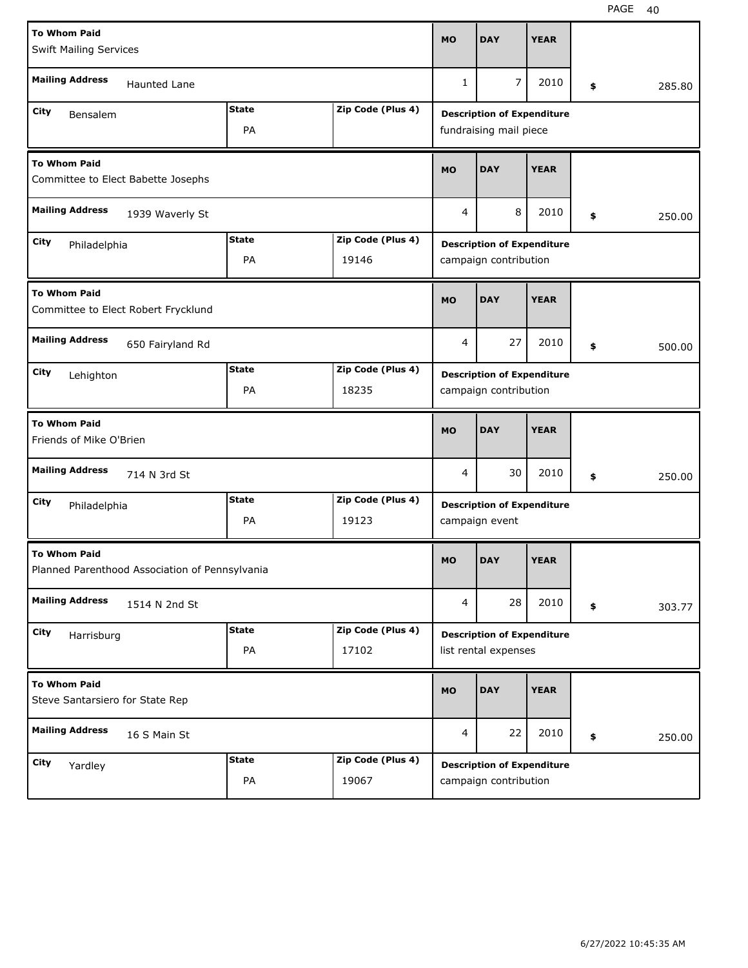| <b>To Whom Paid</b><br><b>Swift Mailing Services</b>                  |                    |                            | <b>MO</b>    | <b>DAY</b>                                                  | <b>YEAR</b> |              |
|-----------------------------------------------------------------------|--------------------|----------------------------|--------------|-------------------------------------------------------------|-------------|--------------|
| <b>Mailing Address</b><br><b>Haunted Lane</b>                         |                    |                            | $\mathbf{1}$ | 7                                                           | 2010        | \$<br>285.80 |
| City<br>Bensalem                                                      | <b>State</b><br>PA | Zip Code (Plus 4)          |              | <b>Description of Expenditure</b><br>fundraising mail piece |             |              |
| <b>To Whom Paid</b><br>Committee to Elect Babette Josephs             |                    |                            | <b>MO</b>    | <b>DAY</b>                                                  | <b>YEAR</b> |              |
| <b>Mailing Address</b><br>1939 Waverly St                             |                    |                            | 4            | 8                                                           | 2010        | \$<br>250.00 |
| City<br>Philadelphia                                                  | <b>State</b><br>PA | Zip Code (Plus 4)<br>19146 |              | <b>Description of Expenditure</b><br>campaign contribution  |             |              |
| <b>To Whom Paid</b><br>Committee to Elect Robert Frycklund            |                    |                            | <b>MO</b>    | <b>DAY</b>                                                  | <b>YEAR</b> |              |
| <b>Mailing Address</b><br>650 Fairyland Rd                            |                    |                            | 4            | 27                                                          | 2010        | \$<br>500.00 |
| City<br>Lehighton                                                     | <b>State</b><br>PA | Zip Code (Plus 4)<br>18235 |              | <b>Description of Expenditure</b><br>campaign contribution  |             |              |
|                                                                       |                    |                            |              |                                                             |             |              |
| <b>To Whom Paid</b><br>Friends of Mike O'Brien                        |                    |                            | <b>MO</b>    | <b>DAY</b>                                                  | <b>YEAR</b> |              |
| <b>Mailing Address</b><br>714 N 3rd St                                |                    |                            | 4            | 30                                                          | 2010        | \$<br>250.00 |
| City<br>Philadelphia                                                  | <b>State</b><br>PA | Zip Code (Plus 4)<br>19123 |              | <b>Description of Expenditure</b><br>campaign event         |             |              |
| <b>To Whom Paid</b><br>Planned Parenthood Association of Pennsylvania |                    |                            | <b>MO</b>    | <b>DAY</b>                                                  | <b>YEAR</b> |              |
| <b>Mailing Address</b><br>1514 N 2nd St                               |                    |                            | 4            | 28                                                          | 2010        | \$<br>303.77 |
| City<br>Harrisburg                                                    | <b>State</b><br>PA | Zip Code (Plus 4)<br>17102 |              | <b>Description of Expenditure</b><br>list rental expenses   |             |              |
| <b>To Whom Paid</b><br>Steve Santarsiero for State Rep                |                    |                            | <b>MO</b>    | <b>DAY</b>                                                  | <b>YEAR</b> |              |
| <b>Mailing Address</b><br>16 S Main St                                |                    |                            | 4            | 22                                                          | 2010        | \$<br>250.00 |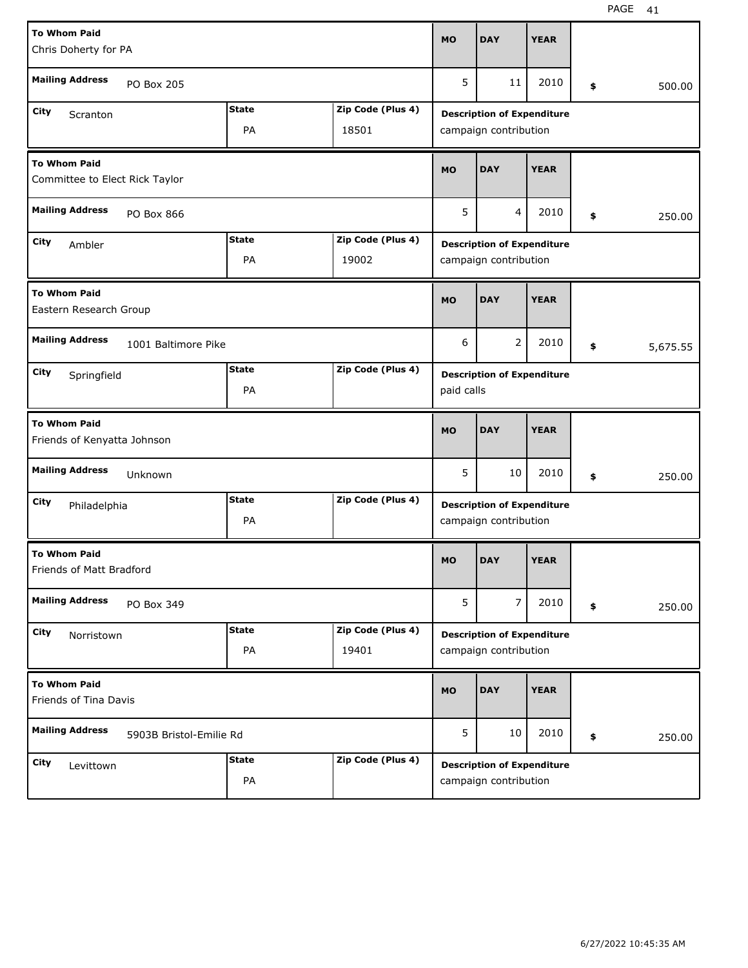| <b>To Whom Paid</b>                                   |                         |              |                   | <b>MO</b>  | <b>DAY</b>                        | <b>YEAR</b> |                |
|-------------------------------------------------------|-------------------------|--------------|-------------------|------------|-----------------------------------|-------------|----------------|
| Chris Doherty for PA                                  |                         |              |                   |            |                                   |             |                |
| <b>Mailing Address</b>                                | PO Box 205              |              |                   | 5          | 11                                | 2010        | \$<br>500.00   |
| City<br>Scranton                                      |                         | <b>State</b> | Zip Code (Plus 4) |            | <b>Description of Expenditure</b> |             |                |
|                                                       |                         | PA           | 18501             |            | campaign contribution             |             |                |
| <b>To Whom Paid</b><br>Committee to Elect Rick Taylor |                         |              |                   | <b>MO</b>  | <b>DAY</b>                        | <b>YEAR</b> |                |
| <b>Mailing Address</b>                                | PO Box 866              |              |                   | 5          | 4                                 | 2010        | \$<br>250.00   |
| City<br>Ambler                                        |                         | <b>State</b> | Zip Code (Plus 4) |            | <b>Description of Expenditure</b> |             |                |
|                                                       |                         | PA           | 19002             |            | campaign contribution             |             |                |
| <b>To Whom Paid</b><br>Eastern Research Group         |                         |              |                   | <b>MO</b>  | <b>DAY</b>                        | <b>YEAR</b> |                |
| <b>Mailing Address</b>                                | 1001 Baltimore Pike     |              |                   | 6          | $\overline{2}$                    | 2010        | \$<br>5,675.55 |
| City<br>Springfield                                   |                         | <b>State</b> | Zip Code (Plus 4) |            | <b>Description of Expenditure</b> |             |                |
|                                                       |                         | PA           |                   | paid calls |                                   |             |                |
|                                                       |                         |              |                   |            |                                   |             |                |
| <b>To Whom Paid</b><br>Friends of Kenyatta Johnson    |                         |              |                   | <b>MO</b>  | <b>DAY</b>                        | <b>YEAR</b> |                |
| <b>Mailing Address</b>                                | Unknown                 |              |                   | 5          | 10                                | 2010        | \$<br>250.00   |
| City<br>Philadelphia                                  |                         | <b>State</b> | Zip Code (Plus 4) |            | <b>Description of Expenditure</b> |             |                |
|                                                       |                         | PA           |                   |            | campaign contribution             |             |                |
| <b>To Whom Paid</b><br>Friends of Matt Bradford       |                         |              |                   | <b>MO</b>  | <b>DAY</b>                        | <b>YEAR</b> |                |
| <b>Mailing Address</b>                                | PO Box 349              |              |                   | 5          | 7                                 | 2010        | \$<br>250.00   |
| City<br>Norristown                                    |                         | <b>State</b> | Zip Code (Plus 4) |            | <b>Description of Expenditure</b> |             |                |
|                                                       |                         | PA           | 19401             |            | campaign contribution             |             |                |
| <b>To Whom Paid</b><br>Friends of Tina Davis          |                         |              |                   | <b>MO</b>  | <b>DAY</b>                        | <b>YEAR</b> |                |
| <b>Mailing Address</b>                                | 5903B Bristol-Emilie Rd |              |                   | 5          | 10                                | 2010        | \$<br>250.00   |
| City<br>Levittown                                     |                         | <b>State</b> | Zip Code (Plus 4) |            | <b>Description of Expenditure</b> |             |                |

H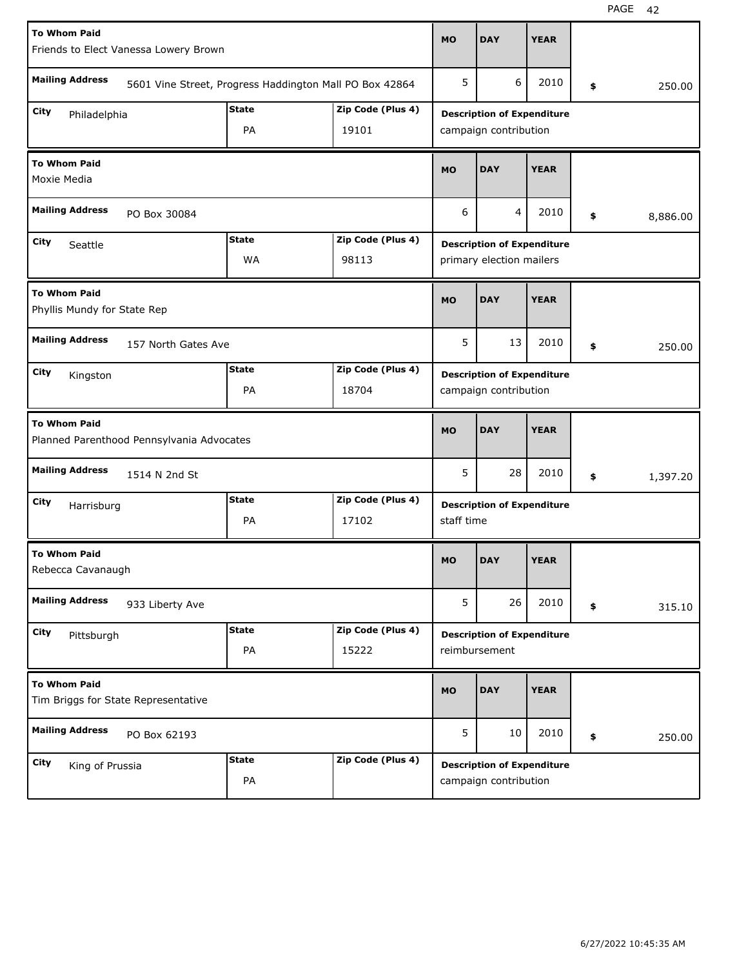| <b>To Whom Paid</b>                                              |              |                                                         |            |                                                    |             |                |
|------------------------------------------------------------------|--------------|---------------------------------------------------------|------------|----------------------------------------------------|-------------|----------------|
| Friends to Elect Vanessa Lowery Brown                            |              |                                                         | <b>MO</b>  | <b>DAY</b>                                         | <b>YEAR</b> |                |
| <b>Mailing Address</b>                                           |              | 5601 Vine Street, Progress Haddington Mall PO Box 42864 | 5          | 6                                                  | 2010        | \$<br>250.00   |
| City<br>Philadelphia                                             | <b>State</b> | Zip Code (Plus 4)                                       |            | <b>Description of Expenditure</b>                  |             |                |
|                                                                  | PA           | 19101                                                   |            | campaign contribution                              |             |                |
| <b>To Whom Paid</b><br>Moxie Media                               |              |                                                         | <b>MO</b>  | <b>DAY</b>                                         | <b>YEAR</b> |                |
| <b>Mailing Address</b><br>PO Box 30084                           |              |                                                         | 6          | 4                                                  | 2010        | \$<br>8,886.00 |
| City<br>Seattle                                                  | <b>State</b> | Zip Code (Plus 4)                                       |            | <b>Description of Expenditure</b>                  |             |                |
|                                                                  | <b>WA</b>    | 98113                                                   |            | primary election mailers                           |             |                |
| <b>To Whom Paid</b><br>Phyllis Mundy for State Rep               |              |                                                         | <b>MO</b>  | <b>DAY</b>                                         | <b>YEAR</b> |                |
| <b>Mailing Address</b><br>157 North Gates Ave                    |              |                                                         | 5          | 13                                                 | 2010        | \$<br>250.00   |
| City<br>Kingston                                                 | <b>State</b> | Zip Code (Plus 4)                                       |            | <b>Description of Expenditure</b>                  |             |                |
|                                                                  | PA           | 18704                                                   |            | campaign contribution                              |             |                |
|                                                                  |              |                                                         |            |                                                    |             |                |
| <b>To Whom Paid</b><br>Planned Parenthood Pennsylvania Advocates |              |                                                         | <b>MO</b>  | <b>DAY</b>                                         | <b>YEAR</b> |                |
| <b>Mailing Address</b><br>1514 N 2nd St                          |              |                                                         | 5          | 28                                                 | 2010        | \$<br>1,397.20 |
| City                                                             | State        | Zip Code (Plus 4)                                       |            | <b>Description of Expenditure</b>                  |             |                |
| Harrisburg                                                       | PA           | 17102                                                   | staff time |                                                    |             |                |
| <b>To Whom Paid</b><br>Rebecca Cavanaugh                         |              |                                                         | <b>MO</b>  | <b>DAY</b>                                         | <b>YEAR</b> |                |
| <b>Mailing Address</b><br>933 Liberty Ave                        |              |                                                         | 5          | 26                                                 | 2010        | \$<br>315.10   |
| City                                                             | <b>State</b> | Zip Code (Plus 4)                                       |            |                                                    |             |                |
| Pittsburgh                                                       | PA           | 15222                                                   |            | <b>Description of Expenditure</b><br>reimbursement |             |                |
| <b>To Whom Paid</b><br>Tim Briggs for State Representative       |              |                                                         | <b>MO</b>  | <b>DAY</b>                                         | <b>YEAR</b> |                |
| <b>Mailing Address</b><br>PO Box 62193                           |              |                                                         | 5          | 10                                                 | 2010        | \$<br>250.00   |
| City<br>King of Prussia                                          | <b>State</b> | Zip Code (Plus 4)                                       |            | <b>Description of Expenditure</b>                  |             |                |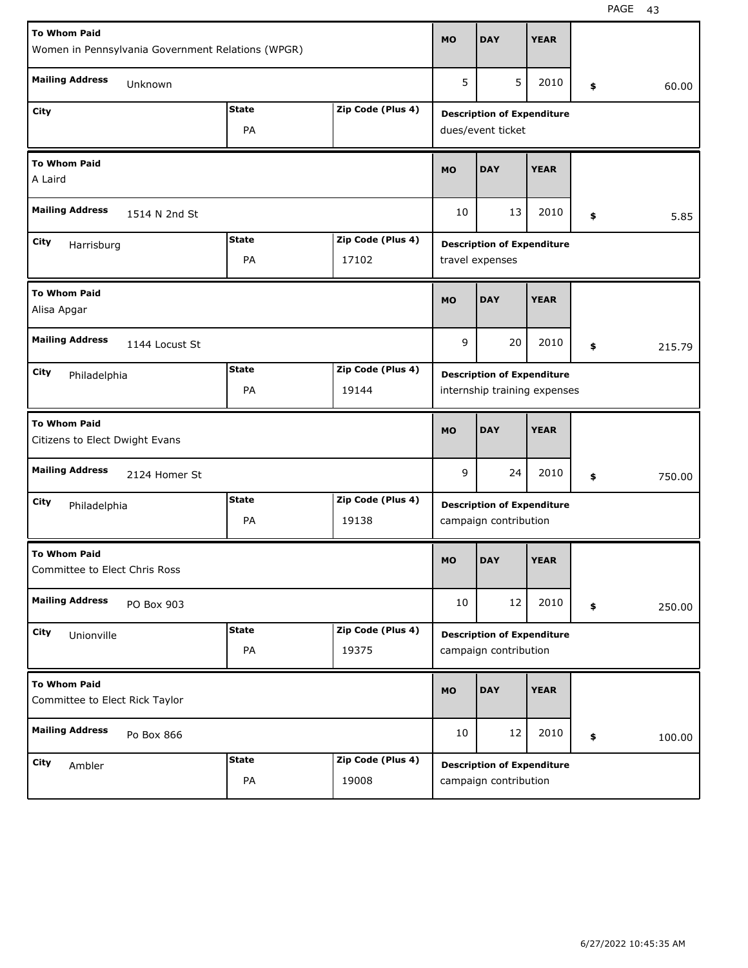| <b>To Whom Paid</b>                                   |              |                   | <b>MO</b> | <b>DAY</b>                        | <b>YEAR</b> |              |
|-------------------------------------------------------|--------------|-------------------|-----------|-----------------------------------|-------------|--------------|
| Women in Pennsylvania Government Relations (WPGR)     |              |                   |           |                                   |             |              |
| <b>Mailing Address</b><br>Unknown                     |              |                   | 5         | 5                                 | 2010        | \$<br>60.00  |
| City                                                  | <b>State</b> | Zip Code (Plus 4) |           | <b>Description of Expenditure</b> |             |              |
|                                                       | PA           |                   |           | dues/event ticket                 |             |              |
| <b>To Whom Paid</b><br>A Laird                        |              |                   | <b>MO</b> | <b>DAY</b>                        | <b>YEAR</b> |              |
| <b>Mailing Address</b><br>1514 N 2nd St               |              |                   | 10        | 13                                | 2010        | \$<br>5.85   |
| City<br>Harrisburg                                    | <b>State</b> | Zip Code (Plus 4) |           | <b>Description of Expenditure</b> |             |              |
|                                                       | PA           | 17102             |           | travel expenses                   |             |              |
| <b>To Whom Paid</b><br>Alisa Apgar                    |              |                   | <b>MO</b> | <b>DAY</b>                        | <b>YEAR</b> |              |
| <b>Mailing Address</b><br>1144 Locust St              |              |                   | 9         | 20                                | 2010        | \$<br>215.79 |
| City<br>Philadelphia                                  | <b>State</b> | Zip Code (Plus 4) |           | <b>Description of Expenditure</b> |             |              |
|                                                       | PA           | 19144             |           | internship training expenses      |             |              |
|                                                       |              |                   |           |                                   |             |              |
| <b>To Whom Paid</b><br>Citizens to Elect Dwight Evans |              |                   | <b>MO</b> | <b>DAY</b>                        | <b>YEAR</b> |              |
| <b>Mailing Address</b><br>2124 Homer St               |              |                   | 9         | 24                                | 2010        | \$<br>750.00 |
| City<br>Philadelphia                                  | <b>State</b> | Zip Code (Plus 4) |           | <b>Description of Expenditure</b> |             |              |
|                                                       | PA           | 19138             |           | campaign contribution             |             |              |
| <b>To Whom Paid</b><br>Committee to Elect Chris Ross  |              |                   | <b>MO</b> | <b>DAY</b>                        | <b>YEAR</b> |              |
| <b>Mailing Address</b><br>PO Box 903                  |              |                   | 10        | 12                                | 2010        | \$<br>250.00 |
| City<br>Unionville                                    | <b>State</b> | Zip Code (Plus 4) |           | <b>Description of Expenditure</b> |             |              |
|                                                       | PA           | 19375             |           | campaign contribution             |             |              |
| <b>To Whom Paid</b><br>Committee to Elect Rick Taylor |              |                   | <b>MO</b> | <b>DAY</b>                        | <b>YEAR</b> |              |
| <b>Mailing Address</b><br>Po Box 866                  |              |                   | 10        | 12                                | 2010        | \$<br>100.00 |
| City<br>Ambler                                        | <b>State</b> | Zip Code (Plus 4) |           | <b>Description of Expenditure</b> |             |              |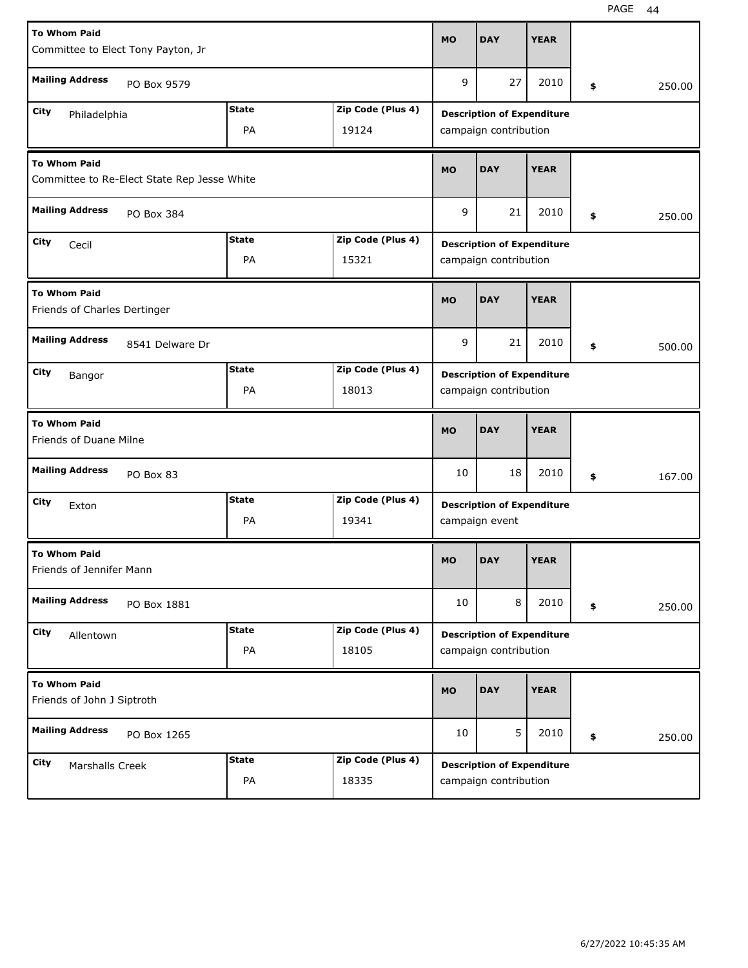| <b>To Whom Paid</b><br>Committee to Elect Tony Payton, Jr          |                    |                            | <b>MO</b> | <b>DAY</b>                                                 | <b>YEAR</b> |              |
|--------------------------------------------------------------------|--------------------|----------------------------|-----------|------------------------------------------------------------|-------------|--------------|
| <b>Mailing Address</b><br>PO Box 9579                              |                    |                            | 9         | 27                                                         | 2010        | \$<br>250.00 |
| City<br>Philadelphia                                               | <b>State</b><br>PA | Zip Code (Plus 4)<br>19124 |           | <b>Description of Expenditure</b><br>campaign contribution |             |              |
| <b>To Whom Paid</b><br>Committee to Re-Elect State Rep Jesse White |                    |                            | <b>MO</b> | <b>DAY</b>                                                 | <b>YEAR</b> |              |
| <b>Mailing Address</b><br>PO Box 384                               |                    |                            | 9         | 21                                                         | 2010        | \$<br>250.00 |
| City<br>Cecil                                                      | <b>State</b><br>PA | Zip Code (Plus 4)<br>15321 |           | <b>Description of Expenditure</b><br>campaign contribution |             |              |
| <b>To Whom Paid</b><br>Friends of Charles Dertinger                |                    |                            | <b>MO</b> | <b>DAY</b>                                                 | <b>YEAR</b> |              |
| <b>Mailing Address</b><br>8541 Delware Dr                          |                    |                            | 9         | 21                                                         | 2010        | \$<br>500.00 |
| City<br>Bangor                                                     | <b>State</b><br>PA | Zip Code (Plus 4)<br>18013 |           | <b>Description of Expenditure</b><br>campaign contribution |             |              |
|                                                                    |                    |                            |           |                                                            |             |              |
| <b>To Whom Paid</b><br>Friends of Duane Milne                      |                    |                            | <b>MO</b> | <b>DAY</b>                                                 | <b>YEAR</b> |              |
| <b>Mailing Address</b><br>PO Box 83                                |                    |                            | 10        | 18                                                         | 2010        | \$<br>167.00 |
| City<br>Exton                                                      | <b>State</b><br>PA | Zip Code (Plus 4)<br>19341 |           | <b>Description of Expenditure</b><br>campaign event        |             |              |
| <b>To Whom Paid</b><br>Friends of Jennifer Mann                    |                    |                            | <b>MO</b> | <b>DAY</b>                                                 | <b>YEAR</b> |              |
| <b>Mailing Address</b><br>PO Box 1881                              |                    |                            | 10        | 8                                                          | 2010        | \$<br>250.00 |
| City<br>Allentown                                                  | <b>State</b><br>PA | Zip Code (Plus 4)<br>18105 |           | <b>Description of Expenditure</b><br>campaign contribution |             |              |
| <b>To Whom Paid</b><br>Friends of John J Siptroth                  |                    |                            | <b>MO</b> | <b>DAY</b>                                                 | <b>YEAR</b> |              |
| <b>Mailing Address</b><br>PO Box 1265                              |                    |                            | 10        | 5                                                          | 2010        | \$<br>250.00 |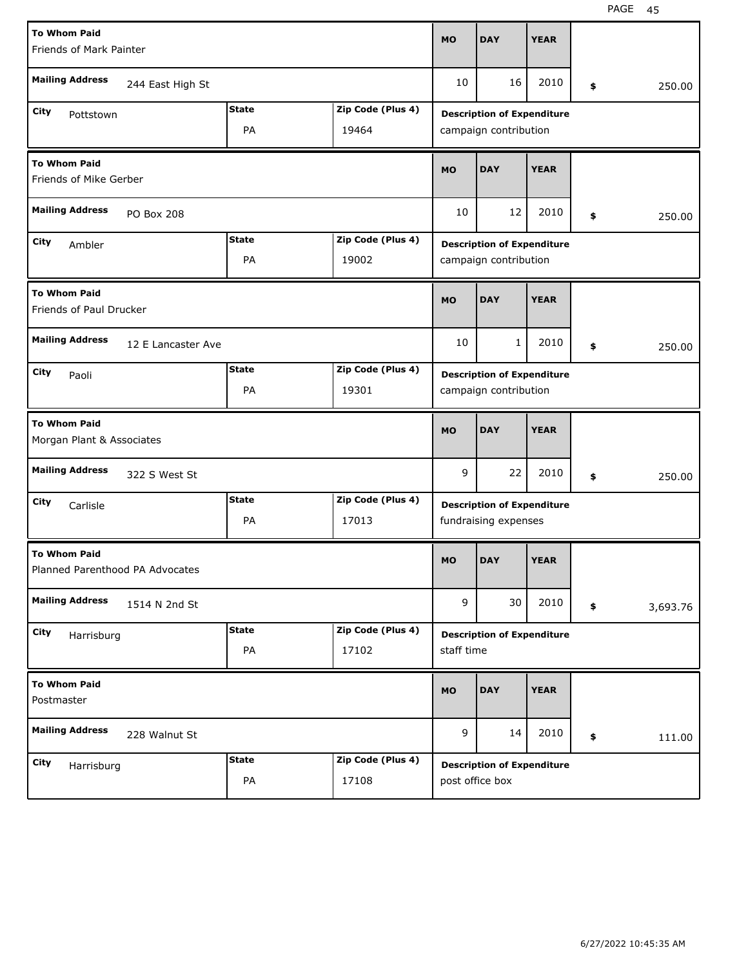| <b>To Whom Paid</b><br>Friends of Mark Painter         |                    |                    |                            | <b>MO</b>  | <b>DAY</b>                                                 | <b>YEAR</b> |    |          |
|--------------------------------------------------------|--------------------|--------------------|----------------------------|------------|------------------------------------------------------------|-------------|----|----------|
| <b>Mailing Address</b>                                 | 244 East High St   |                    |                            | 10         | 16                                                         | 2010        | \$ | 250.00   |
| City<br>Pottstown                                      |                    | <b>State</b><br>PA | Zip Code (Plus 4)<br>19464 |            | <b>Description of Expenditure</b><br>campaign contribution |             |    |          |
| <b>To Whom Paid</b><br>Friends of Mike Gerber          |                    |                    |                            | <b>MO</b>  | <b>DAY</b>                                                 | <b>YEAR</b> |    |          |
| <b>Mailing Address</b>                                 | <b>PO Box 208</b>  |                    |                            | 10         | 12                                                         | 2010        | \$ | 250.00   |
| City<br>Ambler                                         |                    | <b>State</b><br>PA | Zip Code (Plus 4)<br>19002 |            | <b>Description of Expenditure</b><br>campaign contribution |             |    |          |
| <b>To Whom Paid</b><br>Friends of Paul Drucker         |                    |                    |                            | <b>MO</b>  | <b>DAY</b>                                                 | <b>YEAR</b> |    |          |
| <b>Mailing Address</b>                                 | 12 E Lancaster Ave |                    |                            | 10         | $\mathbf{1}$                                               | 2010        | \$ | 250.00   |
| City<br>Paoli                                          |                    | <b>State</b><br>PA | Zip Code (Plus 4)<br>19301 |            | <b>Description of Expenditure</b><br>campaign contribution |             |    |          |
|                                                        |                    |                    |                            |            |                                                            |             |    |          |
| <b>To Whom Paid</b><br>Morgan Plant & Associates       |                    |                    |                            | <b>MO</b>  | <b>DAY</b>                                                 | <b>YEAR</b> |    |          |
| <b>Mailing Address</b>                                 | 322 S West St      |                    |                            | 9          | 22                                                         | 2010        | \$ | 250.00   |
| City<br>Carlisle                                       |                    | <b>State</b><br>PA | Zip Code (Plus 4)<br>17013 |            | <b>Description of Expenditure</b><br>fundraising expenses  |             |    |          |
| <b>To Whom Paid</b><br>Planned Parenthood PA Advocates |                    |                    |                            | <b>MO</b>  | <b>DAY</b>                                                 | <b>YEAR</b> |    |          |
| <b>Mailing Address</b>                                 | 1514 N 2nd St      |                    |                            | 9          | 30                                                         | 2010        | \$ | 3,693.76 |
| City<br>Harrisburg                                     |                    | <b>State</b><br>PA | Zip Code (Plus 4)<br>17102 | staff time | <b>Description of Expenditure</b>                          |             |    |          |
| <b>To Whom Paid</b><br>Postmaster                      |                    |                    |                            | <b>MO</b>  | <b>DAY</b>                                                 | <b>YEAR</b> |    |          |
| <b>Mailing Address</b>                                 | 228 Walnut St      |                    |                            | 9          | 14                                                         | 2010        | \$ | 111.00   |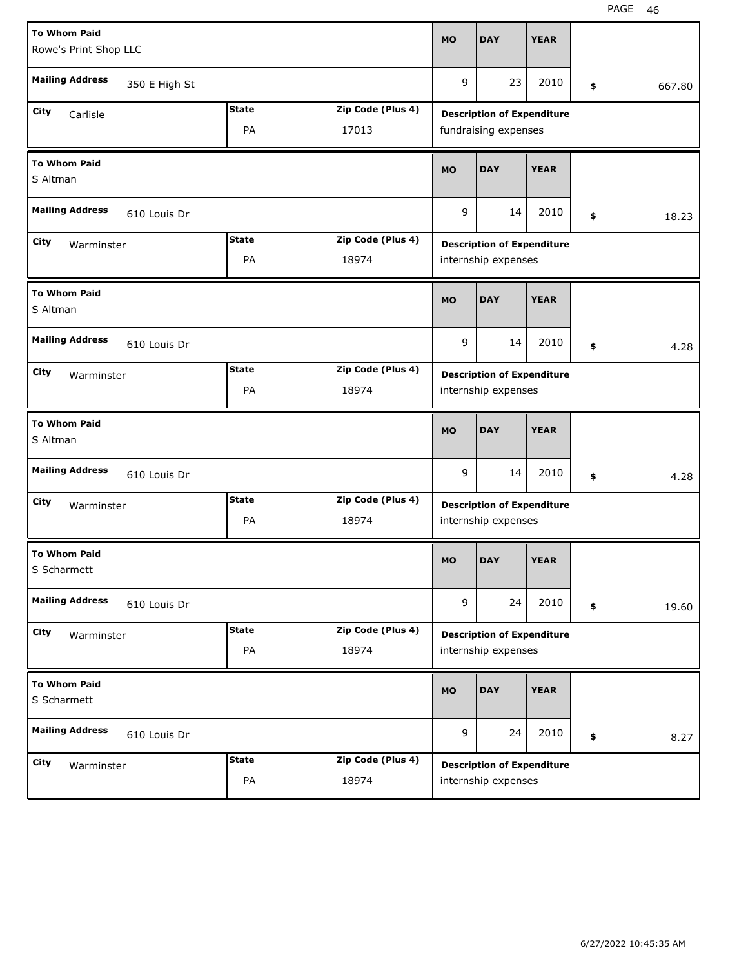| <b>To Whom Paid</b><br>Rowe's Print Shop LLC |              |                   | <b>MO</b> | <b>DAY</b>                                               | <b>YEAR</b> |              |
|----------------------------------------------|--------------|-------------------|-----------|----------------------------------------------------------|-------------|--------------|
| <b>Mailing Address</b><br>350 E High St      |              |                   | 9         | 23                                                       | 2010        | \$<br>667.80 |
| City<br>Carlisle                             | <b>State</b> | Zip Code (Plus 4) |           | <b>Description of Expenditure</b>                        |             |              |
|                                              | PA           | 17013             |           | fundraising expenses                                     |             |              |
| <b>To Whom Paid</b><br>S Altman              |              |                   | <b>MO</b> | <b>DAY</b>                                               | <b>YEAR</b> |              |
| <b>Mailing Address</b><br>610 Louis Dr       |              |                   | 9         | 14                                                       | 2010        | \$<br>18.23  |
| City<br>Warminster                           | <b>State</b> | Zip Code (Plus 4) |           | <b>Description of Expenditure</b>                        |             |              |
|                                              | PA           | 18974             |           | internship expenses                                      |             |              |
| <b>To Whom Paid</b><br>S Altman              |              |                   | <b>MO</b> | <b>DAY</b>                                               | <b>YEAR</b> |              |
| <b>Mailing Address</b><br>610 Louis Dr       |              |                   | 9         | 14                                                       | 2010        | \$<br>4.28   |
| City<br>Warminster                           | <b>State</b> | Zip Code (Plus 4) |           | <b>Description of Expenditure</b>                        |             |              |
|                                              | PA           | 18974             |           | internship expenses                                      |             |              |
|                                              |              |                   |           |                                                          |             |              |
| <b>To Whom Paid</b><br>S Altman              |              |                   | <b>MO</b> | <b>DAY</b>                                               | <b>YEAR</b> |              |
| <b>Mailing Address</b><br>610 Louis Dr       |              |                   | 9         | 14                                                       | 2010        | \$<br>4.28   |
| City<br>Warminster                           | <b>State</b> | Zip Code (Plus 4) |           | <b>Description of Expenditure</b>                        |             |              |
|                                              | PA           | 18974             |           | internship expenses                                      |             |              |
| <b>To Whom Paid</b><br>S Scharmett           |              |                   | <b>MO</b> | <b>DAY</b>                                               | <b>YEAR</b> |              |
| <b>Mailing Address</b><br>610 Louis Dr       |              |                   | 9         | 24                                                       | 2010        | \$<br>19.60  |
| City                                         | <b>State</b> | Zip Code (Plus 4) |           |                                                          |             |              |
| Warminster                                   | PA           | 18974             |           | <b>Description of Expenditure</b><br>internship expenses |             |              |
| <b>To Whom Paid</b><br>S Scharmett           |              |                   | <b>MO</b> | <b>DAY</b>                                               | <b>YEAR</b> |              |
| <b>Mailing Address</b><br>610 Louis Dr       |              |                   | 9         | 24                                                       | 2010        | \$<br>8.27   |
| City<br>Warminster                           | <b>State</b> | Zip Code (Plus 4) |           | <b>Description of Expenditure</b>                        |             |              |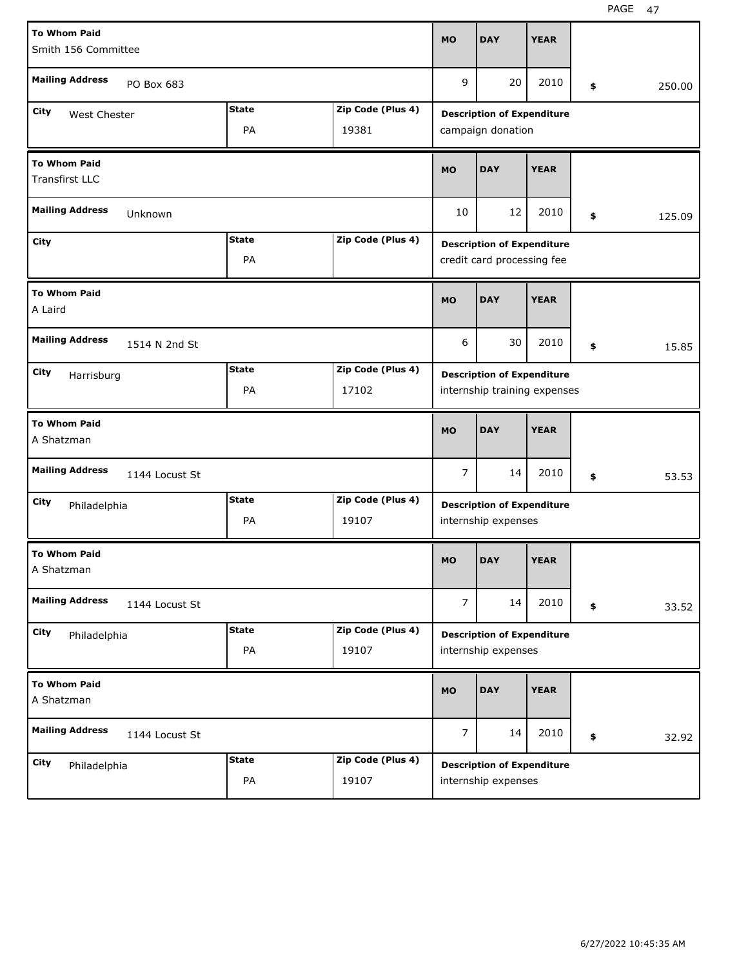| <b>To Whom Paid</b>                          |              |                   | <b>MO</b>      | <b>DAY</b>                        | <b>YEAR</b> |              |
|----------------------------------------------|--------------|-------------------|----------------|-----------------------------------|-------------|--------------|
| Smith 156 Committee                          |              |                   |                |                                   |             |              |
| <b>Mailing Address</b><br>PO Box 683         |              |                   | 9              | 20                                | 2010        | \$<br>250.00 |
| City<br>West Chester                         | <b>State</b> | Zip Code (Plus 4) |                | <b>Description of Expenditure</b> |             |              |
|                                              | PA           | 19381             |                | campaign donation                 |             |              |
| <b>To Whom Paid</b><br><b>Transfirst LLC</b> |              |                   | <b>MO</b>      | <b>DAY</b>                        | <b>YEAR</b> |              |
| <b>Mailing Address</b><br>Unknown            |              |                   | 10             | 12                                | 2010        | \$<br>125.09 |
| City                                         | <b>State</b> | Zip Code (Plus 4) |                | <b>Description of Expenditure</b> |             |              |
|                                              | PA           |                   |                | credit card processing fee        |             |              |
| <b>To Whom Paid</b><br>A Laird               |              |                   | <b>MO</b>      | <b>DAY</b>                        | <b>YEAR</b> |              |
| <b>Mailing Address</b><br>1514 N 2nd St      |              |                   | 6              | 30                                | 2010        | \$<br>15.85  |
| City<br>Harrisburg                           | <b>State</b> | Zip Code (Plus 4) |                | <b>Description of Expenditure</b> |             |              |
|                                              | PA           | 17102             |                | internship training expenses      |             |              |
|                                              |              |                   |                |                                   |             |              |
| <b>To Whom Paid</b><br>A Shatzman            |              |                   | <b>MO</b>      | <b>DAY</b>                        | <b>YEAR</b> |              |
| <b>Mailing Address</b><br>1144 Locust St     |              |                   | $\overline{7}$ | 14                                | 2010        | \$<br>53.53  |
| City<br>Philadelphia                         | <b>State</b> | Zip Code (Plus 4) |                | <b>Description of Expenditure</b> |             |              |
|                                              | PA           | 19107             |                | internship expenses               |             |              |
| <b>To Whom Paid</b><br>A Shatzman            |              |                   | <b>MO</b>      | <b>DAY</b>                        | <b>YEAR</b> |              |
| <b>Mailing Address</b><br>1144 Locust St     |              |                   | $\overline{7}$ | 14                                | 2010        | \$<br>33.52  |
| City<br>Philadelphia                         | <b>State</b> | Zip Code (Plus 4) |                | <b>Description of Expenditure</b> |             |              |
|                                              | PA           | 19107             |                | internship expenses               |             |              |
| <b>To Whom Paid</b><br>A Shatzman            |              |                   | <b>MO</b>      | <b>DAY</b>                        | <b>YEAR</b> |              |
| <b>Mailing Address</b><br>1144 Locust St     |              |                   | $\overline{7}$ | 14                                | 2010        | \$<br>32.92  |
| <b>City</b><br>Philadelphia                  | <b>State</b> | Zip Code (Plus 4) |                | <b>Description of Expenditure</b> |             |              |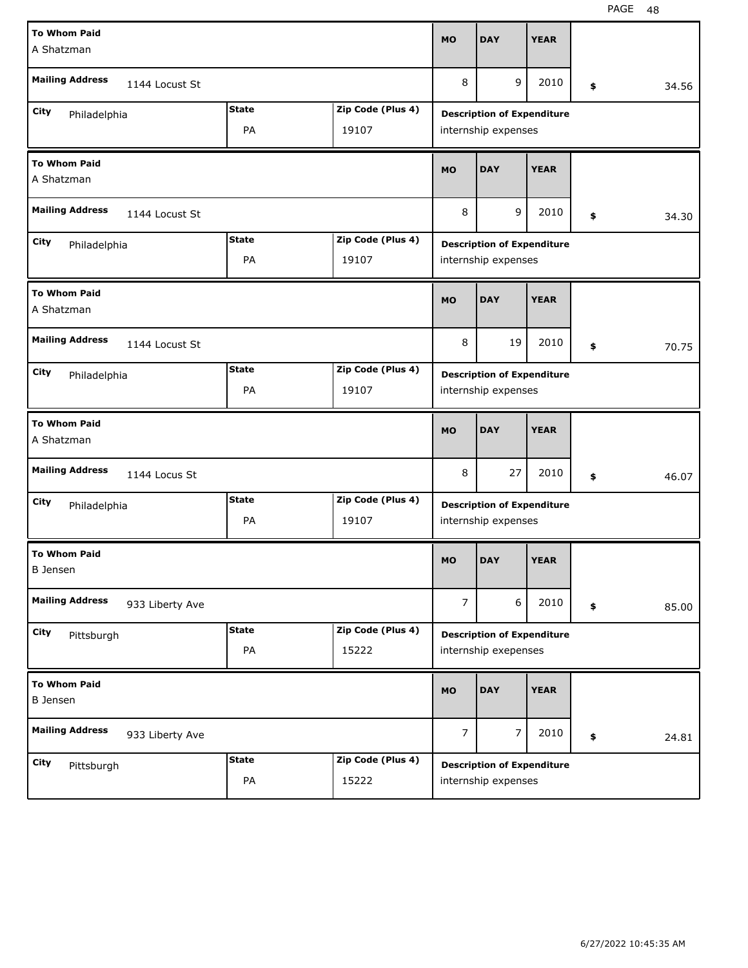| <b>To Whom Paid</b><br>A Shatzman         |              |                   | <b>MO</b>      | <b>DAY</b>                                                | <b>YEAR</b> |             |
|-------------------------------------------|--------------|-------------------|----------------|-----------------------------------------------------------|-------------|-------------|
| <b>Mailing Address</b><br>1144 Locust St  |              |                   | 8              | 9                                                         | 2010        | \$<br>34.56 |
| City<br>Philadelphia                      | <b>State</b> | Zip Code (Plus 4) |                | <b>Description of Expenditure</b>                         |             |             |
|                                           | PA           | 19107             |                | internship expenses                                       |             |             |
| <b>To Whom Paid</b><br>A Shatzman         |              |                   | <b>MO</b>      | <b>DAY</b>                                                | <b>YEAR</b> |             |
| <b>Mailing Address</b><br>1144 Locust St  |              |                   | 8              | 9                                                         | 2010        | \$<br>34.30 |
| City<br>Philadelphia                      | <b>State</b> | Zip Code (Plus 4) |                | <b>Description of Expenditure</b>                         |             |             |
|                                           | PA           | 19107             |                | internship expenses                                       |             |             |
| <b>To Whom Paid</b><br>A Shatzman         |              |                   | <b>MO</b>      | <b>DAY</b>                                                | <b>YEAR</b> |             |
| <b>Mailing Address</b><br>1144 Locust St  |              |                   | 8              | 19                                                        | 2010        | \$<br>70.75 |
| City<br>Philadelphia                      | <b>State</b> | Zip Code (Plus 4) |                | <b>Description of Expenditure</b>                         |             |             |
|                                           | PA           | 19107             |                | internship expenses                                       |             |             |
|                                           |              |                   |                |                                                           |             |             |
| <b>To Whom Paid</b><br>A Shatzman         |              |                   | <b>MO</b>      | <b>DAY</b>                                                | <b>YEAR</b> |             |
| <b>Mailing Address</b><br>1144 Locus St   |              |                   | 8              | 27                                                        | 2010        | \$<br>46.07 |
| City                                      | <b>State</b> | Zip Code (Plus 4) |                |                                                           |             |             |
| Philadelphia                              | PA           | 19107             |                | <b>Description of Expenditure</b><br>internship expenses  |             |             |
| <b>To Whom Paid</b><br><b>B</b> Jensen    |              |                   | <b>MO</b>      | <b>DAY</b>                                                | <b>YEAR</b> |             |
| <b>Mailing Address</b><br>933 Liberty Ave |              |                   | $\overline{7}$ | 6                                                         | 2010        | \$<br>85.00 |
| City                                      | <b>State</b> | Zip Code (Plus 4) |                |                                                           |             |             |
| Pittsburgh                                | PA           | 15222             |                | <b>Description of Expenditure</b><br>internship exepenses |             |             |
| <b>To Whom Paid</b><br><b>B</b> Jensen    |              |                   | <b>MO</b>      | <b>DAY</b>                                                | <b>YEAR</b> |             |
| <b>Mailing Address</b><br>933 Liberty Ave |              |                   | 7              | $\overline{7}$                                            | 2010        | \$<br>24.81 |
| City<br>Pittsburgh                        | <b>State</b> | Zip Code (Plus 4) |                | <b>Description of Expenditure</b>                         |             |             |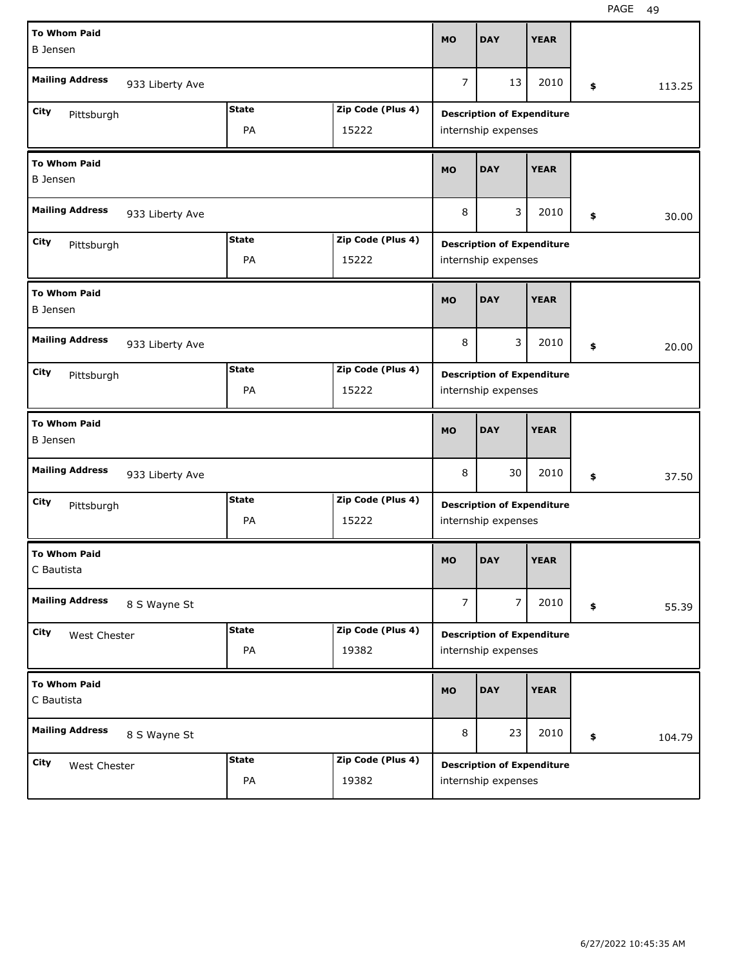| <b>To Whom Paid</b><br><b>B</b> Jensen |                 |              |                   | <b>MO</b>      | <b>DAY</b>                                               | <b>YEAR</b> |    |        |
|----------------------------------------|-----------------|--------------|-------------------|----------------|----------------------------------------------------------|-------------|----|--------|
| <b>Mailing Address</b>                 | 933 Liberty Ave |              |                   | $\overline{7}$ | 13                                                       | 2010        | \$ | 113.25 |
| City                                   |                 | <b>State</b> | Zip Code (Plus 4) |                | <b>Description of Expenditure</b>                        |             |    |        |
| Pittsburgh                             |                 | PA           | 15222             |                | internship expenses                                      |             |    |        |
| <b>To Whom Paid</b><br><b>B</b> Jensen |                 |              |                   | <b>MO</b>      | <b>DAY</b>                                               | <b>YEAR</b> |    |        |
| <b>Mailing Address</b>                 | 933 Liberty Ave |              |                   | 8              | 3                                                        | 2010        | \$ | 30.00  |
| City<br>Pittsburgh                     |                 | <b>State</b> | Zip Code (Plus 4) |                | <b>Description of Expenditure</b>                        |             |    |        |
|                                        |                 | PA           | 15222             |                | internship expenses                                      |             |    |        |
| <b>To Whom Paid</b><br><b>B</b> Jensen |                 |              |                   | <b>MO</b>      | <b>DAY</b>                                               | <b>YEAR</b> |    |        |
| <b>Mailing Address</b>                 | 933 Liberty Ave |              |                   | 8              | 3                                                        | 2010        | \$ | 20.00  |
| <b>City</b><br>Pittsburgh              |                 | <b>State</b> | Zip Code (Plus 4) |                | <b>Description of Expenditure</b>                        |             |    |        |
|                                        |                 | PA           | 15222             |                | internship expenses                                      |             |    |        |
| <b>To Whom Paid</b>                    |                 |              |                   |                |                                                          |             |    |        |
| <b>B</b> Jensen                        |                 |              |                   | <b>MO</b>      | <b>DAY</b>                                               | <b>YEAR</b> |    |        |
| <b>Mailing Address</b>                 | 933 Liberty Ave |              |                   | 8              | 30                                                       | 2010        | \$ | 37.50  |
| City                                   |                 | <b>State</b> | Zip Code (Plus 4) |                |                                                          |             |    |        |
| Pittsburgh                             |                 | PA           | 15222             |                | <b>Description of Expenditure</b><br>internship expenses |             |    |        |
| <b>To Whom Paid</b><br>C Bautista      |                 |              |                   | <b>MO</b>      | <b>DAY</b>                                               | <b>YEAR</b> |    |        |
| <b>Mailing Address</b>                 | 8 S Wayne St    |              |                   | $\overline{7}$ | $\overline{7}$                                           | 2010        | \$ | 55.39  |
| City                                   |                 | <b>State</b> | Zip Code (Plus 4) |                |                                                          |             |    |        |
| West Chester                           |                 | PA           | 19382             |                | <b>Description of Expenditure</b><br>internship expenses |             |    |        |
| <b>To Whom Paid</b><br>C Bautista      |                 |              |                   | MO             | <b>DAY</b>                                               | <b>YEAR</b> |    |        |
| <b>Mailing Address</b>                 | 8 S Wayne St    |              |                   | 8              | 23                                                       | 2010        | \$ | 104.79 |
| City<br>West Chester                   |                 | <b>State</b> | Zip Code (Plus 4) |                | <b>Description of Expenditure</b>                        |             |    |        |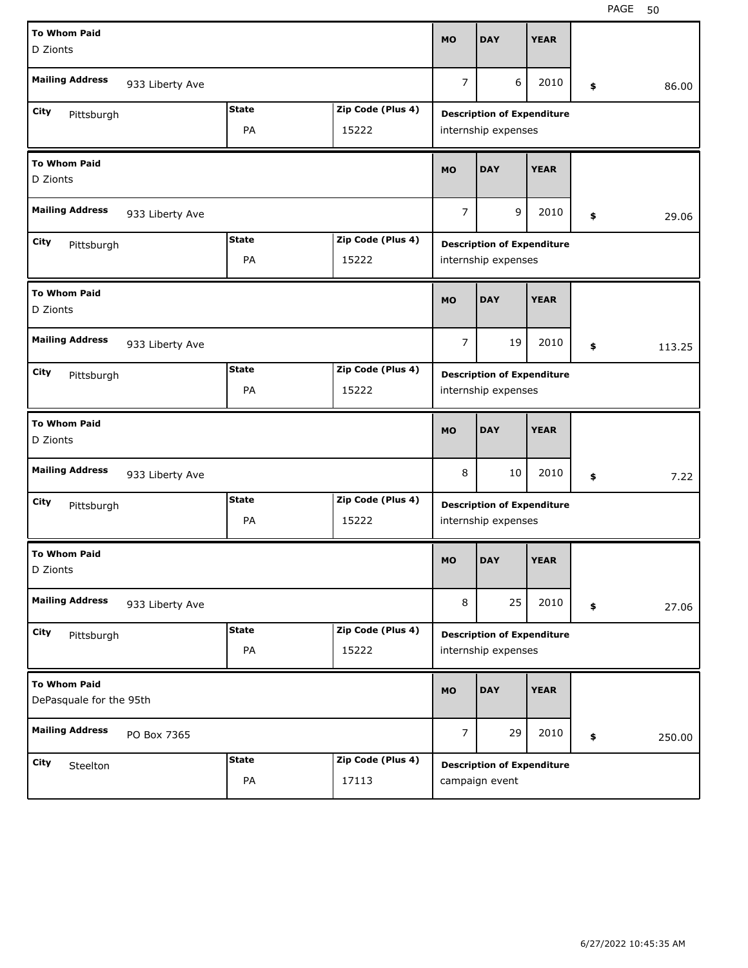| <b>To Whom Paid</b><br>D Zionts                |                                                  |                    |                            | <b>MO</b>      | <b>DAY</b>                                               | <b>YEAR</b> |              |
|------------------------------------------------|--------------------------------------------------|--------------------|----------------------------|----------------|----------------------------------------------------------|-------------|--------------|
| <b>Mailing Address</b>                         | 933 Liberty Ave                                  |                    |                            | $\overline{7}$ | 6                                                        | 2010        | \$<br>86.00  |
| City<br>Pittsburgh                             | <b>State</b><br>Zip Code (Plus 4)<br>PA<br>15222 |                    |                            |                | <b>Description of Expenditure</b><br>internship expenses |             |              |
| <b>To Whom Paid</b><br>D Zionts                |                                                  |                    |                            | <b>MO</b>      | <b>DAY</b>                                               | <b>YEAR</b> |              |
| <b>Mailing Address</b>                         | 933 Liberty Ave                                  |                    |                            | $\overline{7}$ | 9                                                        | 2010        | \$<br>29.06  |
| City<br>Pittsburgh                             | <b>State</b><br>Zip Code (Plus 4)<br>PA<br>15222 |                    |                            |                | <b>Description of Expenditure</b><br>internship expenses |             |              |
| <b>To Whom Paid</b><br>D Zionts                |                                                  |                    |                            | <b>MO</b>      | <b>DAY</b>                                               | <b>YEAR</b> |              |
| <b>Mailing Address</b>                         | 933 Liberty Ave                                  |                    |                            |                | 19                                                       | 2010        | \$<br>113.25 |
| City<br>Pittsburgh                             | <b>State</b><br>Zip Code (Plus 4)<br>PA<br>15222 |                    |                            |                | <b>Description of Expenditure</b><br>internship expenses |             |              |
| <b>To Whom Paid</b><br>D Zionts                |                                                  |                    |                            | <b>MO</b>      | <b>DAY</b>                                               | <b>YEAR</b> |              |
| <b>Mailing Address</b>                         |                                                  |                    |                            |                |                                                          |             |              |
|                                                | 933 Liberty Ave                                  |                    |                            | 8              | 10                                                       | 2010        | \$<br>7.22   |
| City<br>Pittsburgh                             |                                                  | <b>State</b><br>PA | Zip Code (Plus 4)<br>15222 |                | <b>Description of Expenditure</b><br>internship expenses |             |              |
| <b>To Whom Paid</b><br>D Zionts                |                                                  |                    |                            | <b>MO</b>      | <b>DAY</b>                                               | <b>YEAR</b> |              |
| <b>Mailing Address</b>                         | 933 Liberty Ave                                  |                    |                            | 8              | 25                                                       | 2010        | \$<br>27.06  |
| City<br>Pittsburgh                             |                                                  | <b>State</b><br>PA | Zip Code (Plus 4)<br>15222 |                | <b>Description of Expenditure</b><br>internship expenses |             |              |
| <b>To Whom Paid</b><br>DePasquale for the 95th |                                                  |                    |                            | <b>MO</b>      | <b>DAY</b>                                               | <b>YEAR</b> |              |
| <b>Mailing Address</b>                         | PO Box 7365                                      |                    |                            | $\overline{7}$ | 29                                                       | 2010        | \$<br>250.00 |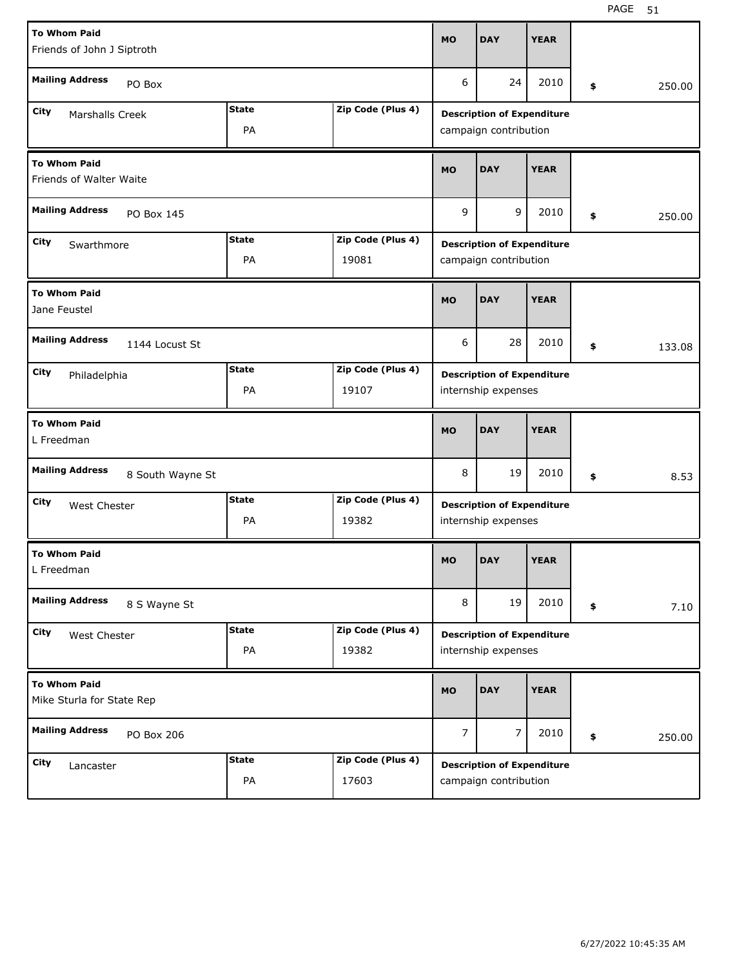| <b>To Whom Paid</b><br>Friends of John J Siptroth                        |                                                  |                                                            |                | <b>DAY</b>                                               | <b>YEAR</b>                                                |    |        |  |  |
|--------------------------------------------------------------------------|--------------------------------------------------|------------------------------------------------------------|----------------|----------------------------------------------------------|------------------------------------------------------------|----|--------|--|--|
| <b>Mailing Address</b><br>PO Box                                         |                                                  |                                                            | 6              | 24                                                       | 2010                                                       | \$ | 250.00 |  |  |
| City<br>Marshalls Creek                                                  |                                                  | <b>Description of Expenditure</b><br>campaign contribution |                |                                                          |                                                            |    |        |  |  |
| <b>To Whom Paid</b><br>Friends of Walter Waite                           | <b>MO</b>                                        | <b>DAY</b>                                                 | <b>YEAR</b>    |                                                          |                                                            |    |        |  |  |
| <b>Mailing Address</b><br>PO Box 145                                     |                                                  |                                                            | 9              | 9                                                        | 2010                                                       | \$ | 250.00 |  |  |
| City<br>Swarthmore                                                       | <b>State</b><br>Zip Code (Plus 4)<br>PA<br>19081 |                                                            |                |                                                          | <b>Description of Expenditure</b><br>campaign contribution |    |        |  |  |
| <b>To Whom Paid</b><br>Jane Feustel                                      |                                                  |                                                            | <b>MO</b>      | <b>DAY</b>                                               | <b>YEAR</b>                                                |    |        |  |  |
| <b>Mailing Address</b><br>1144 Locust St                                 |                                                  |                                                            | 6              | 28                                                       | 2010                                                       | \$ | 133.08 |  |  |
| <b>State</b><br>Zip Code (Plus 4)<br>City<br>Philadelphia<br>PA<br>19107 |                                                  |                                                            |                | <b>Description of Expenditure</b><br>internship expenses |                                                            |    |        |  |  |
|                                                                          |                                                  |                                                            |                |                                                          |                                                            |    |        |  |  |
| <b>To Whom Paid</b><br>L Freedman                                        |                                                  |                                                            | <b>MO</b>      | <b>DAY</b>                                               | <b>YEAR</b>                                                |    |        |  |  |
| <b>Mailing Address</b><br>8 South Wayne St                               |                                                  |                                                            | 8              | 19                                                       | 2010                                                       | \$ | 8.53   |  |  |
| City<br>West Chester                                                     | <b>State</b><br>PA                               | Zip Code (Plus 4)<br>19382                                 |                | <b>Description of Expenditure</b><br>internship expenses |                                                            |    |        |  |  |
| <b>To Whom Paid</b><br>L Freedman                                        |                                                  |                                                            | <b>MO</b>      | <b>DAY</b>                                               | <b>YEAR</b>                                                |    |        |  |  |
| <b>Mailing Address</b><br>8 S Wayne St                                   |                                                  |                                                            | 8              | 19                                                       | 2010                                                       | \$ | 7.10   |  |  |
| City<br>West Chester                                                     | <b>State</b><br>PA                               | Zip Code (Plus 4)<br>19382                                 |                | <b>Description of Expenditure</b><br>internship expenses |                                                            |    |        |  |  |
| <b>To Whom Paid</b><br>Mike Sturla for State Rep                         |                                                  |                                                            | <b>MO</b>      | <b>DAY</b>                                               | <b>YEAR</b>                                                |    |        |  |  |
| <b>Mailing Address</b><br>PO Box 206                                     |                                                  |                                                            | $\overline{7}$ | 7                                                        | 2010                                                       | \$ | 250.00 |  |  |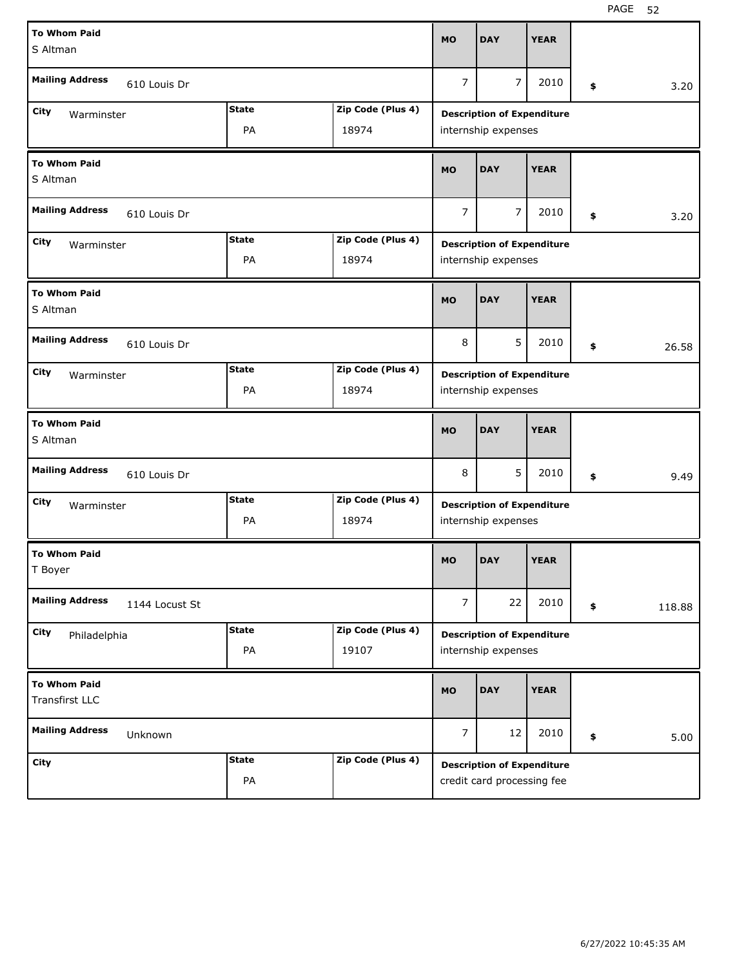| <b>To Whom Paid</b><br>S Altman                                |                                   |                   |                | <b>DAY</b>                                               | <b>YEAR</b>                       |              |
|----------------------------------------------------------------|-----------------------------------|-------------------|----------------|----------------------------------------------------------|-----------------------------------|--------------|
| <b>Mailing Address</b><br>610 Louis Dr                         |                                   |                   | $\overline{7}$ | $\overline{7}$                                           | 2010                              | \$<br>3.20   |
| City<br>Warminster                                             | <b>State</b>                      | Zip Code (Plus 4) |                | <b>Description of Expenditure</b>                        |                                   |              |
|                                                                | PA                                | 18974             |                | internship expenses                                      |                                   |              |
| <b>To Whom Paid</b><br>S Altman                                |                                   |                   |                | <b>DAY</b>                                               | <b>YEAR</b>                       |              |
| <b>Mailing Address</b><br>610 Louis Dr                         |                                   |                   |                | $\overline{7}$                                           | 2010                              | \$<br>3.20   |
| <b>State</b><br>Zip Code (Plus 4)<br><b>City</b><br>Warminster |                                   |                   |                | <b>Description of Expenditure</b>                        |                                   |              |
|                                                                | PA                                | 18974             |                | internship expenses                                      |                                   |              |
| <b>To Whom Paid</b><br>S Altman                                |                                   |                   | <b>MO</b>      | <b>DAY</b>                                               | <b>YEAR</b>                       |              |
| <b>Mailing Address</b><br>610 Louis Dr                         |                                   |                   | 8              | 5                                                        | 2010                              | \$<br>26.58  |
| City<br>Warminster                                             | <b>State</b><br>Zip Code (Plus 4) |                   |                |                                                          | <b>Description of Expenditure</b> |              |
|                                                                | PA                                | 18974             |                | internship expenses                                      |                                   |              |
| <b>To Whom Paid</b><br>S Altman                                |                                   |                   |                |                                                          |                                   |              |
|                                                                |                                   |                   | <b>MO</b>      | <b>DAY</b>                                               | <b>YEAR</b>                       |              |
| <b>Mailing Address</b><br>610 Louis Dr                         |                                   |                   | 8              | 5                                                        | 2010                              | \$<br>9.49   |
| City                                                           | <b>State</b>                      | Zip Code (Plus 4) |                |                                                          |                                   |              |
| Warminster                                                     | PA                                | 18974             |                | <b>Description of Expenditure</b><br>internship expenses |                                   |              |
| <b>To Whom Paid</b><br>T Boyer                                 |                                   |                   | <b>MO</b>      | <b>DAY</b>                                               | <b>YEAR</b>                       |              |
| <b>Mailing Address</b><br>1144 Locust St                       |                                   |                   | $\overline{7}$ | 22                                                       | 2010                              | \$<br>118.88 |
| City                                                           | <b>State</b>                      | Zip Code (Plus 4) |                |                                                          |                                   |              |
| Philadelphia                                                   | PA                                | 19107             |                | <b>Description of Expenditure</b><br>internship expenses |                                   |              |
| <b>To Whom Paid</b><br><b>Transfirst LLC</b>                   |                                   |                   | MO             | <b>DAY</b>                                               | <b>YEAR</b>                       |              |
| <b>Mailing Address</b><br>Unknown                              |                                   |                   | $\overline{7}$ | 12                                                       | 2010                              | \$<br>5.00   |
| <b>City</b>                                                    | <b>State</b>                      | Zip Code (Plus 4) |                | <b>Description of Expenditure</b>                        |                                   |              |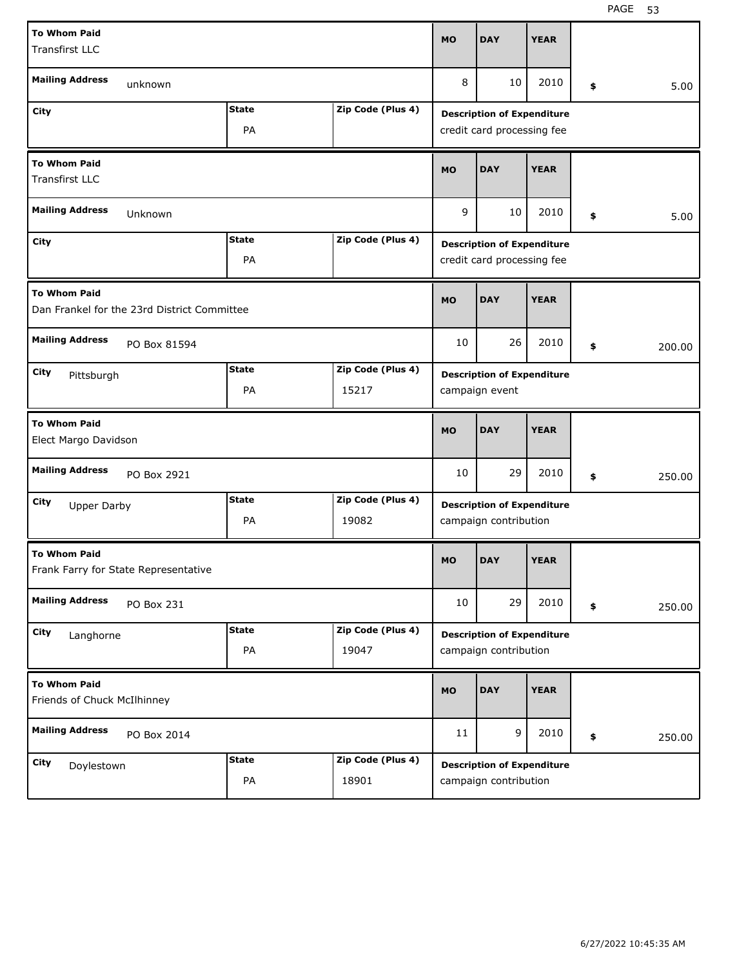| <b>To Whom Paid</b>                                                |              |                   | <b>MO</b>                         | <b>DAY</b>                                                      | <b>YEAR</b>                |    |        |  |  |
|--------------------------------------------------------------------|--------------|-------------------|-----------------------------------|-----------------------------------------------------------------|----------------------------|----|--------|--|--|
| <b>Transfirst LLC</b>                                              |              |                   |                                   |                                                                 |                            |    |        |  |  |
|                                                                    |              |                   |                                   |                                                                 |                            |    |        |  |  |
| <b>Mailing Address</b><br>unknown                                  |              |                   | 8                                 | 10                                                              | 2010                       | \$ | 5.00   |  |  |
| City                                                               | <b>State</b> | Zip Code (Plus 4) | <b>Description of Expenditure</b> |                                                                 |                            |    |        |  |  |
|                                                                    | PA           |                   |                                   |                                                                 | credit card processing fee |    |        |  |  |
| <b>To Whom Paid</b>                                                |              |                   | <b>MO</b>                         | <b>DAY</b>                                                      | <b>YEAR</b>                |    |        |  |  |
| <b>Transfirst LLC</b>                                              |              |                   |                                   |                                                                 |                            |    |        |  |  |
| <b>Mailing Address</b><br>Unknown                                  |              |                   |                                   | 10                                                              | 2010                       | \$ | 5.00   |  |  |
| <b>State</b><br>Zip Code (Plus 4)<br>City                          |              |                   |                                   |                                                                 |                            |    |        |  |  |
|                                                                    | PA           |                   |                                   | <b>Description of Expenditure</b><br>credit card processing fee |                            |    |        |  |  |
| <b>To Whom Paid</b><br>Dan Frankel for the 23rd District Committee | <b>MO</b>    | <b>DAY</b>        | <b>YEAR</b>                       |                                                                 |                            |    |        |  |  |
| <b>Mailing Address</b><br>PO Box 81594                             |              |                   | 10                                | 26                                                              | 2010                       | \$ | 200.00 |  |  |
| City                                                               | <b>State</b> | Zip Code (Plus 4) |                                   |                                                                 |                            |    |        |  |  |
| Pittsburgh                                                         | PA           | 15217             |                                   | <b>Description of Expenditure</b><br>campaign event             |                            |    |        |  |  |
| <b>To Whom Paid</b><br>Elect Margo Davidson                        |              |                   |                                   |                                                                 |                            |    |        |  |  |
|                                                                    |              |                   | <b>MO</b>                         | <b>DAY</b>                                                      | <b>YEAR</b>                |    |        |  |  |
| <b>Mailing Address</b><br>PO Box 2921                              |              |                   | 10                                | 29                                                              | 2010                       | \$ | 250.00 |  |  |
| City                                                               | <b>State</b> | Zip Code (Plus 4) |                                   |                                                                 |                            |    |        |  |  |
| <b>Upper Darby</b>                                                 | PA           | 19082             |                                   | <b>Description of Expenditure</b><br>campaign contribution      |                            |    |        |  |  |
| <b>To Whom Paid</b><br>Frank Farry for State Representative        |              |                   | <b>MO</b>                         | <b>DAY</b>                                                      | <b>YEAR</b>                |    |        |  |  |
| <b>Mailing Address</b><br>PO Box 231                               |              |                   | 10                                | 29                                                              | 2010                       | \$ | 250.00 |  |  |
|                                                                    | <b>State</b> | Zip Code (Plus 4) |                                   |                                                                 |                            |    |        |  |  |
| City<br>Langhorne                                                  | PA           | 19047             |                                   | <b>Description of Expenditure</b><br>campaign contribution      |                            |    |        |  |  |
| <b>To Whom Paid</b><br>Friends of Chuck McIlhinney                 |              |                   | <b>MO</b>                         | <b>DAY</b>                                                      | <b>YEAR</b>                |    |        |  |  |
| <b>Mailing Address</b><br>PO Box 2014                              |              |                   | 11                                | 9                                                               | 2010                       | \$ | 250.00 |  |  |
| City<br>Doylestown                                                 | <b>State</b> | Zip Code (Plus 4) |                                   | <b>Description of Expenditure</b>                               |                            |    |        |  |  |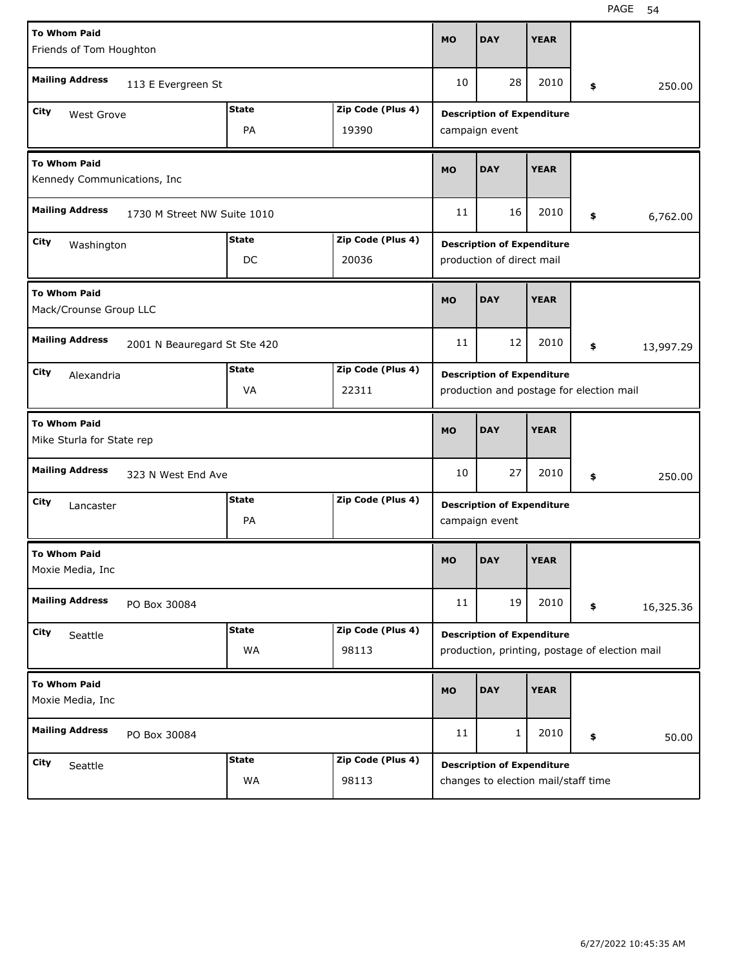| <b>To Whom Paid</b><br>Friends of Tom Houghton        |                              |              |                   | <b>MO</b>                                                                     | <b>DAY</b>                                                                          | <b>YEAR</b> |    |          |           |
|-------------------------------------------------------|------------------------------|--------------|-------------------|-------------------------------------------------------------------------------|-------------------------------------------------------------------------------------|-------------|----|----------|-----------|
| <b>Mailing Address</b>                                | 113 E Evergreen St           |              |                   | 10                                                                            | 28                                                                                  | 2010        | \$ |          | 250.00    |
| City<br>West Grove                                    |                              | <b>State</b> | Zip Code (Plus 4) |                                                                               | <b>Description of Expenditure</b>                                                   |             |    |          |           |
| PA<br>19390                                           |                              |              |                   |                                                                               | campaign event                                                                      |             |    |          |           |
| <b>To Whom Paid</b><br>Kennedy Communications, Inc    |                              |              |                   | <b>MO</b>                                                                     | <b>DAY</b>                                                                          | <b>YEAR</b> |    |          |           |
| <b>Mailing Address</b><br>1730 M Street NW Suite 1010 |                              |              | 11                | 16                                                                            | 2010                                                                                | \$          |    | 6,762.00 |           |
| <b>City</b><br>Washington                             |                              | <b>State</b> | Zip Code (Plus 4) |                                                                               | <b>Description of Expenditure</b>                                                   |             |    |          |           |
|                                                       |                              | DC           | 20036             |                                                                               | production of direct mail                                                           |             |    |          |           |
| <b>To Whom Paid</b><br>Mack/Crounse Group LLC         |                              |              |                   | <b>MO</b>                                                                     | <b>DAY</b>                                                                          | <b>YEAR</b> |    |          |           |
| <b>Mailing Address</b>                                | 2001 N Beauregard St Ste 420 |              |                   | 11                                                                            | 12                                                                                  | 2010        | \$ |          | 13,997.29 |
| City<br>Alexandria                                    |                              | <b>State</b> | Zip Code (Plus 4) |                                                                               |                                                                                     |             |    |          |           |
|                                                       |                              | VA           | 22311             | <b>Description of Expenditure</b><br>production and postage for election mail |                                                                                     |             |    |          |           |
|                                                       |                              |              |                   |                                                                               |                                                                                     |             |    |          |           |
| <b>To Whom Paid</b><br>Mike Sturla for State rep      |                              |              |                   | <b>MO</b>                                                                     | <b>DAY</b>                                                                          | <b>YEAR</b> |    |          |           |
| <b>Mailing Address</b>                                | 323 N West End Ave           |              |                   | 10                                                                            | 27                                                                                  | 2010        | \$ |          | 250.00    |
| City                                                  |                              | <b>State</b> | Zip Code (Plus 4) |                                                                               |                                                                                     |             |    |          |           |
| Lancaster                                             |                              | PA           |                   |                                                                               | <b>Description of Expenditure</b><br>campaign event                                 |             |    |          |           |
| <b>To Whom Paid</b><br>Moxie Media, Inc               |                              |              |                   | MO                                                                            | <b>DAY</b>                                                                          | <b>YEAR</b> |    |          |           |
| <b>Mailing Address</b>                                | PO Box 30084                 |              |                   | 11                                                                            | 19                                                                                  | 2010        | \$ |          | 16,325.36 |
| City                                                  |                              | <b>State</b> | Zip Code (Plus 4) |                                                                               |                                                                                     |             |    |          |           |
| Seattle                                               |                              | WA           | 98113             |                                                                               | <b>Description of Expenditure</b><br>production, printing, postage of election mail |             |    |          |           |
| <b>To Whom Paid</b><br>Moxie Media, Inc               |                              |              |                   | <b>MO</b>                                                                     | <b>DAY</b>                                                                          | <b>YEAR</b> |    |          |           |
| <b>Mailing Address</b>                                | PO Box 30084                 |              |                   | 11                                                                            | $\mathbf{1}$                                                                        | 2010        | \$ |          | 50.00     |
| City                                                  |                              | <b>State</b> | Zip Code (Plus 4) |                                                                               | <b>Description of Expenditure</b>                                                   |             |    |          |           |
| Seattle                                               |                              | WA           | 98113             |                                                                               | changes to election mail/staff time                                                 |             |    |          |           |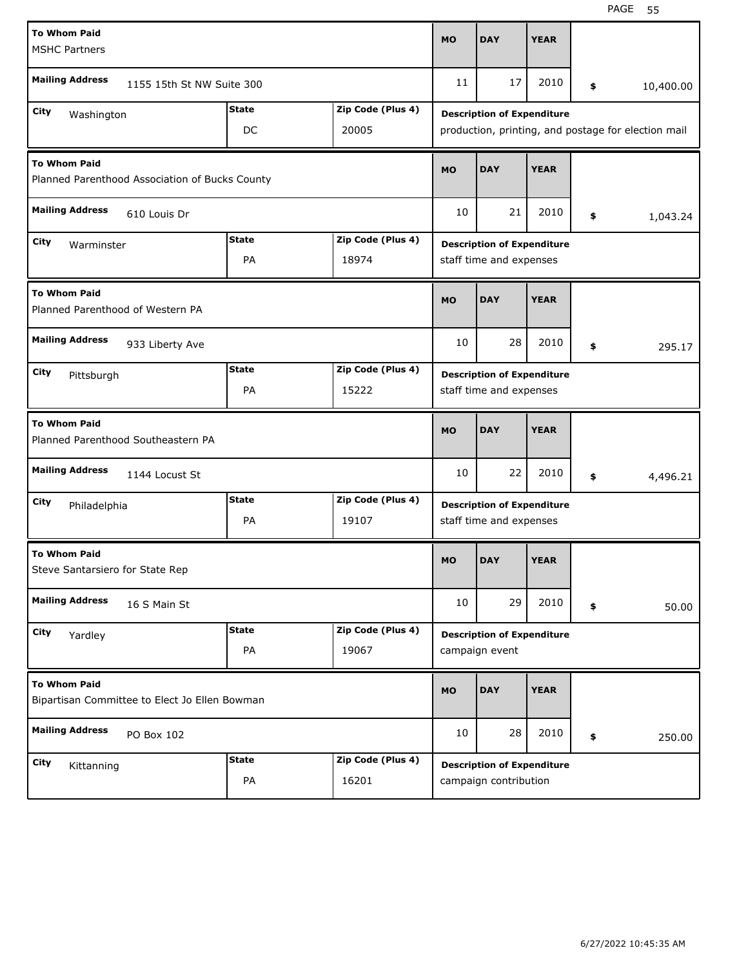| <b>To Whom Paid</b><br><b>MSHC Partners</b>                            |                           |                    |                            | <b>MO</b> | <b>DAY</b>                                                   | <b>YEAR</b> |                                                     |
|------------------------------------------------------------------------|---------------------------|--------------------|----------------------------|-----------|--------------------------------------------------------------|-------------|-----------------------------------------------------|
| <b>Mailing Address</b>                                                 | 1155 15th St NW Suite 300 |                    |                            | 11        | 17                                                           | 2010        | \$<br>10,400.00                                     |
| Zip Code (Plus 4)<br><b>State</b><br>City<br>Washington<br>DC<br>20005 |                           |                    |                            |           | <b>Description of Expenditure</b>                            |             | production, printing, and postage for election mail |
| <b>To Whom Paid</b><br>Planned Parenthood Association of Bucks County  |                           |                    |                            |           | <b>DAY</b>                                                   | <b>YEAR</b> |                                                     |
| <b>Mailing Address</b><br>610 Louis Dr                                 |                           |                    |                            | 10        | 21                                                           | 2010        | \$<br>1,043.24                                      |
| City<br>Warminster                                                     |                           | <b>State</b><br>PA | Zip Code (Plus 4)<br>18974 |           | <b>Description of Expenditure</b><br>staff time and expenses |             |                                                     |
| <b>To Whom Paid</b><br>Planned Parenthood of Western PA                |                           |                    |                            | <b>MO</b> | <b>DAY</b>                                                   | <b>YEAR</b> |                                                     |
| <b>Mailing Address</b>                                                 | 933 Liberty Ave           |                    |                            | 10        | 28                                                           | 2010        | \$<br>295.17                                        |
| City<br>Pittsburgh                                                     |                           | <b>State</b><br>PA | Zip Code (Plus 4)<br>15222 |           | <b>Description of Expenditure</b><br>staff time and expenses |             |                                                     |
| <b>To Whom Paid</b><br>Planned Parenthood Southeastern PA              |                           |                    |                            |           |                                                              |             |                                                     |
|                                                                        |                           |                    |                            | <b>MO</b> | <b>DAY</b>                                                   | <b>YEAR</b> |                                                     |
| <b>Mailing Address</b>                                                 | 1144 Locust St            |                    |                            | 10        | 22                                                           | 2010        | \$<br>4,496.21                                      |
| City<br>Philadelphia                                                   |                           | <b>State</b><br>PA | Zip Code (Plus 4)<br>19107 |           | <b>Description of Expenditure</b><br>staff time and expenses |             |                                                     |
| <b>To Whom Paid</b><br>Steve Santarsiero for State Rep                 |                           |                    |                            | <b>MO</b> | <b>DAY</b>                                                   | <b>YEAR</b> |                                                     |
| <b>Mailing Address</b>                                                 | 16 S Main St              |                    |                            | 10        | 29                                                           | 2010        | \$<br>50.00                                         |
| City<br>Yardley                                                        |                           | <b>State</b><br>PA | Zip Code (Plus 4)<br>19067 |           | <b>Description of Expenditure</b><br>campaign event          |             |                                                     |
| <b>To Whom Paid</b><br>Bipartisan Committee to Elect Jo Ellen Bowman   |                           |                    |                            | <b>MO</b> | <b>DAY</b>                                                   | <b>YEAR</b> |                                                     |
| <b>Mailing Address</b>                                                 | PO Box 102                |                    |                            | 10        | 28                                                           | 2010        | \$<br>250.00                                        |